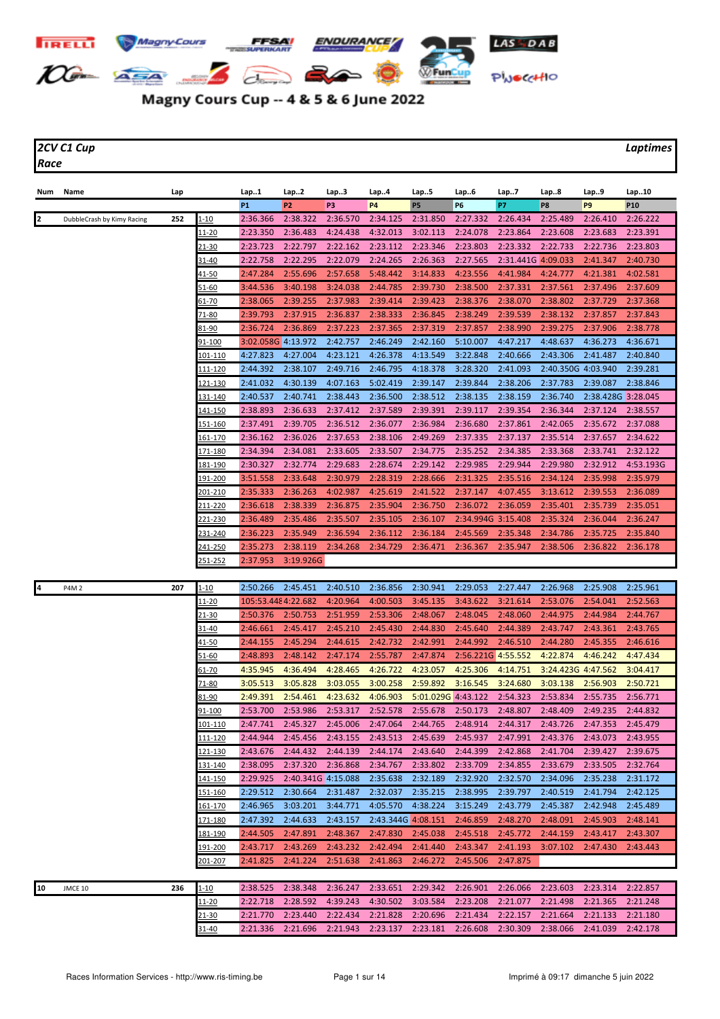

## Magny Cours Cup -- 4 & 5 & 6 June 2022

*2CV C1 Cup Laptimes Race*

| Num | Name                       | Lap |                 | Lap1                | Lap2               | Lap3                 | Lap4               | Lap5                 | Lap6               | Lap7                 | Lap8                                                                                      | Lap9               | Lap10                |
|-----|----------------------------|-----|-----------------|---------------------|--------------------|----------------------|--------------------|----------------------|--------------------|----------------------|-------------------------------------------------------------------------------------------|--------------------|----------------------|
|     |                            |     |                 | <b>P1</b>           | P <sub>2</sub>     | P3                   | P <sub>4</sub>     | P5                   | P6                 | P7                   | P8                                                                                        | P9                 | P <sub>10</sub>      |
| 2   | DubbleCrash by Kimy Racing | 252 | $1 - 10$        | 2:36.366            | 2:38.322           | 2:36.570             | 2:34.125           | 2:31.850             | 2:27.332           | 2:26.434             | 2:25.489                                                                                  | 2:26.410           | 2:26.222             |
|     |                            |     | <u> 11-20</u>   | 2:23.350            | 2:36.483           | 4:24.438             | 4:32.013           | 3:02.113             | 2:24.078           | 2:23.864             | 2:23.608                                                                                  | 2:23.683           | 2:23.391             |
|     |                            |     | <u>21-30</u>    | 2:23.723            | 2:22.797           | 2:22.162             | 2:23.112           | 2:23.346             | 2:23.803           | 2:23.332             | 2:22.733                                                                                  | 2:22.736           | 2:23.803             |
|     |                            |     | 31-40           | 2:22.758            | 2:22.295           | 2:22.079             | 2:24.265           | 2:26.363             | 2:27.565           | 2:31.441G 4:09.033   |                                                                                           | 2:41.347           | 2:40.730             |
|     |                            |     | <u>41-50</u>    | 2:47.284            | 2:55.696           | 2:57.658             | 5:48.442           | 3:14.833             | 4:23.556           | 4:41.984             | 4:24.777                                                                                  | 4:21.381           | 4:02.581             |
|     |                            |     | <u>51-60</u>    | 3:44.536            | 3:40.198           | 3:24.038             | 2:44.785           | 2:39.730             | 2:38.500           | 2:37.331             | 2:37.561                                                                                  | 2:37.496           | 2:37.609             |
|     |                            |     | 61-70           | 2:38.065            | 2:39.255           | 2:37.983             | 2:39.414           | 2:39.423             | 2:38.376           | 2:38.070             | 2:38.802                                                                                  | 2:37.729           | 2:37.368             |
|     |                            |     | 71-80           | 2:39.793            | 2:37.915           | 2:36.837             | 2:38.333           | 2:36.845             | 2:38.249           | 2:39.539             | 2:38.132                                                                                  | 2:37.857           | 2:37.843             |
|     |                            |     | 81-90           | 2:36.724            | 2:36.869           | 2:37.223             | 2:37.365           | 2:37.319             | 2:37.857           | 2:38.990             | 2:39.275                                                                                  | 2:37.906           | 2:38.778             |
|     |                            |     | 91-100          | 3:02.058G 4:13.972  |                    | 2:42.757             | 2:46.249           | 2:42.160             | 5:10.007           | 4:47.217             | 4:48.637                                                                                  | 4:36.273           | 4:36.671             |
|     |                            |     | 101-110         | 4:27.823            | 4:27.004           | 4:23.121             | 4:26.378           | 4:13.549             | 3:22.848           | 2:40.666             | 2:43.306                                                                                  | 2:41.487           | 2:40.840             |
|     |                            |     | 111-120         | 2:44.392            | 2:38.107           | 2:49.716             | 2:46.795           | 4:18.378             | 3:28.320           | 2:41.093             | 2:40.350G 4:03.940                                                                        |                    | 2:39.281             |
|     |                            |     | 121-130         | 2:41.032            | 4:30.139           | 4:07.163             | 5:02.419           | 2:39.147             | 2:39.844           | 2:38.206             | 2:37.783                                                                                  | 2:39.087           | 2:38.846             |
|     |                            |     | <u>131-140</u>  | 2:40.537            | 2:40.741           | 2:38.443             | 2:36.500           | 2:38.512             | 2:38.135           | 2:38.159             | 2:36.740                                                                                  | 2:38.428G 3:28.045 |                      |
|     |                            |     | <u> 141-150</u> | 2:38.893            | 2:36.633           | 2:37.412             | 2:37.589           | 2:39.391             | 2:39.117           | 2:39.354             | 2:36.344                                                                                  | 2:37.124           | 2:38.557             |
|     |                            |     | 151-160         | 2:37.491            | 2:39.705           | 2:36.512             | 2:36.077           | 2:36.984             | 2:36.680           | 2:37.861             | 2:42.065                                                                                  | 2:35.672           | 2:37.088             |
|     |                            |     | <u> 161-170</u> | 2:36.162            | 2:36.026           | 2:37.653             | 2:38.106           | 2:49.269             | 2:37.335           | 2:37.137             | 2:35.514                                                                                  | 2:37.657           | 2:34.622             |
|     |                            |     | <u> 171-180</u> | 2:34.394            | 2:34.081           | 2:33.605             | 2:33.507           | 2:34.775             | 2:35.252           | 2:34.385             | 2:33.368                                                                                  | 2:33.741           | 2:32.122             |
|     |                            |     | 181-190         | 2:30.327            | 2:32.774           | 2:29.683             | 2:28.674           | 2:29.142             | 2:29.985           | 2:29.944             | 2:29.980                                                                                  | 2:32.912           | 4:53.193G            |
|     |                            |     | 191-200         | 3:51.558            | 2:33.648           | 2:30.979             | 2:28.319           | 2:28.666             | 2:31.325           | 2:35.516             | 2:34.124                                                                                  | 2:35.998           | 2:35.979             |
|     |                            |     | <u>201-210</u>  | 2:35.333            | 2:36.263           | 4:02.987             | 4:25.619           | 2:41.522             | 2:37.147           | 4:07.455             | 3:13.612                                                                                  | 2:39.553           | 2:36.089             |
|     |                            |     | 211-220         | 2:36.618            | 2:38.339           | 2:36.875             | 2:35.904           | 2:36.750             | 2:36.072           | 2:36.059             | 2:35.401                                                                                  | 2:35.739           | 2:35.051             |
|     |                            |     | 221-230         | 2:36.489            | 2:35.486           | 2:35.507             | 2:35.105           | 2:36.107             | 2:34.994G 3:15.408 |                      | 2:35.324                                                                                  | 2:36.044           | 2:36.247             |
|     |                            |     | 231-240         | 2:36.223            | 2:35.949           | 2:36.594             | 2:36.112           | 2:36.184             | 2:45.569           | 2:35.348             | 2:34.786                                                                                  | 2:35.725           | 2:35.840             |
|     |                            |     | <u>241-250</u>  | 2:35.273            | 2:38.119           | 2:34.268             | 2:34.729           | 2:36.471             | 2:36.367           | 2:35.947             | 2:38.506                                                                                  | 2:36.822           | 2:36.178             |
|     |                            |     | 251-252         | 2:37.953            | 3:19.926G          |                      |                    |                      |                    |                      |                                                                                           |                    |                      |
|     |                            |     |                 |                     |                    |                      |                    |                      |                    |                      |                                                                                           |                    |                      |
| 4   | <b>P4M2</b>                | 207 | $1 - 10$        | 2:50.266            | 2:45.451           | 2:40.510             | 2:36.856           | 2:30.941             | 2:29.053           | 2:27.447             | 2:26.968                                                                                  | 2:25.908           | 2:25.961             |
|     |                            |     | <u> 11-20</u>   | 105:53.448 4:22.682 |                    | 4:20.964             | 4:00.503           | 3:45.135             | 3:43.622           | 3:21.614             | 2:53.076                                                                                  | 2:54.041           | 2:52.563             |
|     |                            |     | 21-30           | 2:50.376            | 2:50.753           | 2:51.959             | 2:53.306           | 2:48.067             | 2:48.045           | 2:48.060             | 2:44.975                                                                                  | 2:44.984           | 2:44.767             |
|     |                            |     | 31-40           | 2:46.661            | 2:45.417           | 2:45.210             | 2:45.430           | 2:44.830             | 2:45.640           | 2:44.389             | 2:43.747                                                                                  | 2:43.361           | 2:43.765             |
|     |                            |     | 41-50           | 2:44.155            | 2:45.294           | 2:44.615             | 2:42.732           | 2:42.991             | 2:44.992           | 2:46.510             | 2:44.280                                                                                  | 2:45.355           | 2:46.616             |
|     |                            |     | 51-60           | 2:48.893            | 2:48.142           | 2:47.174             | 2:55.787           | 2:47.874             | 2:56.221G 4:55.552 |                      | 4:22.874                                                                                  | 4:46.242           | 4:47.434             |
|     |                            |     | 61-70           | 4:35.945            | 4:36.494           | 4:28.465             | 4:26.722           | 4:23.057             | 4:25.306           | 4:14.751             | 3:24.423G 4:47.562                                                                        |                    | 3:04.417             |
|     |                            |     | 71-80           | 3:05.513            | 3:05.828           | 3:03.055             | 3:00.258           | 2:59.892             | 3:16.545           | 3:24.680             | 3:03.138                                                                                  | 2:56.903           | 2:50.721             |
|     |                            |     | 81-90           | 2:49.391            | 2:54.461           | 4:23.632             | 4:06.903           | 5:01.029G 4:43.122   |                    | 2:54.323             | 2:53.834                                                                                  | 2:55.735           | 2:56.771             |
|     |                            |     | 91-100          | 2:53.700            | 2:53.986           | 2:53.317             | 2:52.578           | 2:55.678             | 2:50.173           | 2:48.807             | 2:48.409                                                                                  | 2:49.235           | 2:44.832             |
|     |                            |     | $101 - 110$     |                     |                    |                      |                    |                      |                    |                      | 2:47.741 2:45.327 2:45.006 2:47.064 2:44.765 2:48.914 2:44.317 2:43.726 2:47.353 2:45.479 |                    |                      |
|     |                            |     | <u> 111-120</u> | 2:44.944            | 2:45.456           | 2:43.155             | 2:43.513           | 2:45.639             | 2:45.937           | 2:47.991             | 2:43.376                                                                                  | 2:43.073           | 2:43.955             |
|     |                            |     | <u>121-130</u>  | 2:43.676            | 2:44.432           | 2:44.139             | 2:44.174           | 2:43.640             | 2:44.399           | 2:42.868             | 2:41.704                                                                                  | 2:39.427           | 2:39.675             |
|     |                            |     | 131-140         | 2:38.095            | 2:37.320           | 2:36.868             | 2:34.767           | 2:33.802             | 2:33.709           | 2:34.855             | 2:33.679                                                                                  | 2:33.505           | 2:32.764             |
|     |                            |     | 141-150         | 2:29.925            | 2:40.341G 4:15.088 |                      | 2:35.638           | 2:32.189             | 2:32.920           | 2:32.570<br>2:39.797 | 2:34.096                                                                                  | 2:35.238           | 2:31.172<br>2:42.125 |
|     |                            |     | 151-160         | 2:29.512            | 2:30.664           | 2:31.487             | 2:32.037           | 2:35.215             | 2:38.995           |                      | 2:40.519                                                                                  | 2:41.794           |                      |
|     |                            |     | 161-170         | 2:46.965            | 3:03.201           | 3:44.771<br>2:43.157 | 4:05.570           | 4:38.224             | 3:15.249           | 2:43.779             | 2:45.387                                                                                  | 2:42.948           | 2:45.489             |
|     |                            |     | 171-180         | 2:47.392            | 2:44.633           |                      | 2:43.344G 4:08.151 |                      | 2:46.859           | 2:48.270             | 2:48.091                                                                                  | 2:45.903           | 2:48.141             |
|     |                            |     | 181-190         | 2:44.505            | 2:47.891           | 2:48.367             | 2:47.830           | 2:45.038             | 2:45.518           | 2:45.772<br>2:41.193 | 2:44.159                                                                                  | 2:43.417           | 2:43.307             |
|     |                            |     | <u> 191-200</u> | 2:43.717            | 2:43.269           | 2:43.232             | 2:42.494           | 2:41.440<br>2:46.272 | 2:43.347           |                      | 3:07.102                                                                                  | 2:47.430           | 2:43.443             |
|     |                            |     | 201-207         | 2:41.825            | 2:41.224           | 2:51.638             | 2:41.863           |                      | 2:45.506           | 2:47.875             |                                                                                           |                    |                      |
| 10  | JMCE 10                    | 236 | $1 - 10$        | 2:38.525            | 2:38.348           | 2:36.247             | 2:33.651           | 2:29.342             | 2:26.901           | 2:26.066             | 2:23.603                                                                                  | 2:23.314           | 2:22.857             |
|     |                            |     | $11 - 20$       | 2:22.718            | 2:28.592           | 4:39.243             | 4:30.502           | 3:03.584             | 2:23.208           | 2:21.077             | 2:21.498                                                                                  | 2:21.365           | 2:21.248             |
|     |                            |     | <u>21-30</u>    | 2:21.770            | 2:23.440           | 2:22.434             | 2:21.828           | 2:20.696             | 2:21.434           | 2:22.157             | 2:21.664                                                                                  | 2:21.133           | 2:21.180             |
|     |                            |     | 31-40           | 2:21.336            | 2:21.696           | 2:21.943             | 2:23.137           | 2:23.181             | 2:26.608           | 2:30.309             | 2:38.066                                                                                  | 2:41.039           | 2:42.178             |
|     |                            |     |                 |                     |                    |                      |                    |                      |                    |                      |                                                                                           |                    |                      |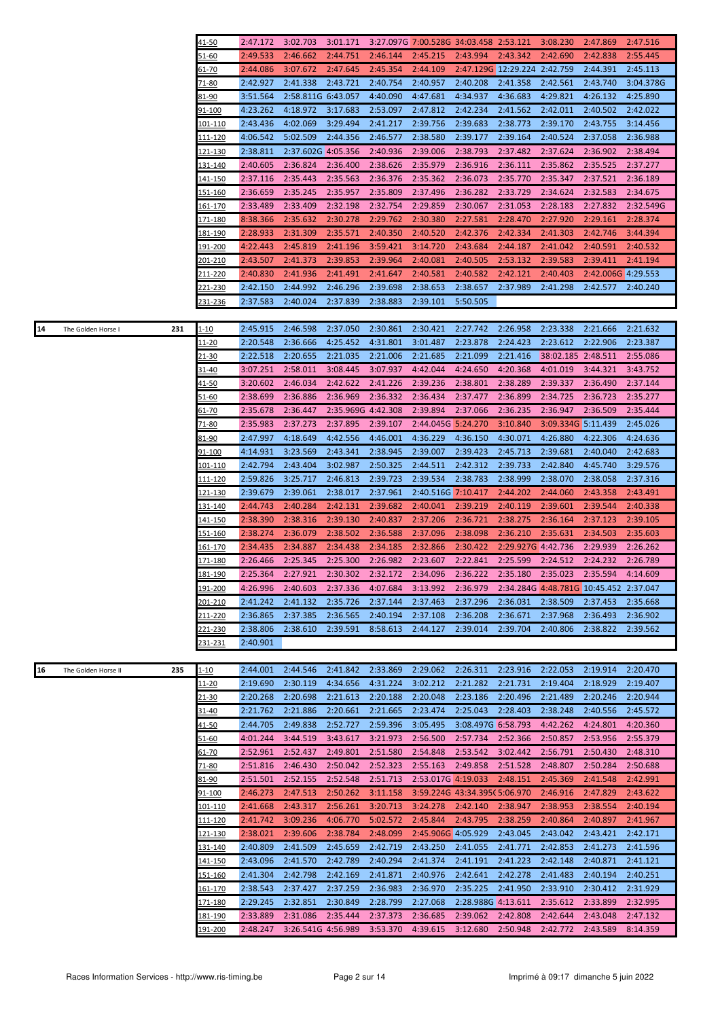|    |                     |     | 41-50              | 2:47.172             | 3:02.703             | 3:01.171             |                      | 3:27.097G 7:00.528G 34:03.458 2:53.121                                                    |                              |                              | 3:08.230                               | 2:47.869             | 2:47.516              |
|----|---------------------|-----|--------------------|----------------------|----------------------|----------------------|----------------------|-------------------------------------------------------------------------------------------|------------------------------|------------------------------|----------------------------------------|----------------------|-----------------------|
|    |                     |     | 51-60              | 2:49.533             | 2:46.662             | 2:44.751             | 2:46.144             | 2:45.215                                                                                  | 2:43.994                     | 2:43.342                     | 2:42.690                               | 2:42.838             | 2:55.445              |
|    |                     |     | <u>61-70</u>       | 2:44.086             | 3:07.672             | 2:47.645             | 2:45.354             | 2:44.109                                                                                  |                              | 2:47.129G 12:29.224 2:42.759 |                                        | 2:44.391             | 2:45.113              |
|    |                     |     | 71-80              | 2:42.927             | 2:41.338             | 2:43.721             | 2:40.754             | 2:40.957                                                                                  | 2:40.208                     | 2:41.358                     | 2:42.561                               | 2:43.740             | 3:04.378G             |
|    |                     |     | 81-90              | 3:51.564             | 2:58.811G 6:43.057   |                      | 4:40.090             | 4:47.681                                                                                  | 4:34.937                     | 4:36.683                     | 4:29.821                               | 4:26.132             | 4:25.890              |
|    |                     |     | 91-100             | 4:23.262             | 4:18.972             | 3:17.683             | 2:53.097             | 2:47.812                                                                                  | 2:42.234                     | 2:41.562                     | 2:42.011                               | 2:40.502             | 2:42.022              |
|    |                     |     | 101-110            | 2:43.436             | 4:02.069             | 3:29.494             | 2:41.217             | 2:39.756                                                                                  | 2:39.683                     | 2:38.773                     | 2:39.170                               | 2:43.755             | 3:14.456              |
|    |                     |     | <u> 111-120</u>    | 4:06.542             | 5:02.509             | 2:44.356             | 2:46.577             | 2:38.580                                                                                  | 2:39.177                     | 2:39.164                     | 2:40.524                               | 2:37.058             | 2:36.988              |
|    |                     |     | 121-130            | 2:38.811             | 2:37.602G 4:05.356   |                      | 2:40.936             | 2:39.006                                                                                  | 2:38.793                     | 2:37.482                     | 2:37.624                               | 2:36.902             | 2:38.494              |
|    |                     |     | 131-140            | 2:40.605             | 2:36.824             | 2:36.400             | 2:38.626             | 2:35.979                                                                                  | 2:36.916                     | 2:36.111                     | 2:35.862                               | 2:35.525             | 2:37.277              |
|    |                     |     | 141-150            | 2:37.116             | 2:35.443             | 2:35.563<br>2:35.957 | 2:36.376             | 2:35.362                                                                                  | 2:36.073<br>2:36.282         | 2:35.770                     | 2:35.347                               | 2:37.521             | 2:36.189              |
|    |                     |     | 151-160<br>161-170 | 2:36.659<br>2:33.489 | 2:35.245<br>2:33.409 | 2:32.198             | 2:35.809<br>2:32.754 | 2:37.496<br>2:29.859                                                                      | 2:30.067                     | 2:33.729<br>2:31.053         | 2:34.624<br>2:28.183                   | 2:32.583<br>2:27.832 | 2:34.675<br>2:32.549G |
|    |                     |     | 171-180            | 8:38.366             | 2:35.632             | 2:30.278             | 2:29.762             | 2:30.380                                                                                  | 2:27.581                     | 2:28.470                     | 2:27.920                               | 2:29.161             | 2:28.374              |
|    |                     |     | 181-190            | 2:28.933             | 2:31.309             | 2:35.571             | 2:40.350             | 2:40.520                                                                                  | 2:42.376                     | 2:42.334                     | 2:41.303                               | 2:42.746             | 3:44.394              |
|    |                     |     | <u> 191-200</u>    | 4:22.443             | 2:45.819             | 2:41.196             | 3:59.421             | 3:14.720                                                                                  | 2:43.684                     | 2:44.187                     | 2:41.042                               | 2:40.591             | 2:40.532              |
|    |                     |     | 201-210            | 2:43.507             | 2:41.373             | 2:39.853             | 2:39.964             | 2:40.081                                                                                  | 2:40.505                     | 2:53.132                     | 2:39.583                               | 2:39.411             | 2:41.194              |
|    |                     |     | 211-220            | 2:40.830             | 2:41.936             | 2:41.491             | 2:41.647             | 2:40.581                                                                                  | 2:40.582                     | 2:42.121                     | 2:40.403                               | 2:42.006G 4:29.553   |                       |
|    |                     |     | 221-230            | 2:42.150             | 2:44.992             | 2:46.296             | 2:39.698             | 2:38.653                                                                                  | 2:38.657                     | 2:37.989                     | 2:41.298                               | 2:42.577             | 2:40.240              |
|    |                     |     | 231-236            | 2:37.583             | 2:40.024             | 2:37.839             | 2:38.883             | 2:39.101                                                                                  | 5:50.505                     |                              |                                        |                      |                       |
|    |                     |     |                    |                      |                      |                      |                      |                                                                                           |                              |                              |                                        |                      |                       |
| 14 | The Golden Horse I  | 231 | <u>1-10</u>        | 2:45.915             | 2:46.598             | 2:37.050             | 2:30.861             | 2:30.421                                                                                  | 2:27.742                     | 2:26.958                     | 2:23.338                               | 2:21.666             | 2:21.632              |
|    |                     |     | 11-20              | 2:20.548             | 2:36.666             | 4:25.452             | 4:31.801             | 3:01.487                                                                                  | 2:23.878                     | 2:24.423                     | 2:23.612                               | 2:22.906             | 2:23.387              |
|    |                     |     | 21-30              | 2:22.518             | 2:20.655             | 2:21.035             | 2:21.006             | 2:21.685                                                                                  | 2:21.099                     | 2:21.416                     | 38:02.185 2:48.511                     |                      | 2:55.086              |
|    |                     |     | 31-40              | 3:07.251             | 2:58.011             | 3:08.445             | 3:07.937             | 4:42.044                                                                                  | 4:24.650                     | 4:20.368                     | 4:01.019                               | 3:44.321             | 3:43.752              |
|    |                     |     | <u>41-50</u>       | 3:20.602             | 2:46.034             | 2:42.622             | 2:41.226             | 2:39.236                                                                                  | 2:38.801                     | 2:38.289                     | 2:39.337                               | 2:36.490             | 2:37.144              |
|    |                     |     | 51-60              | 2:38.699             | 2:36.886             | 2:36.969             | 2:36.332             | 2:36.434                                                                                  | 2:37.477                     | 2:36.899                     | 2:34.725                               | 2:36.723             | 2:35.277              |
|    |                     |     | <u>61-70</u>       | 2:35.678             | 2:36.447             | 2:35.969G 4:42.308   |                      | 2:39.894                                                                                  | 2:37.066                     | 2:36.235                     | 2:36.947                               | 2:36.509             | 2:35.444              |
|    |                     |     | 71-80              | 2:35.983             | 2:37.273             | 2:37.895             | 2:39.107             | 2:44.045G 5:24.270                                                                        |                              | 3:10.840                     | 3:09.334G 5:11.439                     |                      | 2:45.026              |
|    |                     |     | 81-90              | 2:47.997             | 4:18.649             | 4:42.556             | 4:46.001             | 4:36.229                                                                                  | 4:36.150                     | 4:30.071                     | 4:26.880                               | 4:22.306             | 4:24.636              |
|    |                     |     | 91-100             | 4:14.931             | 3:23.569             | 2:43.341             | 2:38.945             | 2:39.007                                                                                  | 2:39.423                     | 2:45.713                     | 2:39.681                               | 2:40.040             | 2:42.683              |
|    |                     |     | 101-110            | 2:42.794             | 2:43.404             | 3:02.987             | 2:50.325             | 2:44.511                                                                                  | 2:42.312                     | 2:39.733                     | 2:42.840                               | 4:45.740             | 3:29.576              |
|    |                     |     | 111-120            | 2:59.826             | 3:25.717             | 2:46.813             | 2:39.723             | 2:39.534                                                                                  | 2:38.783                     | 2:38.999                     | 2:38.070                               | 2:38.058             | 2:37.316              |
|    |                     |     | 121-130<br>131-140 | 2:39.679             | 2:39.061<br>2:40.284 | 2:38.017<br>2:42.131 | 2:37.961             | 2:40.516G 7:10.417<br>2:40.041                                                            | 2:39.219                     | 2:44.202<br>2:40.119         | 2:44.060<br>2:39.601                   | 2:43.358<br>2:39.544 | 2:43.491              |
|    |                     |     | 141-150            | 2:44.743<br>2:38.390 | 2:38.316             | 2:39.130             | 2:39.682<br>2:40.837 | 2:37.206                                                                                  | 2:36.721                     | 2:38.275                     | 2:36.164                               | 2:37.123             | 2:40.338<br>2:39.105  |
|    |                     |     | <u>151-160</u>     | 2:38.274             | 2:36.079             | 2:38.502             | 2:36.588             | 2:37.096                                                                                  | 2:38.098                     | 2:36.210                     | 2:35.631                               | 2:34.503             | 2:35.603              |
|    |                     |     | <u> 161-170</u>    | 2:34.435             | 2:34.887             | 2:34.438             | 2:34.185             | 2:32.866                                                                                  | 2:30.422                     | 2:29.927G 4:42.736           |                                        | 2:29.939             | 2:26.262              |
|    |                     |     | <u> 171-180</u>    | 2:26.466             | 2:25.345             | 2:25.300             | 2:26.982             | 2:23.607                                                                                  | 2:22.841                     | 2:25.599                     | 2:24.512                               | 2:24.232             | 2:26.789              |
|    |                     |     | 181-190            |                      |                      |                      |                      | 2:25.364 2:27.921 2:30.302 2:32.172 2:34.096 2:36.222 2:35.180 2:35.023 2:35.594 4:14.609 |                              |                              |                                        |                      |                       |
|    |                     |     | <u>191-200</u>     | 4:26.996             | 2:40.603             | 2:37.336             | 4:07.684             | 3:13.992                                                                                  | 2:36.979                     |                              | 2:34.284G 4:48.781G 10:45.452 2:37.047 |                      |                       |
|    |                     |     | 201-210            | 2:41.242             | 2:41.132             | 2:35.726             | 2:37.144             | 2:37.463                                                                                  | 2:37.296                     | 2:36.031                     | 2:38.509                               | 2:37.453             | 2:35.668              |
|    |                     |     | <u>211-220</u>     | 2:36.865             | 2:37.385             | 2:36.565             | 2:40.194             | 2:37.108                                                                                  | 2:36.208                     | 2:36.671                     | 2:37.968                               | 2:36.493             | 2:36.902              |
|    |                     |     | 221-230            | 2:38.806             | 2:38.610             | 2:39.591             | 8:58.613             | 2:44.127                                                                                  | 2:39.014                     | 2:39.704                     | 2:40.806                               | 2:38.822             | 2:39.562              |
|    |                     |     | <u>231-231</u>     | 2:40.901             |                      |                      |                      |                                                                                           |                              |                              |                                        |                      |                       |
|    |                     |     |                    |                      |                      |                      |                      |                                                                                           |                              |                              |                                        |                      |                       |
| 16 | The Golden Horse II | 235 | <u>1-10</u>        | 2:44.001             | 2:44.546             | 2:41.842             | 2:33.869             | 2:29.062                                                                                  | 2:26.311                     | 2:23.916                     | 2:22.053                               | 2:19.914             | 2:20.470              |
|    |                     |     | 11-20              | 2:19.690             | 2:30.119             | 4:34.656             | 4:31.224             | 3:02.212                                                                                  | 2:21.282                     | 2:21.731                     | 2:19.404                               | 2:18.929             | 2:19.407              |
|    |                     |     | <u>21-30</u>       | 2:20.268             | 2:20.698             | 2:21.613             | 2:20.188             | 2:20.048                                                                                  | 2:23.186                     | 2:20.496                     | 2:21.489                               | 2:20.246             | 2:20.944              |
|    |                     |     | 31-40              | 2:21.762             | 2:21.886             | 2:20.661             | 2:21.665             | 2:23.474                                                                                  | 2:25.043                     | 2:28.403                     | 2:38.248                               | 2:40.556             | 2:45.572              |
|    |                     |     | <u>41-50</u>       | 2:44.705             | 2:49.838             | 2:52.727             | 2:59.396             | 3:05.495                                                                                  | 3:08.497G 6:58.793           |                              | 4:42.262                               | 4:24.801             | 4:20.360              |
|    |                     |     | 51-60              | 4:01.244             | 3:44.519             | 3:43.617             | 3:21.973             | 2:56.500                                                                                  | 2:57.734                     | 2:52.366                     | 2:50.857                               | 2:53.956             | 2:55.379              |
|    |                     |     | <u>61-70</u>       | 2:52.961             | 2:52.437             | 2:49.801             | 2:51.580             | 2:54.848                                                                                  | 2:53.542                     | 3:02.442                     | 2:56.791                               | 2:50.430             | 2:48.310              |
|    |                     |     | 71-80              | 2:51.816<br>2:51.501 | 2:46.430<br>2:52.155 | 2:50.042<br>2:52.548 | 2:52.323<br>2:51.713 | 2:55.163<br>2:53.017G 4:19.033                                                            | 2:49.858                     | 2:51.528<br>2:48.151         | 2:48.807<br>2:45.369                   | 2:50.284<br>2:41.548 | 2:50.688<br>2:42.991  |
|    |                     |     | 81-90<br>91-100    | 2:46.273             | 2:47.513             | 2:50.262             | 3:11.158             |                                                                                           | 3:59.224G 43:34.395(5:06.970 |                              | 2:46.916                               | 2:47.829             | 2:43.622              |
|    |                     |     | 101-110            | 2:41.668             | 2:43.317             | 2:56.261             | 3:20.713             | 3:24.278                                                                                  | 2:42.140                     | 2:38.947                     | 2:38.953                               | 2:38.554             | 2:40.194              |
|    |                     |     | 111-120            | 2:41.742             | 3:09.236             | 4:06.770             | 5:02.572             | 2:45.844                                                                                  | 2:43.795                     | 2:38.259                     | 2:40.864                               | 2:40.897             | 2:41.967              |
|    |                     |     | 121-130            | 2:38.021             | 2:39.606             | 2:38.784             | 2:48.099             | 2:45.906G 4:05.929                                                                        |                              | 2:43.045                     | 2:43.042                               | 2:43.421             | 2:42.171              |
|    |                     |     | 131-140            | 2:40.809             | 2:41.509             | 2:45.659             | 2:42.719             | 2:43.250                                                                                  | 2:41.055                     | 2:41.771                     | 2:42.853                               | 2:41.273             | 2:41.596              |
|    |                     |     |                    | 2:43.096             | 2:41.570             | 2:42.789             | 2:40.294             | 2:41.374                                                                                  | 2:41.191                     | 2:41.223                     | 2:42.148                               | 2:40.871             | 2:41.121              |
|    |                     |     | 141-150            |                      |                      |                      |                      |                                                                                           |                              |                              |                                        |                      |                       |
|    |                     |     | <u>151-160</u>     | 2:41.304             | 2:42.798             | 2:42.169             | 2:41.871             | 2:40.976                                                                                  | 2:42.641                     | 2:42.278                     | 2:41.483                               | 2:40.194             | 2:40.251              |
|    |                     |     | <u> 161-170</u>    | 2:38.543             | 2:37.427             | 2:37.259             | 2:36.983             | 2:36.970                                                                                  | 2:35.225                     | 2:41.950                     | 2:33.910                               | 2:30.412             | 2:31.929              |
|    |                     |     | <u>171-180</u>     | 2:29.245             | 2:32.851             | 2:30.849             | 2:28.799             | 2:27.068                                                                                  | 2:28.988G 4:13.611           |                              | 2:35.612                               | 2:33.899             | 2:32.995              |
|    |                     |     | 181-190            | 2:33.889             | 2:31.086             | 2:35.444             | 2:37.373             | 2:36.685                                                                                  | 2:39.062                     | 2:42.808                     | 2:42.644                               | 2:43.048             | 2:47.132              |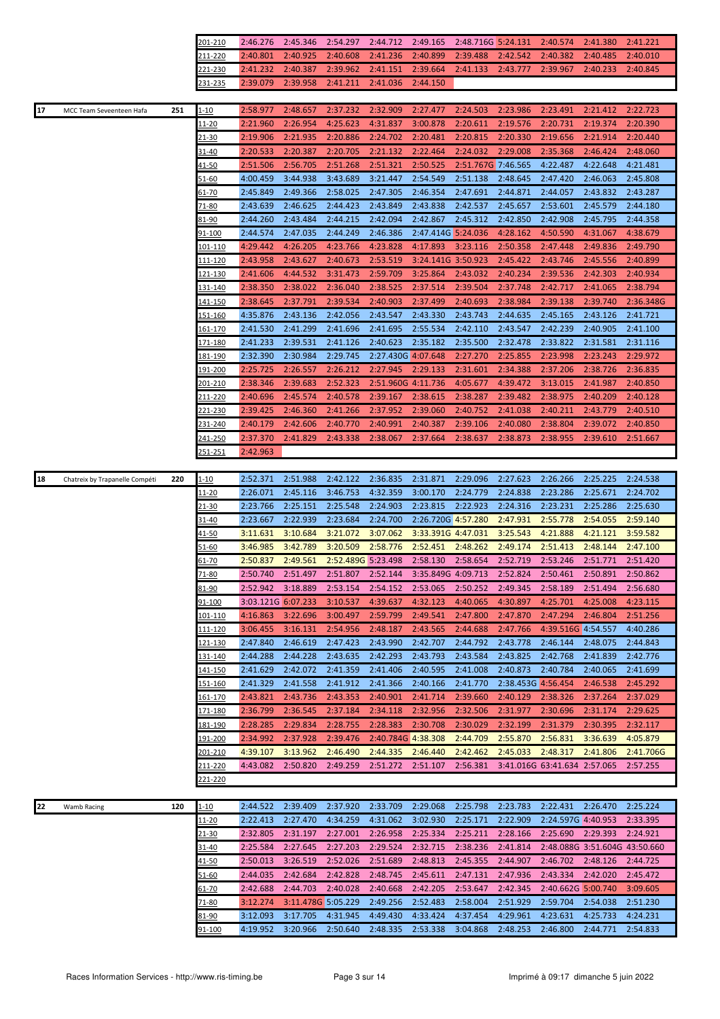|                                             | 201-210         | 2:46.276                       | 2:45.346           | 2:54.297             | 2:44.712           | 2:49.165           | 2:48.716G 5:24.131 |                      | 2:40.574                     | 2:41.380 | 2:41.221                      |
|---------------------------------------------|-----------------|--------------------------------|--------------------|----------------------|--------------------|--------------------|--------------------|----------------------|------------------------------|----------|-------------------------------|
|                                             | 211-220         | 2:40.801                       | 2:40.925           | 2:40.608             | 2:41.236           | 2:40.899           | 2:39.488           | 2:42.542             | 2:40.382                     | 2:40.485 | 2:40.010                      |
|                                             | <u>221-230</u>  | 2:41.232                       | 2:40.387           | 2:39.962             | 2:41.151           | 2:39.664           | 2:41.133           | 2:43.777             | 2:39.967                     | 2:40.233 | 2:40.845                      |
|                                             | <u>231-235</u>  | 2:39.079                       | 2:39.958           | 2:41.211             | 2:41.036           | 2:44.150           |                    |                      |                              |          |                               |
|                                             |                 |                                |                    |                      |                    |                    |                    |                      |                              |          |                               |
| 17<br>251<br>MCC Team Seveenteen Hafa       | <u>1-10</u>     | 2:58.977                       | 2:48.657           | 2:37.232             | 2:32.909           | 2:27.477           | 2:24.503           | 2:23.986             | 2:23.491                     | 2:21.412 | 2:22.723                      |
|                                             | <u> 11-20</u>   | 2:21.960                       | 2:26.954           | 4:25.623             | 4:31.837           | 3:00.878           | 2:20.611           | 2:19.576             | 2:20.731                     | 2:19.374 | 2:20.390                      |
|                                             | <u>21-30</u>    | 2:19.906                       | 2:21.935           | 2:20.886             | 2:24.702           | 2:20.481           | 2:20.815           | 2:20.330             | 2:19.656                     | 2:21.914 | 2:20.440                      |
|                                             | 31-40           | 2:20.533                       | 2:20.387           | 2:20.705             | 2:21.132           | 2:22.464           | 2:24.032           | 2:29.008             | 2:35.368                     | 2:46.424 | 2:48.060                      |
|                                             | 41-50           | 2:51.506                       | 2:56.705           | 2:51.268             | 2:51.321           | 2:50.525           | 2:51.767G 7:46.565 |                      | 4:22.487                     | 4:22.648 | 4:21.481                      |
|                                             | <u>51-60</u>    | 4:00.459                       | 3:44.938           | 3:43.689             | 3:21.447           | 2:54.549           | 2:51.138           | 2:48.645             | 2:47.420                     | 2:46.063 | 2:45.808                      |
|                                             | <u>61-70</u>    | 2:45.849                       | 2:49.366           | 2:58.025             | 2:47.305           | 2:46.354           | 2:47.691           | 2:44.871             | 2:44.057                     | 2:43.832 | 2:43.287                      |
|                                             |                 |                                | 2:46.625           |                      |                    |                    |                    |                      |                              |          |                               |
|                                             | 71-80           | 2:43.639                       |                    | 2:44.423             | 2:43.849           | 2:43.838           | 2:42.537           | 2:45.657             | 2:53.601                     | 2:45.579 | 2:44.180                      |
|                                             | 81-90           | 2:44.260                       | 2:43.484           | 2:44.215             | 2:42.094           | 2:42.867           | 2:45.312           | 2:42.850             | 2:42.908                     | 2:45.795 | 2:44.358                      |
|                                             | 91-100          | 2:44.574                       | 2:47.035           | 2:44.249             | 2:46.386           | 2:47.414G 5:24.036 |                    | 4:28.162             | 4:50.590                     | 4:31.067 | 4:38.679                      |
|                                             | <u> 101-110</u> | 4:29.442                       | 4:26.205           | 4:23.766             | 4:23.828           | 4:17.893           | 3:23.116           | 2:50.358             | 2:47.448                     | 2:49.836 | 2:49.790                      |
|                                             | <u> 111-120</u> | 2:43.958                       | 2:43.627           | 2:40.673             | 2:53.519           | 3:24.141G 3:50.923 |                    | 2:45.422             | 2:43.746                     | 2:45.556 | 2:40.899                      |
|                                             | <u> 121-130</u> | 2:41.606                       | 4:44.532           | 3:31.473             | 2:59.709           | 3:25.864           | 2:43.032           | 2:40.234             | 2:39.536                     | 2:42.303 | 2:40.934                      |
|                                             | 131-140         | 2:38.350                       | 2:38.022           | 2:36.040             | 2:38.525           | 2:37.514           | 2:39.504           | 2:37.748             | 2:42.717                     | 2:41.065 | 2:38.794                      |
|                                             | <u>141-150</u>  | 2:38.645                       | 2:37.791           | 2:39.534             | 2:40.903           | 2:37.499           | 2:40.693           | 2:38.984             | 2:39.138                     | 2:39.740 | 2:36.348G                     |
|                                             | <u>151-160</u>  | 4:35.876                       | 2:43.136           | 2:42.056             | 2:43.547           | 2:43.330           | 2:43.743           | 2:44.635             | 2:45.165                     | 2:43.126 | 2:41.721                      |
|                                             | 161-170         | 2:41.530                       | 2:41.299           | 2:41.696             | 2:41.695           | 2:55.534           | 2:42.110           | 2:43.547             | 2:42.239                     | 2:40.905 | 2:41.100                      |
|                                             | <u>171-180</u>  | 2:41.233                       | 2:39.531           | 2:41.126             | 2:40.623           | 2:35.182           | 2:35.500           | 2:32.478             | 2:33.822                     | 2:31.581 | 2:31.116                      |
|                                             | 181-190         | 2:32.390                       | 2:30.984           | 2:29.745             | 2:27.430G 4:07.648 |                    | 2:27.270           | 2:25.855             | 2:23.998                     | 2:23.243 | 2:29.972                      |
|                                             | <u> 191-200</u> | 2:25.725                       | 2:26.557           | 2:26.212             | 2:27.945           | 2:29.133           | 2:31.601           | 2:34.388             | 2:37.206                     | 2:38.726 | 2:36.835                      |
|                                             | 201-210         | 2:38.346                       | 2:39.683           | 2:52.323             | 2:51.960G 4:11.736 |                    | 4:05.677           | 4:39.472             | 3:13.015                     | 2:41.987 | 2:40.850                      |
|                                             | 211-220         | 2:40.696                       | 2:45.574           | 2:40.578             | 2:39.167           | 2:38.615           | 2:38.287           | 2:39.482             | 2:38.975                     | 2:40.209 | 2:40.128                      |
|                                             | <u>221-230</u>  | 2:39.425                       | 2:46.360           | 2:41.266             | 2:37.952           | 2:39.060           | 2:40.752           | 2:41.038             | 2:40.211                     | 2:43.779 | 2:40.510                      |
|                                             | 231-240         | 2:40.179                       | 2:42.606           | 2:40.770             | 2:40.991           | 2:40.387           | 2:39.106           | 2:40.080             | 2:38.804                     | 2:39.072 | 2:40.850                      |
|                                             | <u> 41-250</u>  | 2:37.370                       | 2:41.829           | 2:43.338             | 2:38.067           | 2:37.664           | 2:38.637           | 2:38.873             | 2:38.955                     | 2:39.610 | 2:51.667                      |
|                                             | 151-251         | 2:42.963                       |                    |                      |                    |                    |                    |                      |                              |          |                               |
|                                             |                 |                                |                    |                      |                    |                    |                    |                      |                              |          |                               |
| 18<br>220<br>Chatreix by Trapanelle Compéti |                 |                                |                    |                      |                    |                    |                    |                      |                              |          |                               |
|                                             | $1 - 10$        | 2:52.371                       | 2:51.988           | 2:42.122             | 2:36.835           | 2:31.871           | 2:29.096           | 2:27.623             | 2:26.266                     | 2:25.225 | 2:24.538                      |
|                                             | 11-20           | 2:26.071                       | 2:45.116           | 3:46.753             | 4:32.359           | 3:00.170           | 2:24.779           | 2:24.838             | 2:23.286                     | 2:25.671 | 2:24.702                      |
|                                             | 21-30           | 2:23.766                       | 2:25.151           | 2:25.548             | 2:24.903           | 2:23.815           | 2:22.923           | 2:24.316             | 2:23.231                     | 2:25.286 | 2:25.630                      |
|                                             | 31-40           | 2:23.667                       | 2:22.939           | 2:23.684             | 2:24.700           | 2:26.720G 4:57.280 |                    | 2:47.931             | 2:55.778                     | 2:54.055 | 2:59.140                      |
|                                             | 41-50           | 3:11.631                       | 3:10.684           | 3:21.072             | 3:07.062           | 3:33.391G 4:47.031 |                    | 3:25.543             | 4:21.888                     | 4:21.121 | 3:59.582                      |
|                                             | 51-60           | 3:46.985                       | 3:42.789           | 3:20.509             | 2:58.776           | 2:52.451           | 2:48.262           | 2:49.174             | 2:51.413                     | 2:48.144 | 2:47.100                      |
|                                             | <u>61-70</u>    | 2:50.837                       | 2:49.561           | 2:52.489G 5:23.498   |                    | 2:58.130           | 2:58.654           | 2:52.719             | 2:53.246                     | 2:51.771 | 2:51.420                      |
|                                             | 71-80           | 2:50.740                       | 2:51.497           | 2:51.807             | 2:52.144           | 3:35.849G 4:09.713 |                    | 2:52.824             | 2:50.461                     | 2:50.891 | 2:50.862                      |
|                                             |                 |                                |                    |                      |                    |                    |                    |                      |                              |          |                               |
|                                             | 81-90           | 2:52.942<br>3:03.121G 6:07.233 | 3:18.889           | 2:53.154<br>3:10.537 | 2:54.152           | 2:53.065           | 2:50.252           | 2:49.345<br>4:30.897 | 2:58.189                     | 2:51.494 | 2:56.680                      |
|                                             | <u>91-100</u>   |                                |                    | 3:00.497             | 4:39.637           | 4:32.123           | 4:40.065           |                      | 4:25.701                     | 4:25.008 | 4:23.115                      |
|                                             | 101-110         | 4:16.863                       | 3:22.696           |                      | 2:59.799           | 2:49.541           | 2:47.800           | 2:47.870             | 2:47.294                     | 2:46.804 | 2:51.256                      |
|                                             | 111-120         | 3:06.455                       | 3:16.131           | 2:54.956             | 2:48.187           | 2:43.565           | 2:44.688           | 2:47.766             | 4:39.516G 4:54.557           |          | 4:40.286                      |
|                                             | <u>121-130</u>  | 2:47.840                       | 2:46.619           | 2:47.423             | 2:43.990           | 2:42.707           | 2:44.792           | 2:43.778             | 2:46.144                     | 2:48.075 | 2:44.843                      |
|                                             | 131-140         | 2:44.288                       | 2:44.228           | 2:43.635             | 2:42.293           | 2:43.793           | 2:43.584           | 2:43.825             | 2:42.768                     | 2:41.839 | 2:42.776                      |
|                                             | 141-150         | 2:41.629                       | 2:42.072           | 2:41.359             | 2:41.406           | 2:40.595           | 2:41.008           | 2:40.873             | 2:40.784                     | 2:40.065 | 2:41.699                      |
|                                             | 151-160         | 2:41.329                       | 2:41.558           | 2:41.912             | 2:41.366           | 2:40.166           | 2:41.770           | 2:38.453G 4:56.454   |                              | 2:46.538 | 2:45.292                      |
|                                             | 161-170         | 2:43.821                       | 2:43.736           | 2:43.353             | 2:40.901           | 2:41.714           | 2:39.660           | 2:40.129             | 2:38.326                     | 2:37.264 | 2:37.029                      |
|                                             | 171-180         | 2:36.799                       | 2:36.545           | 2:37.184             | 2:34.118           | 2:32.956           | 2:32.506           | 2:31.977             | 2:30.696                     | 2:31.174 | 2:29.625                      |
|                                             | <u> 181-190</u> | 2:28.285                       | 2:29.834           | 2:28.755             | 2:28.383           | 2:30.708           | 2:30.029           | 2:32.199             | 2:31.379                     | 2:30.395 | 2:32.117                      |
|                                             | 191-200         | 2:34.992                       | 2:37.928           | 2:39.476             | 2:40.784G 4:38.308 |                    | 2:44.709           | 2:55.870             | 2:56.831                     | 3:36.639 | 4:05.879                      |
|                                             | 201-210         | 4:39.107                       | 3:13.962           | 2:46.490             | 2:44.335           | 2:46.440           | 2:42.462           | 2:45.033             | 2:48.317                     | 2:41.806 | 2:41.706G                     |
|                                             | 211-220         | 4:43.082                       | 2:50.820           | 2:49.259             | 2:51.272           | 2:51.107           | 2:56.381           |                      | 3:41.016G 63:41.634 2:57.065 |          | 2:57.255                      |
|                                             | 221-220         |                                |                    |                      |                    |                    |                    |                      |                              |          |                               |
|                                             |                 |                                |                    |                      |                    |                    |                    |                      |                              |          |                               |
| 22<br>120<br>Wamb Racing                    | $1 - 10$        | 2:44.522                       | 2:39.409           | 2:37.920             | 2:33.709           | 2:29.068           | 2:25.798           | 2:23.783             | 2:22.431                     | 2:26.470 | 2:25.224                      |
|                                             | <u> 11-20</u>   | 2:22.413                       | 2:27.470           | 4:34.259             | 4:31.062           | 3:02.930           | 2:25.171           | 2:22.909             | 2:24.597G 4:40.953           |          | 2:33.395                      |
|                                             | 21-30           | 2:32.805                       | 2:31.197           | 2:27.001             | 2:26.958           | 2:25.334           | 2:25.211           | 2:28.166             | 2:25.690                     | 2:29.393 | 2:24.921                      |
|                                             | 31-40           | 2:25.584                       | 2:27.645           | 2:27.203             | 2:29.524           | 2:32.715           | 2:38.236           | 2:41.814             |                              |          | 2:48.088G 3:51.604G 43:50.660 |
|                                             | <u>41-50</u>    | 2:50.013                       | 3:26.519           | 2:52.026             | 2:51.689           | 2:48.813           | 2:45.355           | 2:44.907             | 2:46.702                     | 2:48.126 | 2:44.725                      |
|                                             | 51-60           | 2:44.035                       | 2:42.684           | 2:42.828             | 2:48.745           | 2:45.611           | 2:47.131           | 2:47.936             | 2:43.334                     | 2:42.020 | 2:45.472                      |
|                                             | 61-70           | 2:42.688                       | 2:44.703           | 2:40.028             | 2:40.668           | 2:42.205           | 2:53.647           | 2:42.345             | 2:40.662G 5:00.740           |          | 3:09.605                      |
|                                             | 71-80           | 3:12.274                       | 3:11.478G 5:05.229 |                      | 2:49.256           | 2:52.483           | 2:58.004           | 2:51.929             | 2:59.704                     | 2:54.038 | 2:51.230                      |
|                                             | 81-90           | 3:12.093                       | 3:17.705           | 4:31.945             | 4:49.430           | 4:33.424           | 4:37.454           | 4:29.961             | 4:23.631                     | 4:25.733 | 4:24.231                      |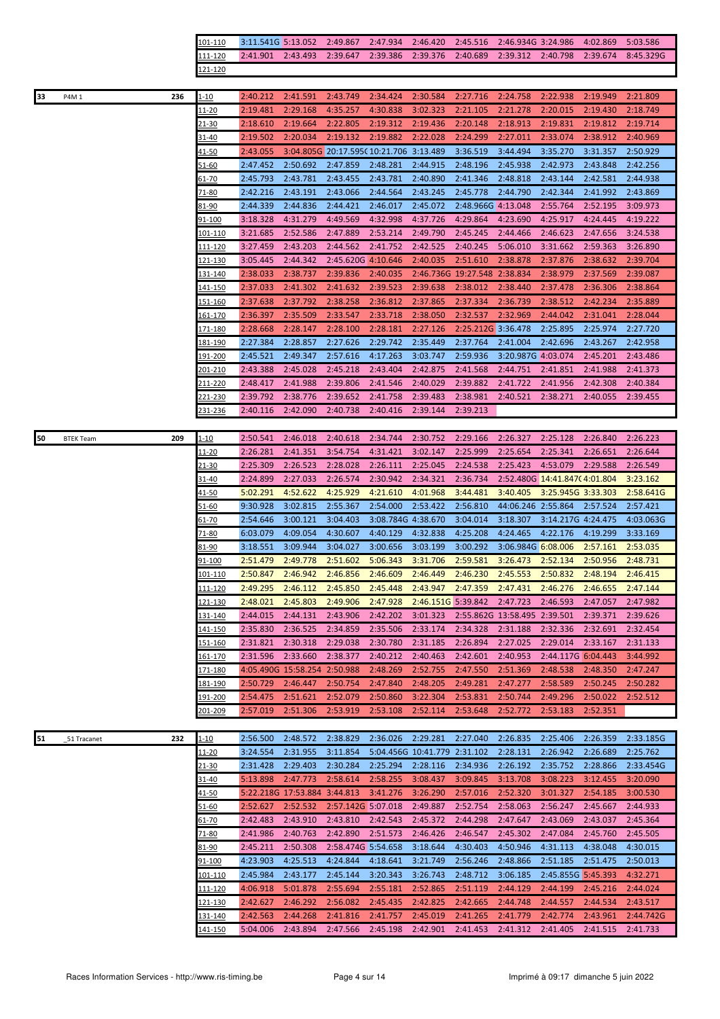|    |                  |     | 101-110         | 3:11.541G 5:13.052 |                                     | 2:49.867                               | 2:47.934           | 2:46.420                     | 2:45.516                     | 2:46.934G 3:24.986                  |                    | 4:02.869 | 5:03.586  |
|----|------------------|-----|-----------------|--------------------|-------------------------------------|----------------------------------------|--------------------|------------------------------|------------------------------|-------------------------------------|--------------------|----------|-----------|
|    |                  |     | 111-120         | 2:41.901 2:43.493  |                                     | 2:39.647                               | 2:39.386           | 2:39.376                     | 2:40.689                     | 2:39.312 2:40.798                   |                    | 2:39.674 | 8:45.329G |
|    |                  |     | 121-120         |                    |                                     |                                        |                    |                              |                              |                                     |                    |          |           |
|    |                  |     |                 |                    |                                     |                                        |                    |                              |                              |                                     |                    |          |           |
| 33 | P4M 1            | 236 | $1 - 10$        | 2:40.212           | 2:41.591                            | 2:43.749                               | 2:34.424           | 2:30.584                     | 2:27.716                     | 2:24.758                            | 2:22.938           | 2:19.949 | 2:21.809  |
|    |                  |     |                 |                    |                                     |                                        |                    |                              |                              |                                     |                    |          |           |
|    |                  |     | $11 - 20$       | 2:19.481           | 2:29.168                            | 4:35.257                               | 4:30.838           | 3:02.323                     | 2:21.105                     | 2:21.278                            | 2:20.015           | 2:19.430 | 2:18.749  |
|    |                  |     | <u>21-30</u>    | 2:18.610           | 2:19.664                            | 2:22.805                               | 2:19.312           | 2:19.436                     | 2:20.148                     | 2:18.913                            | 2:19.831           | 2:19.812 | 2:19.714  |
|    |                  |     | $31 - 40$       | 2:19.502           | 2:20.034                            | 2:19.132                               | 2:19.882           | 2:22.028                     | 2:24.299                     | 2:27.011                            | 2:33.074           | 2:38.912 | 2:40.969  |
|    |                  |     |                 | 2:43.055           |                                     | 3:04.805G 20:17.595(10:21.706 3:13.489 |                    |                              | 3:36.519                     | 3:44.494                            | 3:35.270           | 3:31.357 | 2:50.929  |
|    |                  |     | <u>41-50</u>    |                    |                                     |                                        |                    |                              |                              |                                     |                    |          |           |
|    |                  |     | <u>51-60</u>    | 2:47.452           | 2:50.692                            | 2:47.859                               | 2:48.281           | 2:44.915                     | 2:48.196                     | 2:45.938                            | 2:42.973           | 2:43.848 | 2:42.256  |
|    |                  |     | 61-70           | 2:45.793           | 2:43.781                            | 2:43.455                               | 2:43.781           | 2:40.890                     | 2:41.346                     | 2:48.818                            | 2:43.144           | 2:42.581 | 2:44.938  |
|    |                  |     | 71-80           | 2:42.216           | 2:43.191                            | 2:43.066                               | 2:44.564           | 2:43.245                     | 2:45.778                     | 2:44.790                            | 2:42.344           | 2:41.992 | 2:43.869  |
|    |                  |     | 81-90           | 2:44.339           | 2:44.836                            | 2:44.421                               | 2:46.017           | 2:45.072                     | 2:48.966G 4:13.048           |                                     | 2:55.764           | 2:52.195 | 3:09.973  |
|    |                  |     |                 |                    |                                     |                                        |                    |                              |                              |                                     |                    |          |           |
|    |                  |     | 91-100          | 3:18.328           | 4:31.279                            | 4:49.569                               | 4:32.998           | 4:37.726                     | 4:29.864                     | 4:23.690                            | 4:25.917           | 4:24.445 | 4:19.222  |
|    |                  |     | 101-110         | 3:21.685           | 2:52.586                            | 2:47.889                               | 2:53.214           | 2:49.790                     | 2:45.245                     | 2:44.466                            | 2:46.623           | 2:47.656 | 3:24.538  |
|    |                  |     | <u> 111-120</u> | 3:27.459           | 2:43.203                            | 2:44.562                               | 2:41.752           | 2:42.525                     | 2:40.245                     | 5:06.010                            | 3:31.662           | 2:59.363 | 3:26.890  |
|    |                  |     | <u>121-130</u>  | 3:05.445           | 2:44.342                            | 2:45.620G 4:10.646                     |                    | 2:40.035                     | 2:51.610                     | 2:38.878                            | 2:37.876           | 2:38.632 | 2:39.704  |
|    |                  |     |                 |                    |                                     |                                        |                    |                              |                              |                                     |                    |          |           |
|    |                  |     | <u>131-140</u>  | 2:38.033           | 2:38.737                            | 2:39.836                               | 2:40.035           |                              | 2:46.736G 19:27.548 2:38.834 |                                     | 2:38.979           | 2:37.569 | 2:39.087  |
|    |                  |     | <u>141-150</u>  | 2:37.033           | 2:41.302                            | 2:41.632                               | 2:39.523           | 2:39.638                     | 2:38.012                     | 2:38.440                            | 2:37.478           | 2:36.306 | 2:38.864  |
|    |                  |     | <u>151-160</u>  | 2:37.638           | 2:37.792                            | 2:38.258                               | 2:36.812           | 2:37.865                     | 2:37.334                     | 2:36.739                            | 2:38.512           | 2:42.234 | 2:35.889  |
|    |                  |     | 161-170         | 2:36.397           | 2:35.509                            | 2:33.547                               | 2:33.718           | 2:38.050                     | 2:32.537                     | 2:32.969                            | 2:44.042           | 2:31.041 | 2:28.044  |
|    |                  |     |                 |                    | 2:28.147                            | 2:28.100                               | 2:28.181           | 2:27.126                     | 2:25.212G 3:36.478           |                                     | 2:25.895           | 2:25.974 | 2:27.720  |
|    |                  |     | 171-180         | 2:28.668           |                                     |                                        |                    |                              |                              |                                     |                    |          |           |
|    |                  |     | 181-190         | 2:27.384           | 2:28.857                            | 2:27.626                               | 2:29.742           | 2:35.449                     | 2:37.764                     | 2:41.004                            | 2:42.696           | 2:43.267 | 2:42.958  |
|    |                  |     | 191-200         | 2:45.521           | 2:49.347                            | 2:57.616                               | 4:17.263           | 3:03.747                     | 2:59.936                     | 3:20.987G 4:03.074                  |                    | 2:45.201 | 2:43.486  |
|    |                  |     | 201-210         | 2:43.388           | 2:45.028                            | 2:45.218                               | 2:43.404           | 2:42.875                     | 2:41.568                     | 2:44.751                            | 2:41.851           | 2:41.988 | 2:41.373  |
|    |                  |     | 211-220         | 2:48.417           | 2:41.988                            | 2:39.806                               | 2:41.546           | 2:40.029                     | 2:39.882                     | 2:41.722                            | 2:41.956           | 2:42.308 | 2:40.384  |
|    |                  |     |                 |                    |                                     |                                        |                    |                              |                              |                                     |                    |          |           |
|    |                  |     | 221-230         | 2:39.792           | 2:38.776                            | 2:39.652                               | 2:41.758           | 2:39.483                     | 2:38.981                     | 2:40.521                            | 2:38.271           | 2:40.055 | 2:39.455  |
|    |                  |     | <u>231-236</u>  | 2:40.116           | 2:42.090                            | 2:40.738                               | 2:40.416           | 2:39.144                     | 2:39.213                     |                                     |                    |          |           |
|    |                  |     |                 |                    |                                     |                                        |                    |                              |                              |                                     |                    |          |           |
| 50 | <b>BTEK Team</b> | 209 | <u>1-10</u>     | 2:50.541           | 2:46.018                            | 2:40.618                               | 2:34.744           | 2:30.752                     | 2:29.166                     | 2:26.327                            | 2:25.128           | 2:26.840 | 2:26.223  |
|    |                  |     |                 |                    |                                     |                                        |                    |                              |                              |                                     |                    |          |           |
|    |                  |     | $11 - 20$       | 2:26.281           | 2:41.351                            | 3:54.754                               | 4:31.421           | 3:02.147                     | 2:25.999                     | 2:25.654                            | 2:25.341           | 2:26.651 | 2:26.644  |
|    |                  |     | 21-30           | 2:25.309           | 2:26.523                            | 2:28.028                               | 2:26.111           | 2:25.045                     | 2:24.538                     | 2:25.423                            | 4:53.079           | 2:29.588 | 2:26.549  |
|    |                  |     |                 |                    |                                     |                                        |                    |                              |                              |                                     |                    |          |           |
|    |                  |     | 31-40           | 2:24.899           | 2:27.033                            | 2:26.574                               | 2:30.942           | 2:34.321                     | 2:36.734                     | 2:52.480G 14:41.847C 4:01.804       |                    |          | 3:23.162  |
|    |                  |     |                 |                    |                                     |                                        |                    |                              |                              | 3:40.405                            |                    |          |           |
|    |                  |     | <u>41-50</u>    | 5:02.291           | 4:52.622                            | 4:25.929                               | 4:21.610           | 4:01.968                     | 3:44.481                     |                                     | 3:25.945G 3:33.303 |          | 2:58.641G |
|    |                  |     | <u>51-60</u>    | 9:30.928           | 3:02.815                            | 2:55.367                               | 2:54.000           | 2:53.422                     | 2:56.810                     | 44:06.246 2:55.864                  |                    | 2:57.524 | 2:57.421  |
|    |                  |     | 61-70           | 2:54.646           | 3:00.121                            | 3:04.403                               | 3:08.784G 4:38.670 |                              | 3:04.014                     | 3:18.307                            | 3:14.217G 4:24.475 |          | 4:03.063G |
|    |                  |     | 71-80           | 6:03.079           | 4:09.054                            | 4:30.607                               | 4:40.129           | 4:32.838                     | 4:25.208                     | 4:24.465                            | 4:22.176           | 4:19.299 | 3:33.169  |
|    |                  |     | 81-90           | 3:18.551           | 3:09.944                            | 3:04.027                               | 3:00.656           | 3:03.199                     | 3:00.292                     | 3:06.984G 6:08.006                  |                    | 2:57.161 | 2:53.035  |
|    |                  |     |                 |                    |                                     |                                        |                    |                              |                              |                                     |                    |          |           |
|    |                  |     | <u>91-100</u>   | 2:51.479           | 2:49.778                            | 2:51.602                               | 5:06.343           | 3:31.706                     | 2:59.581                     | 3:26.473                            | 2:52.134           | 2:50.956 | 2:48.731  |
|    |                  |     | 101-110         | 2:50.847           | 2:46.942 2:46.856 2:46.609 2:46.449 |                                        |                    |                              |                              | 2:46.230 2:45.553 2:50.832 2:48.194 |                    |          | 2:46.415  |
|    |                  |     | <u>111-120</u>  | 2:49.295           | 2:46.112                            | 2:45.850                               | 2:45.448           | 2:43.947                     | 2:47.359                     | 2:47.431                            | 2:46.276           | 2:46.655 | 2:47.144  |
|    |                  |     | 121-130         | 2:48.021           | 2:45.803                            | 2:49.906                               | 2:47.928           | 2:46.151G 5:39.842           |                              | 2:47.723                            | 2:46.593           | 2:47.057 | 2:47.982  |
|    |                  |     |                 |                    |                                     |                                        |                    |                              |                              |                                     |                    |          | 2:39.626  |
|    |                  |     | 131-140         | 2:44.015           | 2:44.131                            | 2:43.906                               | 2:42.202           | 3:01.323                     |                              | 2:55.862G 13:58.495 2:39.501        |                    | 2:39.371 |           |
|    |                  |     | <u> 141-150</u> | 2:35.830           | 2:36.525                            | 2:34.859                               | 2:35.506           | 2:33.174                     | 2:34.328                     | 2:31.188                            | 2:32.336           | 2:32.691 | 2:32.454  |
|    |                  |     | 151-160         | 2:31.821           | 2:30.318                            | 2:29.038                               | 2:30.780           | 2:31.185                     | 2:26.894                     | 2:27.025                            | 2:29.014           | 2:33.167 | 2:31.133  |
|    |                  |     | 161-170         | 2:31.596           | 2:33.660                            | 2:38.377                               | 2:40.212           | 2:40.463                     | 2:42.601                     | 2:40.953                            | 2:44.117G 6:04.443 |          | 3:44.992  |
|    |                  |     | 171-180         |                    | 4:05.490G 15:58.254 2:50.988        |                                        | 2:48.269           | 2:52.755                     | 2:47.550                     | 2:51.369                            | 2:48.538           | 2:48.350 | 2:47.247  |
|    |                  |     |                 |                    |                                     |                                        |                    |                              |                              |                                     |                    |          |           |
|    |                  |     | 181-190         | 2:50.729           | 2:46.447                            | 2:50.754                               | 2:47.840           | 2:48.205                     | 2:49.281                     | 2:47.277                            | 2:58.589           | 2:50.245 | 2:50.282  |
|    |                  |     | 191-200         | 2:54.475           | 2:51.621                            | 2:52.079                               | 2:50.860           | 3:22.304                     | 2:53.831                     | 2:50.744                            | 2:49.296           | 2:50.022 | 2:52.512  |
|    |                  |     | 201-209         | 2:57.019           | 2:51.306                            | 2:53.919                               | 2:53.108           | 2:52.114                     | 2:53.648                     | 2:52.772                            | 2:53.183           | 2:52.351 |           |
|    |                  |     |                 |                    |                                     |                                        |                    |                              |                              |                                     |                    |          |           |
| 51 | 51 Tracanet      | 232 | $1 - 10$        | 2:56.500           | 2:48.572                            | 2:38.829                               | 2:36.026           | 2:29.281                     | 2:27.040                     | 2:26.835                            | 2:25.406           | 2:26.359 | 2:33.185G |
|    |                  |     |                 |                    |                                     |                                        |                    |                              |                              |                                     |                    |          |           |
|    |                  |     | <u> 11-20</u>   | 3:24.554           | 2:31.955                            | 3:11.854                               |                    | 5:04.456G 10:41.779 2:31.102 |                              | 2:28.131                            | 2:26.942           | 2:26.689 | 2:25.762  |
|    |                  |     | 21-30           | 2:31.428           | 2:29.403                            | 2:30.284                               | 2:25.294           | 2:28.116                     | 2:34.936                     | 2:26.192                            | 2:35.752           | 2:28.866 | 2:33.454G |
|    |                  |     | 31-40           | 5:13.898           | 2:47.773                            | 2:58.614                               | 2:58.255           | 3:08.437                     | 3:09.845                     | 3:13.708                            | 3:08.223           | 3:12.455 | 3:20.090  |
|    |                  |     | 41-50           |                    | 5:22.218G 17:53.884 3:44.813        |                                        | 3:41.276           | 3:26.290                     | 2:57.016                     | 2:52.320                            | 3:01.327           | 2:54.185 | 3:00.530  |
|    |                  |     | 51-60           | 2:52.627           | 2:52.532                            | 2:57.142G 5:07.018                     |                    | 2:49.887                     | 2:52.754                     | 2:58.063                            | 2:56.247           | 2:45.667 | 2:44.933  |
|    |                  |     |                 |                    |                                     |                                        |                    |                              |                              |                                     |                    |          |           |
|    |                  |     | 61-70           | 2:42.483           | 2:43.910                            | 2:43.810                               | 2:42.543           | 2:45.372                     | 2:44.298                     | 2:47.647                            | 2:43.069           | 2:43.037 | 2:45.364  |
|    |                  |     | 71-80           | 2:41.986           | 2:40.763                            | 2:42.890                               | 2:51.573           | 2:46.426                     | 2:46.547                     | 2:45.302                            | 2:47.084           | 2:45.760 | 2:45.505  |
|    |                  |     | 81-90           | 2:45.211           | 2:50.308                            | 2:58.474G 5:54.658                     |                    | 3:18.644                     | 4:30.403                     | 4:50.946                            | 4:31.113           | 4:38.048 | 4:30.015  |
|    |                  |     | <u>91-100</u>   | 4:23.903           | 4:25.513                            | 4:24.844                               | 4:18.641           | 3:21.749                     | 2:56.246                     | 2:48.866                            | 2:51.185           | 2:51.475 | 2:50.013  |
|    |                  |     | <u> 101-110</u> | 2:45.984           | 2:43.177                            | 2:45.144                               | 3:20.343           | 3:26.743                     | 2:48.712                     | 3:06.185                            | 2:45.855G 5:45.393 |          | 4:32.271  |
|    |                  |     |                 |                    |                                     |                                        |                    |                              |                              |                                     |                    |          |           |
|    |                  |     | <u> 111-120</u> | 4:06.918           | 5:01.878                            | 2:55.694                               | 2:55.181           | 2:52.865                     | 2:51.119                     | 2:44.129                            | 2:44.199           | 2:45.216 | 2:44.024  |
|    |                  |     | <u>121-130</u>  | 2:42.627           | 2:46.292                            | 2:56.082                               | 2:45.435           | 2:42.825                     | 2:42.665                     | 2:44.748                            | 2:44.557           | 2:44.534 | 2:43.517  |
|    |                  |     | <u>131-140</u>  | 2:42.563           | 2:44.268                            | 2:41.816                               | 2:41.757           | 2:45.019                     | 2:41.265                     | 2:41.779                            | 2:42.774           | 2:43.961 | 2:44.742G |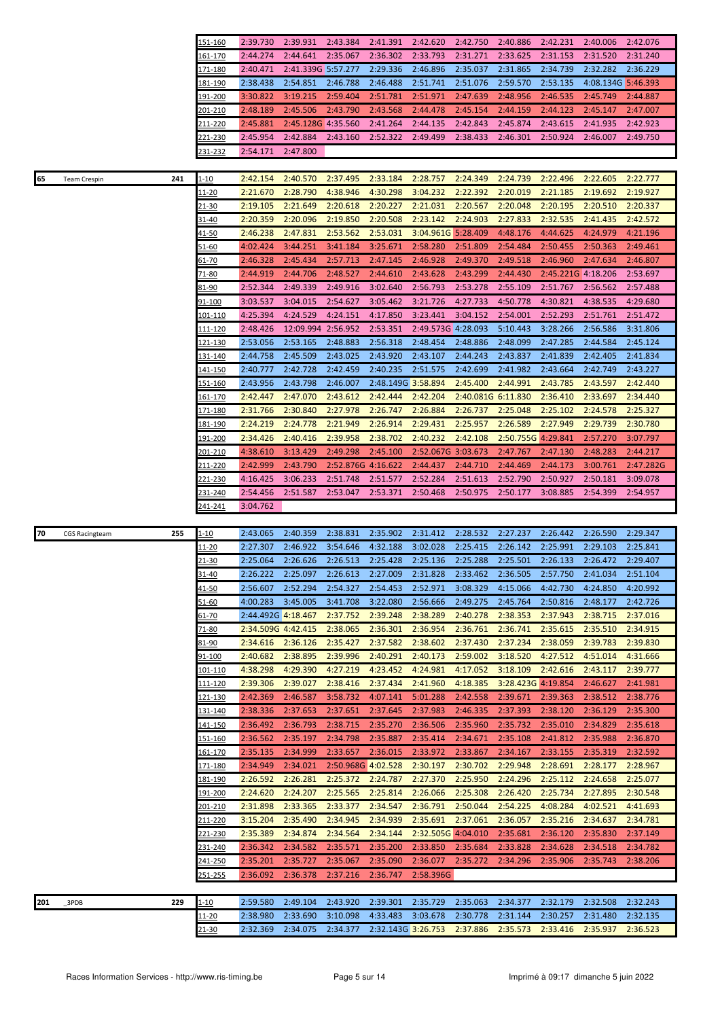|                                    | 151-160                       | 2:39.730             | 2:39.931             | 2:43.384             | 2:41.391                       | 2:42.620           | 2:42.750             | 2:40.886             | 2:42.231             | 2:40.006             | 2:42.076             |
|------------------------------------|-------------------------------|----------------------|----------------------|----------------------|--------------------------------|--------------------|----------------------|----------------------|----------------------|----------------------|----------------------|
|                                    | 161-170                       | 2:44.274             | 2:44.641             | 2:35.067             | 2:36.302                       | 2:33.793           | 2:31.271             | 2:33.625             | 2:31.153             | 2:31.520             | 2:31.240             |
|                                    | 171-180                       | 2:40.471             | 2:41.339G 5:57.277   |                      | 2:29.336                       | 2:46.896           | 2:35.037             | 2:31.865             | 2:34.739             | 2:32.282             | 2:36.229             |
|                                    | 181-190                       | 2:38.438             | 2:54.851             | 2:46.788             | 2:46.488                       | 2:51.741           | 2:51.076             | 2:59.570             | 2:53.135             | 4:08.134G 5:46.393   |                      |
|                                    | <u> 191-200</u>               | 3:30.822             | 3:19.215             | 2:59.404             | 2:51.781                       | 2:51.971           | 2:47.639             | 2:48.956             | 2:46.535             | 2:45.749             | 2:44.887             |
|                                    | 201-210                       | 2:48.189             | 2:45.506             | 2:43.790             | 2:43.568                       | 2:44.478           | 2:45.154             | 2:44.159             | 2:44.123             | 2:45.147             | 2:47.007             |
|                                    | 211-220                       | 2:45.881             | 2:45.128G 4:35.560   |                      | 2:41.264                       | 2:44.135           | 2:42.843             | 2:45.874             | 2:43.615             | 2:41.935             | 2:42.923             |
|                                    | <u>221-230</u>                | 2:45.954             | 2:42.884             | 2:43.160             | 2:52.322                       | 2:49.499           | 2:38.433             | 2:46.301             | 2:50.924             | 2:46.007             | 2:49.750             |
|                                    | 231-232                       | 2:54.171             | 2:47.800             |                      |                                |                    |                      |                      |                      |                      |                      |
|                                    |                               |                      |                      |                      |                                |                    |                      |                      |                      |                      |                      |
| 65<br>241<br><b>Team Crespin</b>   | $1 - 10$                      | 2:42.154             | 2:40.570             | 2:37.495             | 2:33.184                       | 2:28.757           | 2:24.349             | 2:24.739             | 2:22.496             | 2:22.605             | 2:22.777             |
|                                    | <u> 11-20</u>                 | 2:21.670             | 2:28.790             | 4:38.946             | 4:30.298                       | 3:04.232           | 2:22.392             | 2:20.019             | 2:21.185             | 2:19.692             | 2:19.927             |
|                                    | 21-30                         | 2:19.105             | 2:21.649             | 2:20.618             | 2:20.227                       | 2:21.031           | 2:20.567             | 2:20.048             | 2:20.195             | 2:20.510             | 2:20.337             |
|                                    | 31-40                         | 2:20.359             | 2:20.096             | 2:19.850             | 2:20.508                       | 2:23.142           | 2:24.903             | 2:27.833             | 2:32.535             | 2:41.435             | 2:42.572             |
|                                    | 41-50                         | 2:46.238             | 2:47.831             | 2:53.562             | 2:53.031                       | 3:04.961G 5:28.409 |                      | 4:48.176             | 4:44.625             | 4:24.979             | 4:21.196             |
|                                    | 51-60                         | 4:02.424             | 3:44.251             | 3:41.184             | 3:25.671                       | 2:58.280           | 2:51.809             | 2:54.484             | 2:50.455             | 2:50.363             | 2:49.461             |
|                                    | $61 - 70$                     | 2:46.328             | 2:45.434             | 2:57.713             | 2:47.145                       | 2:46.928           | 2:49.370             | 2:49.518             | 2:46.960             | 2:47.634             | 2:46.807             |
|                                    |                               | 2:44.919             | 2:44.706             | 2:48.527             | 2:44.610                       | 2:43.628           | 2:43.299             | 2:44.430             | 2:45.221G 4:18.206   |                      | 2:53.697             |
|                                    | 71-80                         |                      | 2:49.339             |                      |                                |                    |                      |                      | 2:51.767             |                      |                      |
|                                    | <u>81-90</u>                  | 2:52.344             |                      | 2:49.916             | 3:02.640                       | 2:56.793           | 2:53.278             | 2:55.109             |                      | 2:56.562             | 2:57.488             |
|                                    | 91-100                        | 3:03.537             | 3:04.015             | 2:54.627             | 3:05.462                       | 3:21.726           | 4:27.733             | 4:50.778             | 4:30.821             | 4:38.535             | 4:29.680             |
|                                    | 101-110                       | 4:25.394             | 4:24.529             | 4:24.151             | 4:17.850                       | 3:23.441           | 3:04.152             | 2:54.001             | 2:52.293             | 2:51.761             | 2:51.472             |
|                                    | 111-120                       | 2:48.426             | 12:09.994 2:56.952   |                      | 2:53.351                       | 2:49.573G 4:28.093 |                      | 5:10.443             | 3:28.266             | 2:56.586             | 3:31.806             |
|                                    | 121-130                       | 2:53.056             | 2:53.165             | 2:48.883             | 2:56.318                       | 2:48.454           | 2:48.886             | 2:48.099             | 2:47.285             | 2:44.584             | 2:45.124             |
|                                    | 131-140                       | 2:44.758             | 2:45.509             | 2:43.025             | 2:43.920                       | 2:43.107           | 2:44.243             | 2:43.837             | 2:41.839             | 2:42.405             | 2:41.834             |
|                                    | 141-150                       | 2:40.777             | 2:42.728             | 2:42.459             | 2:40.235                       | 2:51.575           | 2:42.699             | 2:41.982             | 2:43.664             | 2:42.749             | 2:43.227             |
|                                    | 151-160                       | 2:43.956             | 2:43.798             | 2:46.007             | 2:48.149G 3:58.894             |                    | 2:45.400             | 2:44.991             | 2:43.785             | 2:43.597             | 2:42.440             |
|                                    | <u>161-170</u>                | 2:42.447             | 2:47.070             | 2:43.612             | 2:42.444                       | 2:42.204           | 2:40.081G 6:11.830   |                      | 2:36.410             | 2:33.697             | 2:34.440             |
|                                    | 171-180                       | 2:31.766             | 2:30.840             | 2:27.978             | 2:26.747                       | 2:26.884           | 2:26.737             | 2:25.048             | 2:25.102             | 2:24.578             | 2:25.327             |
|                                    | <u> 181-190</u>               | 2:24.219             | 2:24.778             | 2:21.949             | 2:26.914                       | 2:29.431           | 2:25.957             | 2:26.589             | 2:27.949             | 2:29.739             | 2:30.780             |
|                                    | 191-200                       | 2:34.426             | 2:40.416             | 2:39.958             | 2:38.702                       | 2:40.232           | 2:42.108             | 2:50.755G 4:29.841   |                      | 2:57.270             | 3:07.797             |
|                                    | <u>201-210</u>                | 4:38.610             | 3:13.429             | 2:49.298             | 2:45.100                       | 2:52.067G 3:03.673 |                      | 2:47.767             | 2:47.130             | 2:48.283             | 2:44.217             |
|                                    | 211-220                       | 2:42.999             | 2:43.790             | 2:52.876G 4:16.622   |                                | 2:44.437           | 2:44.710             | 2:44.469             | 2:44.173             | 3:00.761             | 2:47.282G            |
|                                    | <u>221-230</u>                | 4:16.425             | 3:06.233             | 2:51.748             | 2:51.577                       | 2:52.284           | 2:51.613             | 2:52.790             | 2:50.927             | 2:50.181             | 3:09.078             |
|                                    |                               |                      |                      |                      |                                |                    |                      |                      |                      |                      |                      |
|                                    | 231-240                       | 2:54.456             | 2:51.587             | 2:53.047             | 2:53.371                       | 2:50.468           | 2:50.975             | 2:50.177             | 3:08.885             | 2:54.399             | 2:54.957             |
|                                    | 241-241                       | 3:04.762             |                      |                      |                                |                    |                      |                      |                      |                      |                      |
|                                    |                               |                      |                      |                      |                                |                    |                      |                      |                      |                      |                      |
| 70<br>255<br><b>CGS Racingteam</b> | <u>1-10</u>                   | 2:43.065             | 2:40.359             | 2:38.831             | 2:35.902                       | 2:31.412           | 2:28.532             | 2:27.237             | 2:26.442             | 2:26.590             | 2:29.347             |
|                                    | <u> 11-20</u>                 | 2:27.307             | 2:46.922             | 3:54.646             | 4:32.188                       | 3:02.028           | 2:25.415             | 2:26.142             | 2:25.991             | 2:29.103             | 2:25.841             |
|                                    | $21 - 30$                     | 2:25.064             | 2:26.626             | 2:26.513             | 2:25.428                       | 2:25.136           | 2:25.288             | 2:25.501             | 2:26.133             | 2:26.472             | 2:29.407             |
|                                    | 31-40                         | 2:26.222             | 2:25.097             | 2:26.613             | 2:27.009                       | 2:31.828           | 2:33.462             | 2:36.505             | 2:57.750             | 2:41.034             | 2:51.104             |
|                                    | $41 - 50$                     | 2:56.607             | 2:52.294             | 2:54.327             | 2:54.453                       | 2:52.971           | 3:08.329             | 4:15.066             | 4:42.730             | 4:24.850             | 4:20.992             |
|                                    | <u>51-60</u>                  | 4:00.283             | 3:45.005             | 3:41.708             | 3:22.080                       | 2:56.666           | 2:49.275             | 2:45.764             | 2:50.816             | 2:48.177             | 2:42.726             |
|                                    | 61-70                         | 2:44.492G 4:18.467   |                      | 2:37.752             | 2:39.248                       | 2:38.289           | 2:40.278             | 2:38.353             | 2:37.943             | 2:38.715             | 2:37.016             |
|                                    | 71-80                         | 2:34.509G 4:42.415   |                      | 2:38.065             | 2:36.301                       | 2:36.954           | 2:36.761             | 2:36.741             | 2:35.615             | 2:35.510             | 2:34.915             |
|                                    | 81-90                         | 2:34.616             | 2:36.126             | 2:35.427             | 2:37.582                       | 2:38.602           | 2:37.430             | 2:37.234             | 2:38.059             | 2:39.783             | 2:39.830             |
|                                    | 91-100                        | 2:40.682             | 2:38.895             | 2:39.996             | 2:40.291                       | 2:40.173           | 2:59.002             | 3:18.520             | 4:27.512             | 4:51.014             | 4:31.666             |
|                                    | 101-110                       | 4:38.298             | 4:29.390             | 4:27.219             | 4:23.452                       | 4:24.981           | 4:17.052             | 3:18.109             | 2:42.616             | 2:43.117             | 2:39.777             |
|                                    | <u> 111-120</u>               | 2:39.306             | 2:39.027             | 2:38.416             | 2:37.434                       | 2:41.960           | 4:18.385             | 3:28.423G 4:19.854   |                      | 2:46.627             | 2:41.981             |
|                                    | 121-130                       | 2:42.369             | 2:46.587             | 3:58.732             | 4:07.141                       | 5:01.288           | 2:42.558             | 2:39.671             | 2:39.363             | 2:38.512             | 2:38.776             |
|                                    | <u>131-140</u>                | 2:38.336             | 2:37.653             | 2:37.651             | 2:37.645                       | 2:37.983           | 2:46.335             | 2:37.393             | 2:38.120             | 2:36.129             | 2:35.300             |
|                                    | <u> 141-150</u>               | 2:36.492             | 2:36.793             | 2:38.715             | 2:35.270                       | 2:36.506           | 2:35.960             | 2:35.732             | 2:35.010             | 2:34.829             | 2:35.618             |
|                                    | <u>151-160</u>                | 2:36.562             | 2:35.197             | 2:34.798             | 2:35.887                       | 2:35.414           | 2:34.671             | 2:35.108             | 2:41.812             | 2:35.988             | 2:36.870             |
|                                    | 161-170                       | 2:35.135             | 2:34.999             | 2:33.657             | 2:36.015                       | 2:33.972           | 2:33.867             | 2:34.167             | 2:33.155             | 2:35.319             | 2:32.592             |
|                                    | <u> 171-180</u>               | 2:34.949             | 2:34.021             | 2:50.968G 4:02.528   |                                | 2:30.197           | 2:30.702             | 2:29.948             | 2:28.691             | 2:28.177             | 2:28.967             |
|                                    | 181-190                       | 2:26.592             | 2:26.281             | 2:25.372             | 2:24.787                       | 2:27.370           | 2:25.950             | 2:24.296             | 2:25.112             | 2:24.658             | 2:25.077             |
|                                    | <u> 191-200</u>               | 2:24.620             | 2:24.207             | 2:25.565             | 2:25.814                       | 2:26.066           | 2:25.308             | 2:26.420             | 2:25.734             | 2:27.895             | 2:30.548             |
|                                    | 201-210                       | 2:31.898             | 2:33.365             | 2:33.377             | 2:34.547                       | 2:36.791           | 2:50.044             | 2:54.225             | 4:08.284             | 4:02.521             | 4:41.693             |
|                                    | 211-220                       | 3:15.204             | 2:35.490             | 2:34.945             | 2:34.939                       | 2:35.691           | 2:37.061             | 2:36.057             | 2:35.216             | 2:34.637             | 2:34.781             |
|                                    | 221-230                       | 2:35.389             | 2:34.874             | 2:34.564             | 2:34.144                       | 2:32.505G 4:04.010 |                      | 2:35.681             | 2:36.120             | 2:35.830             | 2:37.149             |
|                                    | 231-240                       | 2:36.342             | 2:34.582             | 2:35.571             | 2:35.200                       | 2:33.850           | 2:35.684             | 2:33.828             | 2:34.628             | 2:34.518             | 2:34.782             |
|                                    | 241-250                       | 2:35.201             | 2:35.727             | 2:35.067             | 2:35.090                       | 2:36.077           | 2:35.272             | 2:34.296             | 2:35.906             | 2:35.743             | 2:38.206             |
|                                    | <u>251-255</u>                | 2:36.092             | 2:36.378             | 2:37.216             | 2:36.747                       | 2:58.396G          |                      |                      |                      |                      |                      |
|                                    |                               |                      |                      |                      |                                |                    |                      |                      |                      |                      |                      |
| 229<br>201<br>3PDB                 | $1 - 10$                      | 2:59.580             | 2:49.104             | 2:43.920             | 2:39.301                       | 2:35.729           | 2:35.063             | 2:34.377             | 2:32.179             | 2:32.508             | 2:32.243             |
|                                    | <u> 11-20</u><br><u>21-30</u> | 2:38.980<br>2:32.369 | 2:33.690<br>2:34.075 | 3:10.098<br>2:34.377 | 4:33.483<br>2:32.143G 3:26.753 | 3:03.678           | 2:30.778<br>2:37.886 | 2:31.144<br>2:35.573 | 2:30.257<br>2:33.416 | 2:31.480<br>2:35.937 | 2:32.135<br>2:36.523 |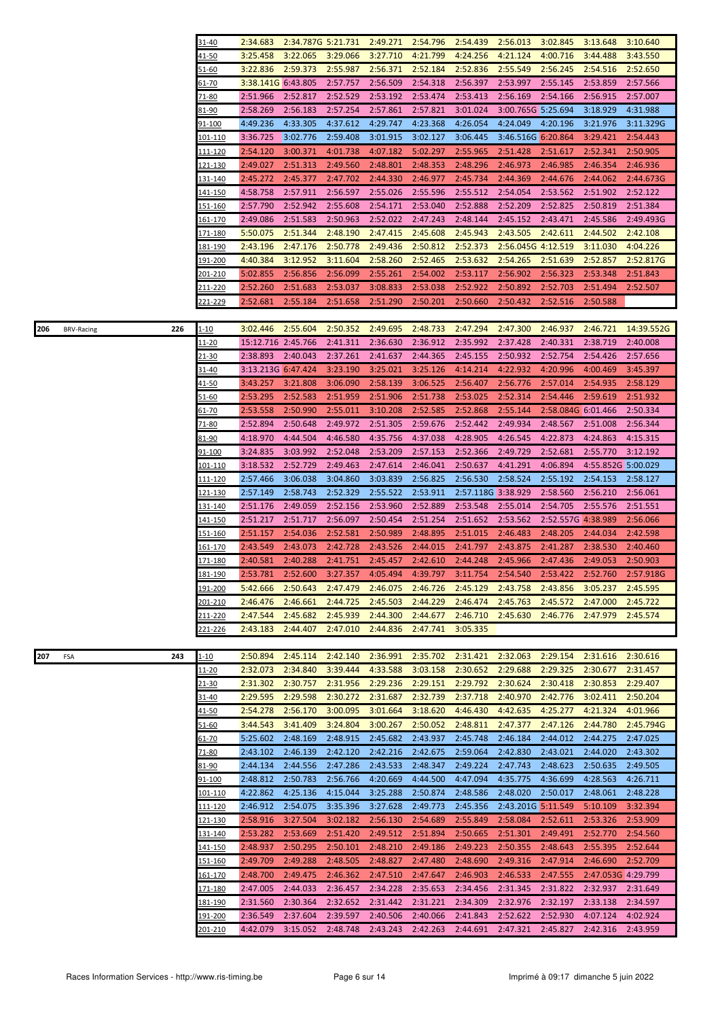|                                 | 31-40                     | 2:34.683             | 2:34.787G 5:21.731   |                      | 2:49.271             | 2:54.796             | 2:54.439             | 2:56.013             | 3:02.845             | 3:13.648                       | 3:10.640                                                                                   |
|---------------------------------|---------------------------|----------------------|----------------------|----------------------|----------------------|----------------------|----------------------|----------------------|----------------------|--------------------------------|--------------------------------------------------------------------------------------------|
|                                 | 41-50                     | 3:25.458             | 3:22.065             | 3:29.066             | 3:27.710             | 4:21.799             | 4:24.256             | 4:21.124             | 4:00.716             | 3:44.488                       | 3:43.550                                                                                   |
|                                 | 51-60                     | 3:22.836             | 2:59.373             | 2:55.987             | 2:56.371             | 2:52.184             | 2:52.836             | 2:55.549             | 2:56.245             | 2:54.516                       | 2:52.650                                                                                   |
|                                 | 61-70                     | 3:38.141G 6:43.805   |                      | 2:57.757             | 2:56.509             | 2:54.318             | 2:56.397             | 2:53.997             | 2:55.145             | 2:53.859                       | 2:57.566                                                                                   |
|                                 | 71-80                     | 2:51.966             | 2:52.817             | 2:52.529             | 2:53.192             | 2:53.474             | 2:53.413             | 2:56.169             | 2:54.166             | 2:56.915                       | 2:57.007                                                                                   |
|                                 | 81-90                     | 2:58.269             | 2:56.183             | 2:57.254             | 2:57.861             | 2:57.821             | 3:01.024             | 3:00.765G 5:25.694   |                      | 3:18.929                       | 4:31.988                                                                                   |
|                                 | 91-100                    | 4:49.236             | 4:33.305             | 4:37.612             | 4:29.747             | 4:23.368             | 4:26.054             | 4:24.049             | 4:20.196             | 3:21.976                       | 3:11.329G                                                                                  |
|                                 | <u> 101-110</u>           | 3:36.725             | 3:02.776             | 2:59.408             | 3:01.915             | 3:02.127             | 3:06.445             |                      | 3:46.516G 6:20.864   | 3:29.421                       | 2:54.443                                                                                   |
|                                 | 111-120                   | 2:54.120             | 3:00.371             | 4:01.738             | 4:07.182             | 5:02.297             | 2:55.965             | 2:51.428             | 2:51.617             | 2:52.341                       | 2:50.905                                                                                   |
|                                 | 121-130                   | 2:49.027             | 2:51.313             | 2:49.560             | 2:48.801             | 2:48.353             | 2:48.296             | 2:46.973             | 2:46.985             | 2:46.354                       | 2:46.936                                                                                   |
|                                 | 131-140                   | 2:45.272             | 2:45.377             | 2:47.702             | 2:44.330             | 2:46.977             | 2:45.734             | 2:44.369             | 2:44.676             | 2:44.062                       | 2:44.673G                                                                                  |
|                                 | <u>141-150</u>            | 4:58.758             | 2:57.911             | 2:56.597<br>2:55.608 | 2:55.026<br>2:54.171 | 2:55.596             | 2:55.512<br>2:52.888 | 2:54.054             | 2:53.562             | 2:51.902<br>2:50.819           | 2:52.122                                                                                   |
|                                 | 151-160<br>161-170        | 2:57.790<br>2:49.086 | 2:52.942<br>2:51.583 | 2:50.963             | 2:52.022             | 2:53.040<br>2:47.243 | 2:48.144             | 2:52.209<br>2:45.152 | 2:52.825<br>2:43.471 | 2:45.586                       | 2:51.384<br>2:49.493G                                                                      |
|                                 | 171-180                   | 5:50.075             | 2:51.344             | 2:48.190             | 2:47.415             | 2:45.608             | 2:45.943             | 2:43.505             | 2:42.611             | 2:44.502                       | 2:42.108                                                                                   |
|                                 | <u>181-190</u>            | 2:43.196             | 2:47.176             | 2:50.778             | 2:49.436             | 2:50.812             | 2:52.373             | 2:56.045G 4:12.519   |                      | 3:11.030                       | 4:04.226                                                                                   |
|                                 | <u> 191-200</u>           | 4:40.384             | 3:12.952             | 3:11.604             | 2:58.260             | 2:52.465             | 2:53.632             | 2:54.265             | 2:51.639             | 2:52.857                       | 2:52.817G                                                                                  |
|                                 | <u>201-210</u>            | 5:02.855             | 2:56.856             | 2:56.099             | 2:55.261             | 2:54.002             | 2:53.117             | 2:56.902             | 2:56.323             | 2:53.348                       | 2:51.843                                                                                   |
|                                 | 211-220                   | 2:52.260             | 2:51.683             | 2:53.037             | 3:08.833             | 2:53.038             | 2:52.922             | 2:50.892             | 2:52.703             | 2:51.494                       | 2:52.507                                                                                   |
|                                 | 221-229                   | 2:52.681             | 2:55.184             | 2:51.658             | 2:51.290             | 2:50.201             | 2:50.660             | 2:50.432             | 2:52.516             | 2:50.588                       |                                                                                            |
|                                 |                           |                      |                      |                      |                      |                      |                      |                      |                      |                                |                                                                                            |
| 206<br>226<br><b>BRV-Racing</b> | <u>1-10</u>               | 3:02.446             | 2:55.604             | 2:50.352             | 2:49.695             | 2:48.733             | 2:47.294             | 2:47.300             | 2:46.937             | 2:46.721                       | 14:39.552G                                                                                 |
|                                 | 11-20                     | 15:12.716 2:45.766   |                      | 2:41.311             | 2:36.630             | 2:36.912             | 2:35.992             | 2:37.428             | 2:40.331             | 2:38.719                       | 2:40.008                                                                                   |
|                                 | 21-30                     | 2:38.893             | 2:40.043             | 2:37.261             | 2:41.637             | 2:44.365             | 2:45.155             | 2:50.932             | 2:52.754             | 2:54.426                       | 2:57.656                                                                                   |
|                                 | 31-40                     | 3:13.213G 6:47.424   |                      | 3:23.190             | 3:25.021             | 3:25.126             | 4:14.214             | 4:22.932             | 4:20.996             | 4:00.469                       | 3:45.397                                                                                   |
|                                 | 41-50                     | 3:43.257             | 3:21.808             | 3:06.090             | 2:58.139             | 3:06.525             | 2:56.407             | 2:56.776             | 2:57.014             | 2:54.935                       | 2:58.129                                                                                   |
|                                 | <u>51-60</u>              | 2:53.295             | 2:52.583             | 2:51.959             | 2:51.906             | 2:51.738             | 2:53.025             | 2:52.314             | 2:54.446             | 2:59.619                       | 2:51.932                                                                                   |
|                                 | <u>61-70</u>              | 2:53.558             | 2:50.990             | 2:55.011             | 3:10.208             | 2:52.585             | 2:52.868             | 2:55.144             | 2:58.084G 6:01.466   |                                | 2:50.334                                                                                   |
|                                 | 71-80                     | 2:52.894             | 2:50.648             | 2:49.972             | 2:51.305             | 2:59.676             | 2:52.442             | 2:49.934             | 2:48.567             | 2:51.008                       | 2:56.344                                                                                   |
|                                 | 81-90                     | 4:18.970             | 4:44.504             | 4:46.580             | 4:35.756<br>2:53.209 | 4:37.038             | 4:28.905             | 4:26.545             | 4:22.873             | 4:24.863<br>2:55.770           | 4:15.315                                                                                   |
|                                 | <u>91-100</u><br>101-110  | 3:24.835<br>3:18.532 | 3:03.992<br>2:52.729 | 2:52.048<br>2:49.463 | 2:47.614             | 2:57.153<br>2:46.041 | 2:52.366<br>2:50.637 | 2:49.729<br>4:41.291 | 2:52.681<br>4:06.894 | 4:55.852G 5:00.029             | 3:12.192                                                                                   |
|                                 | <u>111-120</u>            | 2:57.466             | 3:06.038             | 3:04.860             | 3:03.839             | 2:56.825             | 2:56.530             | 2:58.524             | 2:55.192             | 2:54.153                       | 2:58.127                                                                                   |
|                                 | 121-130                   | 2:57.149             | 2:58.743             | 2:52.329             | 2:55.522             | 2:53.911             | 2:57.118G 3:38.929   |                      | 2:58.560             | 2:56.210                       | 2:56.061                                                                                   |
|                                 | 131-140                   | 2:51.176             | 2:49.059             | 2:52.156             | 2:53.960             | 2:52.889             | 2:53.548             | 2:55.014             | 2:54.705             | 2:55.576                       | 2:51.551                                                                                   |
|                                 | <u>141-150</u>            | 2:51.217             | 2:51.717             | 2:56.097             | 2:50.454             | 2:51.254             | 2:51.652             | 2:53.562             | 2:52.557G 4:38.989   |                                | 2:56.066                                                                                   |
|                                 | <u>151-160</u>            | 2:51.157             | 2:54.036             | 2:52.581             | 2:50.989             | 2:48.895             | 2:51.015             | 2:46.483             | 2:48.205             | 2:44.034                       | 2:42.598                                                                                   |
|                                 | 161-170                   | 2:43.549             | 2:43.073             | 2:42.728             | 2:43.526             | 2:44.015             | 2:41.797             | 2:43.875             | 2:41.287             | 2:38.530                       | 2:40.460                                                                                   |
|                                 | <u>171-180</u>            | 2:40.581             | 2:40.288             | 2:41.751             | 2:45.457             | 2:42.610             | 2:44.248             | 2:45.966             | 2:47.436             | 2:49.053                       | 2:50.903                                                                                   |
|                                 | 181-190                   |                      |                      |                      |                      |                      |                      |                      |                      |                                | 2:53.781 2:52.600 3:27.357 4:05.494 4:39.797 3:11.754 2:54.540 2:53.422 2:52.760 2:57.918G |
|                                 | 191-200                   | 5:42.666             | 2:50.643             | 2:47.479             | 2:46.075             | 2:46.726             | 2:45.129             | 2:43.758             | 2:43.856             | 3:05.237                       | 2:45.595                                                                                   |
|                                 | 201-210                   | 2:46.476             | 2:46.661             | 2:44.725             | 2:45.503             | 2:44.229             | 2:46.474             | 2:45.763             | 2:45.572             | 2:47.000                       | 2:45.722                                                                                   |
|                                 | 211-220                   | 2:47.544             | 2:45.682             | 2:45.939             | 2:44.300             | 2:44.677             | 2:46.710             | 2:45.630             | 2:46.776             | 2:47.979                       | 2:45.574                                                                                   |
|                                 | 221-226                   | 2:43.183             | 2:44.407             | 2:47.010             | 2:44.836             | 2:47.741             | 3:05.335             |                      |                      |                                |                                                                                            |
|                                 |                           |                      |                      |                      |                      | 2:35.702             |                      |                      |                      |                                |                                                                                            |
| 207<br>243<br>FSA               | $1 - 10$<br><u> 11-20</u> | 2:50.894<br>2:32.073 | 2:45.114<br>2:34.840 | 2:42.140<br>3:39.444 | 2:36.991<br>4:33.588 | 3:03.158             | 2:31.421<br>2:30.652 | 2:32.063<br>2:29.688 | 2:29.154<br>2:29.325 | 2:31.616<br>2:30.677           | 2:30.616<br>2:31.457                                                                       |
|                                 | 21-30                     | 2:31.302             | 2:30.757             | 2:31.956             | 2:29.236             | 2:29.151             | 2:29.792             | 2:30.624             | 2:30.418             | 2:30.853                       | 2:29.407                                                                                   |
|                                 | 31-40                     | 2:29.595             | 2:29.598             | 2:30.272             | 2:31.687             | 2:32.739             | 2:37.718             | 2:40.970             | 2:42.776             | 3:02.411                       | 2:50.204                                                                                   |
|                                 | <u>41-50</u>              | 2:54.278             | 2:56.170             | 3:00.095             | 3:01.664             | 3:18.620             | 4:46.430             | 4:42.635             | 4:25.277             | 4:21.324                       | 4:01.966                                                                                   |
|                                 | 51-60                     | 3:44.543             | 3:41.409             | 3:24.804             | 3:00.267             | 2:50.052             | 2:48.811             | 2:47.377             | 2:47.126             | 2:44.780                       | 2:45.794G                                                                                  |
|                                 | $61 - 70$                 | 5:25.602             | 2:48.169             | 2:48.915             | 2:45.682             | 2:43.937             | 2:45.748             | 2:46.184             | 2:44.012             | 2:44.275                       | 2:47.025                                                                                   |
|                                 | 71-80                     | 2:43.102             | 2:46.139             | 2:42.120             | 2:42.216             | 2:42.675             | 2:59.064             | 2:42.830             | 2:43.021             | 2:44.020                       | 2:43.302                                                                                   |
|                                 | 81-90                     | 2:44.134             | 2:44.556             | 2:47.286             | 2:43.533             | 2:48.347             | 2:49.224             | 2:47.743             | 2:48.623             | 2:50.635                       | 2:49.505                                                                                   |
|                                 | 91-100                    | 2:48.812             | 2:50.783             | 2:56.766             | 4:20.669             | 4:44.500             | 4:47.094             | 4:35.775             | 4:36.699             | 4:28.563                       | 4:26.711                                                                                   |
|                                 | 101-110                   | 4:22.862             | 4:25.136             | 4:15.044             | 3:25.288             | 2:50.874             | 2:48.586             | 2:48.020             | 2:50.017             | 2:48.061                       | 2:48.228                                                                                   |
|                                 | 111-120                   | 2:46.912             | 2:54.075             | 3:35.396             | 3:27.628             | 2:49.773             | 2:45.356             | 2:43.201G 5:11.549   |                      | 5:10.109                       | 3:32.394                                                                                   |
|                                 | <u> 121-130</u>           | 2:58.916             | 3:27.504             | 3:02.182             | 2:56.130             | 2:54.689             | 2:55.849             | 2:58.084             | 2:52.611             | 2:53.326                       | 2:53.909                                                                                   |
|                                 | <u>131-140</u>            | 2:53.282             | 2:53.669             | 2:51.420             | 2:49.512             | 2:51.894             | 2:50.665             | 2:51.301             | 2:49.491             | 2:52.770                       | 2:54.560                                                                                   |
|                                 | 141-150                   | 2:48.937             | 2:50.295             | 2:50.101             | 2:48.210             | 2:49.186             | 2:49.223             | 2:50.355             | 2:48.643             | 2:55.395                       | 2:52.644                                                                                   |
|                                 | <u>151-160</u>            | 2:49.709             | 2:49.288             | 2:48.505             | 2:48.827             | 2:47.480             | 2:48.690             | 2:49.316             | 2:47.914             | 2:46.690                       | 2:52.709                                                                                   |
|                                 | <u>161-170</u><br>171-180 | 2:48.700<br>2:47.005 | 2:49.475<br>2:44.033 | 2:46.362<br>2:36.457 | 2:47.510<br>2:34.228 | 2:47.647<br>2:35.653 | 2:46.903<br>2:34.456 | 2:46.533<br>2:31.345 | 2:47.555<br>2:31.822 | 2:47.053G 4:29.799<br>2:32.937 | 2:31.649                                                                                   |
|                                 | <u> 181-190</u>           | 2:31.560             | 2:30.364             | 2:32.652             | 2:31.442             | 2:31.221             | 2:34.309             | 2:32.976             | 2:32.197             | 2:33.138                       | 2:34.597                                                                                   |
|                                 | 191-200                   | 2:36.549             | 2:37.604             | 2:39.597             | 2:40.506             | 2:40.066             | 2:41.843             | 2:52.622             | 2:52.930             | 4:07.124                       | 4:02.924                                                                                   |
|                                 | <u>201-210</u>            | 4:42.079             | 3:15.052             | 2:48.748             | 2:43.243             | 2:42.263             | 2:44.691             | 2:47.321             | 2:45.827             | 2:42.316                       | 2:43.959                                                                                   |
|                                 |                           |                      |                      |                      |                      |                      |                      |                      |                      |                                |                                                                                            |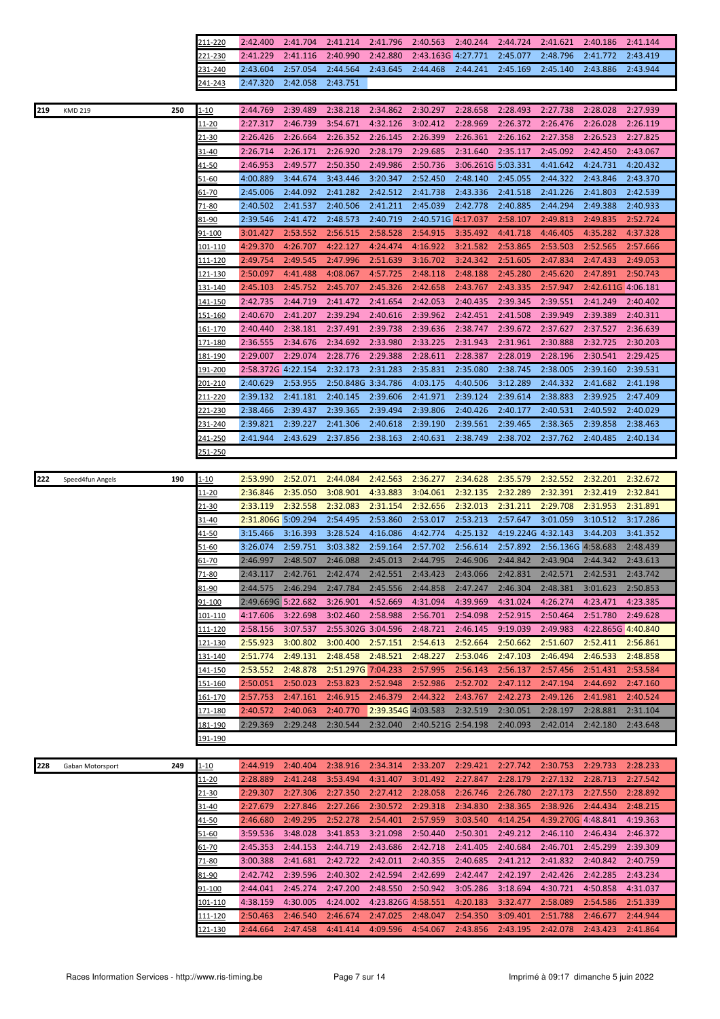| 211-220 |                            |  | 2:42.400 2:41.704 2:41.214 2:41.796 2:40.563 2:40.244 2:44.724 2:41.621 2:40.186 2:41.144  |  |  |  |
|---------|----------------------------|--|--------------------------------------------------------------------------------------------|--|--|--|
| 221-230 |                            |  | 2:41.229 2:41.116 2:40.990 2:42.880 2:43.163G 4:27.771 2:45.077 2:48.796 2:41.772 2:43.419 |  |  |  |
| 231-240 |                            |  | 2:43.604 2:57.054 2:44.564 2:43.645 2:44.468 2:44.241 2:45.169 2:45.140 2:43.886 2:43.944  |  |  |  |
| 241-243 | 2:47.320 2:42.058 2:43.751 |  |                                                                                            |  |  |  |

| 219<br><b>KMD 219</b>   | 250 | $1 - 10$        | 2:44.769           | 2:39.489 | 2:38.218           | 2:34.862           | 2:30.297 | 2:28.658           | 2:28.493           | 2:27.738           | 2:28.028           | 2:27.939 |
|-------------------------|-----|-----------------|--------------------|----------|--------------------|--------------------|----------|--------------------|--------------------|--------------------|--------------------|----------|
|                         |     | <u> 11-20</u>   | 2:27.317           | 2:46.739 | 3:54.671           | 4:32.126           | 3:02.412 | 2:28.969           | 2:26.372           | 2:26.476           | 2:26.028           | 2:26.119 |
|                         |     | <u>21-30</u>    | 2:26.426           | 2:26.664 | 2:26.352           | 2:26.145           | 2:26.399 | 2:26.361           | 2:26.162           | 2:27.358           | 2:26.523           | 2:27.825 |
|                         |     | 31-40           | 2:26.714           | 2:26.171 | 2:26.920           | 2:28.179           | 2:29.685 | 2:31.640           | 2:35.117           | 2:45.092           | 2:42.450           | 2:43.067 |
|                         |     | 41-50           | 2:46.953           | 2:49.577 | 2:50.350           | 2:49.986           | 2:50.736 | 3:06.261G 5:03.331 |                    | 4:41.642           | 4:24.731           | 4:20.432 |
|                         |     | 51-60           | 4:00.889           | 3:44.674 | 3:43.446           | 3:20.347           | 2:52.450 | 2:48.140           | 2:45.055           | 2:44.322           | 2:43.846           | 2:43.370 |
|                         |     | 61-70           | 2:45.006           | 2:44.092 | 2:41.282           | 2:42.512           | 2:41.738 | 2:43.336           | 2:41.518           | 2:41.226           | 2:41.803           | 2:42.539 |
|                         |     | 71-80           | 2:40.502           | 2:41.537 | 2:40.506           | 2:41.211           | 2:45.039 | 2:42.778           | 2:40.885           | 2:44.294           | 2:49.388           | 2:40.933 |
|                         |     |                 |                    |          |                    |                    |          |                    |                    |                    |                    | 2:52.724 |
|                         |     | 81-90           | 2:39.546           | 2:41.472 | 2:48.573           | 2:40.719           |          | 2:40.571G 4:17.037 | 2:58.107           | 2:49.813           | 2:49.835           |          |
|                         |     | 91-100          | 3:01.427           | 2:53.552 | 2:56.515           | 2:58.528           | 2:54.915 | 3:35.492           | 4:41.718           | 4:46.405           | 4:35.282           | 4:37.328 |
|                         |     | <u> 101-110</u> | 4:29.370           | 4:26.707 | 4:22.127           | 4:24.474           | 4:16.922 | 3:21.582           | 2:53.865           | 2:53.503           | 2:52.565           | 2:57.666 |
|                         |     | <u>111-120</u>  | 2:49.754           | 2:49.545 | 2:47.996           | 2:51.639           | 3:16.702 | 3:24.342           | 2:51.605           | 2:47.834           | 2:47.433           | 2:49.053 |
|                         |     | 121-130         | 2:50.097           | 4:41.488 | 4:08.067           | 4:57.725           | 2:48.118 | 2:48.188           | 2:45.280           | 2:45.620           | 2:47.891           | 2:50.743 |
|                         |     | <u>131-140</u>  | 2:45.103           | 2:45.752 | 2:45.707           | 2:45.326           | 2:42.658 | 2:43.767           | 2:43.335           | 2:57.947           | 2:42.611G 4:06.181 |          |
|                         |     | 141-150         | 2:42.735           | 2:44.719 | 2:41.472           | 2:41.654           | 2:42.053 | 2:40.435           | 2:39.345           | 2:39.551           | 2:41.249           | 2:40.402 |
|                         |     | <u>151-160</u>  | 2:40.670           | 2:41.207 | 2:39.294           | 2:40.616           | 2:39.962 | 2:42.451           | 2:41.508           | 2:39.949           | 2:39.389           | 2:40.311 |
|                         |     | 161-170         | 2:40.440           | 2:38.181 | 2:37.491           | 2:39.738           | 2:39.636 | 2:38.747           | 2:39.672           | 2:37.627           | 2:37.527           | 2:36.639 |
|                         |     | 171-180         | 2:36.555           | 2:34.676 | 2:34.692           | 2:33.980           | 2:33.225 | 2:31.943           | 2:31.961           | 2:30.888           | 2:32.725           | 2:30.203 |
|                         |     | 181-190         | 2:29.007           | 2:29.074 | 2:28.776           | 2:29.388           | 2:28.611 | 2:28.387           | 2:28.019           | 2:28.196           | 2:30.541           | 2:29.425 |
|                         |     | 191-200         | 2:58.372G 4:22.154 |          | 2:32.173           | 2:31.283           | 2:35.831 | 2:35.080           | 2:38.745           | 2:38.005           | 2:39.160           | 2:39.531 |
|                         |     | 201-210         | 2:40.629           | 2:53.955 | 2:50.848G 3:34.786 |                    | 4:03.175 | 4:40.506           | 3:12.289           | 2:44.332           | 2:41.682           | 2:41.198 |
|                         |     | 211-220         | 2:39.132           | 2:41.181 | 2:40.145           | 2:39.606           | 2:41.971 | 2:39.124           | 2:39.614           | 2:38.883           | 2:39.925           | 2:47.409 |
|                         |     |                 |                    |          |                    |                    |          |                    |                    |                    |                    |          |
|                         |     | 221-230         | 2:38.466           | 2:39.437 | 2:39.365           | 2:39.494           | 2:39.806 | 2:40.426           | 2:40.177           | 2:40.531           | 2:40.592           | 2:40.029 |
|                         |     | 231-240         | 2:39.821           | 2:39.227 | 2:41.306           | 2:40.618           | 2:39.190 | 2:39.561           | 2:39.465           | 2:38.365           | 2:39.858           | 2:38.463 |
|                         |     | 241-250         | 2:41.944           | 2:43.629 | 2:37.856           | 2:38.163           | 2:40.631 | 2:38.749           | 2:38.702           | 2:37.762           | 2:40.485           | 2:40.134 |
|                         |     | 251-250         |                    |          |                    |                    |          |                    |                    |                    |                    |          |
|                         |     |                 |                    |          |                    |                    |          |                    |                    |                    |                    |          |
| 222<br>Speed4fun Angels | 190 | $1 - 10$        | 2:53.990           | 2:52.071 | 2:44.084           | 2:42.563           | 2:36.277 | 2:34.628           | 2:35.579           | 2:32.552           | 2:32.201           | 2:32.672 |
|                         |     | 11-20           | 2:36.846           | 2:35.050 | 3:08.901           | 4:33.883           | 3:04.061 | 2:32.135           | 2:32.289           | 2:32.391           | 2:32.419           | 2:32.841 |
|                         |     | 21-30           | 2:33.119           | 2:32.558 | 2:32.083           | 2:31.154           | 2:32.656 | 2:32.013           | 2:31.211           | 2:29.708           | 2:31.953           | 2:31.891 |
|                         |     | 31-40           | 2:31.806G 5:09.294 |          | 2:54.495           | 2:53.860           | 2:53.017 | 2:53.213           | 2:57.647           | 3:01.059           | 3:10.512           | 3:17.286 |
|                         |     | 41-50           | 3:15.466           | 3:16.393 | 3:28.524           | 4:16.086           | 4:42.774 | 4:25.132           | 4:19.224G 4:32.143 |                    | 3:44.203           | 3:41.352 |
|                         |     | 51-60           | 3:26.074           | 2:59.751 | 3:03.382           | 2:59.164           | 2:57.702 | 2:56.614           | 2:57.892           | 2:56.136G 4:58.683 |                    | 2:48.439 |
|                         |     | 61-70           | 2:46.997           | 2:48.507 | 2:46.088           | 2:45.013           | 2:44.795 | 2:46.906           | 2:44.842           | 2:43.904           | 2:44.342           | 2:43.613 |
|                         |     | $71 - 80$       | 2:43.117           | 2:42.761 | 2:42.474           | 2:42.551           | 2:43.423 | 2:43.066           | 2:42.831           | 2:42.571           | 2:42.531           | 2:43.742 |
|                         |     | 81-90           | 2:44.575           | 2:46.294 | 2:47.784           | 2:45.556           | 2:44.858 | 2:47.247           | 2:46.304           | 2:48.381           | 3:01.623           | 2:50.853 |
|                         |     | <u>91-100</u>   | 2:49.669G 5:22.682 |          | 3:26.901           | 4:52.669           | 4:31.094 | 4:39.969           | 4:31.024           | 4:26.274           | 4:23.471           | 4:23.385 |
|                         |     | 101-110         | 4:17.606           | 3:22.698 | 3:02.460           | 2:58.988           | 2:56.701 | 2:54.098           | 2:52.915           | 2:50.464           | 2:51.780           | 2:49.628 |
|                         |     | 111-120         | 2:58.156           | 3:07.537 | 2:55.302G 3:04.596 |                    | 2:48.721 | 2:46.145           | 9:19.039           | 2:49.983           | 4:22.865G 4:40.840 |          |
|                         |     | <u>121-130</u>  | 2:55.923           | 3:00.802 | 3:00.400           | 2:57.151           | 2:54.613 | 2:52.664           | 2:50.662           | 2:51.607           | 2:52.411           | 2:56.861 |
|                         |     | <u>131-140</u>  | 2:51.774           | 2:49.131 | 2:48.458           | 2:48.521           | 2:48.227 | 2:53.046           | 2:47.103           | 2:46.494           | 2:46.533           | 2:48.858 |
|                         |     | 141-150         | 2:53.552           | 2:48.878 | 2:51.297G 7:04.233 |                    | 2:57.995 | 2:56.143           | 2:56.137           | 2:57.456           | 2:51.431           | 2:53.584 |
|                         |     | <u>151-160</u>  | 2:50.051           | 2:50.023 | 2:53.823           | 2:52.948           | 2:52.986 | 2:52.702           | 2:47.112           | 2:47.194           | 2:44.692           | 2:47.160 |
|                         |     | 161-170         | 2:57.753           | 2:47.161 | 2:46.915           | 2:46.379           | 2:44.322 | 2:43.767           | 2:42.273           | 2:49.126           | 2:41.981           | 2:40.524 |
|                         |     |                 |                    |          |                    |                    |          |                    |                    |                    |                    |          |
|                         |     | <u>171-180</u>  | 2:40.572           | 2:40.063 | 2:40.770           | 2:39.354G 4:03.583 |          | 2:32.519           | 2:30.051           | 2:28.197           | 2:28.881           | 2:31.104 |
|                         |     | <u>181-190</u>  | 2:29.369           | 2:29.248 | 2:30.544           | 2:32.040           |          | 2:40.521G 2:54.198 | 2:40.093           | 2:42.014           | 2:42.180           | 2:43.648 |
|                         |     | 191-190         |                    |          |                    |                    |          |                    |                    |                    |                    |          |
|                         |     |                 |                    |          |                    |                    |          |                    |                    |                    |                    |          |
| 228<br>Gaban Motorsport | 249 | $1 - 10$        | 2:44.919           | 2:40.404 | 2:38.916           | 2:34.314           | 2:33.207 | 2:29.421           | 2:27.742           | 2:30.753           | 2:29.733           | 2:28.233 |
|                         |     | 11-20           | 2:28.889           | 2:41.248 | 3:53.494           | 4:31.407           | 3:01.492 | 2:27.847           | 2:28.179           | 2:27.132           | 2:28.713           | 2:27.542 |
|                         |     | 21-30           | 2:29.307           | 2:27.306 | 2:27.350           | 2:27.412           | 2:28.058 | 2:26.746           | 2:26.780           | 2:27.173           | 2:27.550           | 2:28.892 |
|                         |     | 31-40           | 2:27.679           | 2:27.846 | 2:27.266           | 2:30.572           | 2:29.318 | 2:34.830           | 2:38.365           | 2:38.926           | 2:44.434           | 2:48.215 |
|                         |     | 41-50           | 2:46.680           | 2:49.295 | 2:52.278           | 2:54.401           | 2:57.959 | 3:03.540           | 4:14.254           | 4:39.270G 4:48.841 |                    | 4:19.363 |
|                         |     | 51-60           | 3:59.536           | 3:48.028 | 3:41.853           | 3:21.098           | 2:50.440 | 2:50.301           | 2:49.212           | 2:46.110           | 2:46.434           | 2:46.372 |
|                         |     | 61-70           | 2:45.353           | 2:44.153 | 2:44.719           | 2:43.686           | 2:42.718 | 2:41.405           | 2:40.684           | 2:46.701           | 2:45.299           | 2:39.309 |
|                         |     | $71 - 80$       | 3:00.388           | 2:41.681 | 2:42.722           | 2:42.011           | 2:40.355 | 2:40.685           | 2:41.212           | 2:41.832           | 2:40.842           | 2:40.759 |
|                         |     | 81-90           | 2:42.742           | 2:39.596 | 2:40.302           | 2:42.594           | 2:42.699 | 2:42.447           | 2:42.197           | 2:42.426           | 2:42.285           | 2:43.234 |
|                         |     | <u>91-100</u>   | 2:44.041           | 2:45.274 | 2:47.200           | 2:48.550           | 2:50.942 | 3:05.286           | 3:18.694           | 4:30.721           | 4:50.858           | 4:31.037 |
|                         |     | <u> 101-110</u> | 4:38.159           | 4:30.005 | 4:24.002           | 4:23.826G 4:58.551 |          | 4:20.183           | 3:32.477           | 2:58.089           | 2:54.586           | 2:51.339 |
|                         |     | <u> 111-120</u> | 2:50.463           | 2:46.540 | 2:46.674           | 2:47.025           | 2:48.047 | 2:54.350           | 3:09.401           | 2:51.788           | 2:46.677           | 2:44.944 |
|                         |     | <u>121-130</u>  | 2:44.664           | 2:47.458 | 4:41.414           | 4:09.596           | 4:54.067 | 2:43.856           | 2:43.195           | 2:42.078           | 2:43.423           | 2:41.864 |
|                         |     |                 |                    |          |                    |                    |          |                    |                    |                    |                    |          |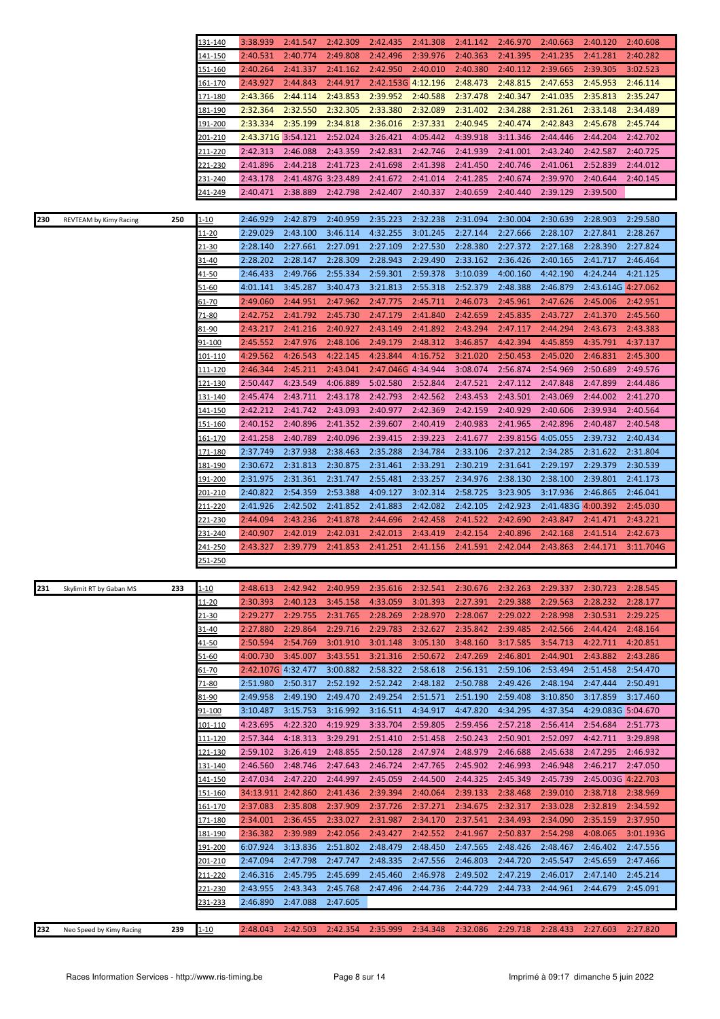|     |                         |     | 131-140         | 3:38.939           | 2:41.547             | 2:42.309             | 2:42.435           | 2:41.308             | 2:41.142 | 2:46.970           | 2:40.663           | 2:40.120           | 2:40.608             |
|-----|-------------------------|-----|-----------------|--------------------|----------------------|----------------------|--------------------|----------------------|----------|--------------------|--------------------|--------------------|----------------------|
|     |                         |     | 141-150         | 2:40.531           | 2:40.774             | 2:49.808             | 2:42.496           | 2:39.976             | 2:40.363 | 2:41.395           | 2:41.235           | 2:41.281           | 2:40.282             |
|     |                         |     | 151-160         | 2:40.264           | 2:41.337             | 2:41.162             | 2:42.950           | 2:40.010             | 2:40.380 | 2:40.112           | 2:39.665           | 2:39.305           | 3:02.523             |
|     |                         |     | 161-170         | 2:43.927           | 2:44.843             | 2:44.917             | 2:42.153G 4:12.196 |                      | 2:48.473 | 2:48.815           | 2:47.653           | 2:45.953           | 2:46.114             |
|     |                         |     | 171-180         | 2:43.366           | 2:44.114             | 2:43.853             | 2:39.952           | 2:40.588             | 2:37.478 | 2:40.347           | 2:41.035           | 2:35.813           | 2:35.247             |
|     |                         |     | <u>181-190</u>  | 2:32.364           | 2:32.550             | 2:32.305             | 2:33.380           | 2:32.089             | 2:31.402 | 2:34.288           | 2:31.261           | 2:33.148           | 2:34.489             |
|     |                         |     | 191-200         | 2:33.334           | 2:35.199             | 2:34.818             | 2:36.016           | 2:37.331             | 2:40.945 | 2:40.474           | 2:42.843           | 2:45.678           | 2:45.744             |
|     |                         |     | 201-210         | 2:43.371G 3:54.121 |                      | 2:52.024             | 3:26.421           | 4:05.442             | 4:39.918 | 3:11.346           | 2:44.446           | 2:44.204           | 2:42.702             |
|     |                         |     | 211-220         | 2:42.313           | 2:46.088             | 2:43.359             | 2:42.831           | 2:42.746             | 2:41.939 | 2:41.001           | 2:43.240           | 2:42.587           | 2:40.725             |
|     |                         |     | 221-230         | 2:41.896           | 2:44.218             | 2:41.723             | 2:41.698           | 2:41.398             | 2:41.450 | 2:40.746           | 2:41.061           | 2:52.839           | 2:44.012             |
|     |                         |     | 231-240         | 2:43.178           | 2:41.487G 3:23.489   |                      | 2:41.672           | 2:41.014             | 2:41.285 | 2:40.674           | 2:39.970           | 2:40.644           | 2:40.145             |
|     |                         |     | 241-249         | 2:40.471           | 2:38.889             | 2:42.798             | 2:42.407           | 2:40.337             | 2:40.659 | 2:40.440           | 2:39.129           | 2:39.500           |                      |
|     |                         |     |                 |                    |                      |                      |                    |                      |          |                    |                    |                    |                      |
| 230 | REVTEAM by Kimy Racing  | 250 | $1 - 10$        | 2:46.929           | 2:42.879             | 2:40.959             | 2:35.223           | 2:32.238             | 2:31.094 | 2:30.004           | 2:30.639           | 2:28.903           | 2:29.580             |
|     |                         |     | 11-20           | 2:29.029           | 2:43.100             | 3:46.114             | 4:32.255           | 3:01.245             | 2:27.144 | 2:27.666           | 2:28.107           | 2:27.841           | 2:28.267             |
|     |                         |     | $21 - 30$       | 2:28.140           | 2:27.661             | 2:27.091             | 2:27.109           | 2:27.530             | 2:28.380 | 2:27.372           | 2:27.168           | 2:28.390           | 2:27.824             |
|     |                         |     |                 |                    | 2:28.147             |                      | 2:28.943           |                      |          |                    |                    |                    |                      |
|     |                         |     | 31-40           | 2:28.202           |                      | 2:28.309             |                    | 2:29.490<br>2:59.378 | 2:33.162 | 2:36.426           | 2:40.165           | 2:41.717           | 2:46.464<br>4:21.125 |
|     |                         |     | <u>41-50</u>    | 2:46.433           | 2:49.766             | 2:55.334             | 2:59.301           |                      | 3:10.039 | 4:00.160           | 4:42.190           | 4:24.244           |                      |
|     |                         |     | <u>51-60</u>    | 4:01.141           | 3:45.287             | 3:40.473             | 3:21.813           | 2:55.318             | 2:52.379 | 2:48.388           | 2:46.879           | 2:43.614G 4:27.062 |                      |
|     |                         |     | $61 - 70$       | 2:49.060           | 2:44.951             | 2:47.962             | 2:47.775           | 2:45.711             | 2:46.073 | 2:45.961           | 2:47.626           | 2:45.006           | 2:42.951             |
|     |                         |     | 71-80           | 2:42.752           | 2:41.792             | 2:45.730             | 2:47.179           | 2:41.840             | 2:42.659 | 2:45.835           | 2:43.727           | 2:41.370           | 2:45.560             |
|     |                         |     | 81-90           | 2:43.217           | 2:41.216             | 2:40.927             | 2:43.149           | 2:41.892             | 2:43.294 | 2:47.117           | 2:44.294           | 2:43.673           | 2:43.383             |
|     |                         |     | 91-100          | 2:45.552           | 2:47.976             | 2:48.106             | 2:49.179           | 2:48.312             | 3:46.857 | 4:42.394           | 4:45.859           | 4:35.791           | 4:37.137             |
|     |                         |     | <u> 101-110</u> | 4:29.562           | 4:26.543             | 4:22.145             | 4:23.844           | 4:16.752             | 3:21.020 | 2:50.453           | 2:45.020           | 2:46.831           | 2:45.300             |
|     |                         |     | 111-120         | 2:46.344           | 2:45.211             | 2:43.041             | 2:47.046G 4:34.944 |                      | 3:08.074 | 2:56.874           | 2:54.969           | 2:50.689           | 2:49.576             |
|     |                         |     | 121-130         | 2:50.447           | 4:23.549             | 4:06.889             | 5:02.580           | 2:52.844             | 2:47.521 | 2:47.112           | 2:47.848           | 2:47.899           | 2:44.486             |
|     |                         |     | 131-140         | 2:45.474           | 2:43.711             | 2:43.178             | 2:42.793           | 2:42.562             | 2:43.453 | 2:43.501           | 2:43.069           | 2:44.002           | 2:41.270             |
|     |                         |     | <u>141-150</u>  | 2:42.212           | 2:41.742             | 2:43.093             | 2:40.977           | 2:42.369             | 2:42.159 | 2:40.929           | 2:40.606           | 2:39.934           | 2:40.564             |
|     |                         |     | 151-160         | 2:40.152           | 2:40.896             | 2:41.352             | 2:39.607           | 2:40.419             | 2:40.983 | 2:41.965           | 2:42.896           | 2:40.487           | 2:40.548             |
|     |                         |     | 161-170         | 2:41.258           | 2:40.789             | 2:40.096             | 2:39.415           | 2:39.223             | 2:41.677 | 2:39.815G 4:05.055 |                    | 2:39.732           | 2:40.434             |
|     |                         |     | 171-180         | 2:37.749           | 2:37.938             | 2:38.463             | 2:35.288           | 2:34.784             | 2:33.106 | 2:37.212           | 2:34.285           | 2:31.622           | 2:31.804             |
|     |                         |     | <u> 181-190</u> | 2:30.672           | 2:31.813             | 2:30.875             | 2:31.461           | 2:33.291             | 2:30.219 | 2:31.641           | 2:29.197           | 2:29.379           | 2:30.539             |
|     |                         |     | <u> 191-200</u> | 2:31.975           | 2:31.361             | 2:31.747             | 2:55.481           | 2:33.257             | 2:34.976 | 2:38.130           | 2:38.100           | 2:39.801           | 2:41.173             |
|     |                         |     | 201-210         | 2:40.822           | 2:54.359             | 2:53.388             | 4:09.127           | 3:02.314             | 2:58.725 | 3:23.905           | 3:17.936           | 2:46.865           | 2:46.041             |
|     |                         |     | 211-220         | 2:41.926           | 2:42.502             | 2:41.852             | 2:41.883           | 2:42.082             | 2:42.105 | 2:42.923           | 2:41.483G 4:00.392 |                    | 2:45.030             |
|     |                         |     | 221-230         | 2:44.094           | 2:43.236             | 2:41.878             | 2:44.696           | 2:42.458             | 2:41.522 | 2:42.690           | 2:43.847           | 2:41.471           | 2:43.221             |
|     |                         |     | 231-240         | 2:40.907           | 2:42.019             | 2:42.031             | 2:42.013           | 2:43.419             | 2:42.154 | 2:40.896           | 2:42.168           | 2:41.514           | 2:42.673             |
|     |                         |     | 241-250         | 2:43.327           | 2:39.779             | 2:41.853             | 2:41.251           | 2:41.156             | 2:41.591 | 2:42.044           | 2:43.863           | 2:44.171           | 3:11.704G            |
|     |                         |     | 251-250         |                    |                      |                      |                    |                      |          |                    |                    |                    |                      |
|     |                         |     |                 |                    |                      |                      |                    |                      |          |                    |                    |                    |                      |
| 231 | Skylimit RT by Gaban MS | 233 | $1 - 10$        | 2:48.613           | 2:42.942             | 2:40.959             | 2:35.616           | 2:32.541             | 2:30.676 | 2:32.263           | 2:29.337           | 2:30.723           | 2:28.545             |
|     |                         |     | <u> 11-20</u>   | 2:30.393           | 2:40.123             | 3:45.158             | 4:33.059           | 3:01.393             | 2:27.391 | 2:29.388           | 2:29.563           | 2:28.232           | 2:28.177             |
|     |                         |     | 21-30           | 2:29.277           | 2:29.755             | 2:31.765             | 2:28.269           | 2:28.970             | 2:28.067 | 2:29.022           | 2:28.998           | 2:30.531           | 2:29.225             |
|     |                         |     | 31-40           | 2:27.880           | 2:29.864             | 2:29.716             | 2:29.783           | 2:32.627             | 2:35.842 | 2:39.485           | 2:42.566           | 2:44.424           | 2:48.164             |
|     |                         |     | <u>41-50</u>    | 2:50.594           | 2:54.769             | 3:01.910             | 3:01.148           | 3:05.130             | 3:48.160 | 3:17.585           | 3:54.713           | 4:22.711           | 4:20.851             |
|     |                         |     | 51-60           | 4:00.730           | 3:45.007             | 3:43.551             | 3:21.316           | 2:50.672             | 2:47.269 | 2:46.801           | 2:44.901           | 2:43.882           | 2:43.286             |
|     |                         |     | 61-70           | 2:42.107G 4:32.477 |                      | 3:00.882             | 2:58.322           | 2:58.618             | 2:56.131 | 2:59.106           | 2:53.494           | 2:51.458           | 2:54.470             |
|     |                         |     | 71-80           | 2:51.980           | 2:50.317             | 2:52.192             | 2:52.242           | 2:48.182             | 2:50.788 | 2:49.426           | 2:48.194           | 2:47.444           | 2:50.491             |
|     |                         |     | 81-90           | 2:49.958           | 2:49.190             | 2:49.470             | 2:49.254           | 2:51.571             | 2:51.190 | 2:59.408           | 3:10.850           | 3:17.859           | 3:17.460             |
|     |                         |     | <u>91-100</u>   | 3:10.487           | 3:15.753             | 3:16.992             | 3:16.511           | 4:34.917             | 4:47.820 | 4:34.295           | 4:37.354           | 4:29.083G 5:04.670 |                      |
|     |                         |     | <u> 101-110</u> | 4:23.695           | 4:22.320             | 4:19.929             | 3:33.704           | 2:59.805             | 2:59.456 | 2:57.218           | 2:56.414           | 2:54.684           | 2:51.773             |
|     |                         |     | <u> 111-120</u> | 2:57.344           | 4:18.313             | 3:29.291             | 2:51.410           | 2:51.458             | 2:50.243 | 2:50.901           | 2:52.097           | 4:42.711           | 3:29.898             |
|     |                         |     | <u> 121-130</u> | 2:59.102           | 3:26.419             | 2:48.855             | 2:50.128           | 2:47.974             | 2:48.979 | 2:46.688           | 2:45.638           | 2:47.295           | 2:46.932             |
|     |                         |     | 131-140         | 2:46.560           | 2:48.746             | 2:47.643             | 2:46.724           | 2:47.765             | 2:45.902 | 2:46.993           | 2:46.948           | 2:46.217           | 2:47.050             |
|     |                         |     | 141-150         | 2:47.034           | 2:47.220             | 2:44.997             | 2:45.059           | 2:44.500             | 2:44.325 | 2:45.349           | 2:45.739           | 2:45.003G 4:22.703 |                      |
|     |                         |     | 151-160         | 34:13.911 2:42.860 |                      | 2:41.436             | 2:39.394           | 2:40.064             | 2:39.133 | 2:38.468           | 2:39.010           | 2:38.718           | 2:38.969             |
|     |                         |     | <u> 161-170</u> | 2:37.083           | 2:35.808             | 2:37.909             | 2:37.726           | 2:37.271             | 2:34.675 | 2:32.317           | 2:33.028           | 2:32.819           | 2:34.592             |
|     |                         |     | <u> 171-180</u> | 2:34.001           | 2:36.455             | 2:33.027             | 2:31.987           | 2:34.170             | 2:37.541 | 2:34.493           | 2:34.090           | 2:35.159           | 2:37.950             |
|     |                         |     | 181-190         | 2:36.382           | 2:39.989             | 2:42.056             | 2:43.427           | 2:42.552             | 2:41.967 | 2:50.837           | 2:54.298           | 4:08.065           | 3:01.193G            |
|     |                         |     | 191-200         | 6:07.924           | 3:13.836             | 2:51.802             | 2:48.479           | 2:48.450             | 2:47.565 | 2:48.426           | 2:48.467           | 2:46.402           | 2:47.556             |
|     |                         |     |                 |                    |                      |                      |                    |                      |          |                    |                    |                    |                      |
|     |                         |     | 201-210         | 2:47.094           | 2:47.798             | 2:47.747             | 2:48.335           | 2:47.556             | 2:46.803 | 2:44.720           | 2:45.547           | 2:45.659           | 2:47.466             |
|     |                         |     | 211-220         | 2:46.316           | 2:45.795             | 2:45.699             | 2:45.460           | 2:46.978             | 2:49.502 | 2:47.219           | 2:46.017           | 2:47.140           | 2:45.214             |
|     |                         |     | <u>221-230</u>  | 2:43.955           | 2:43.343<br>2:47.088 | 2:45.768<br>2:47.605 | 2:47.496           | 2:44.736             | 2:44.729 | 2:44.733           | 2:44.961           | 2:44.679           | 2:45.091             |
|     |                         |     | 231-233         | 2:46.890           |                      |                      |                    |                      |          |                    |                    |                    |                      |
|     |                         |     |                 |                    |                      |                      |                    |                      |          |                    |                    |                    |                      |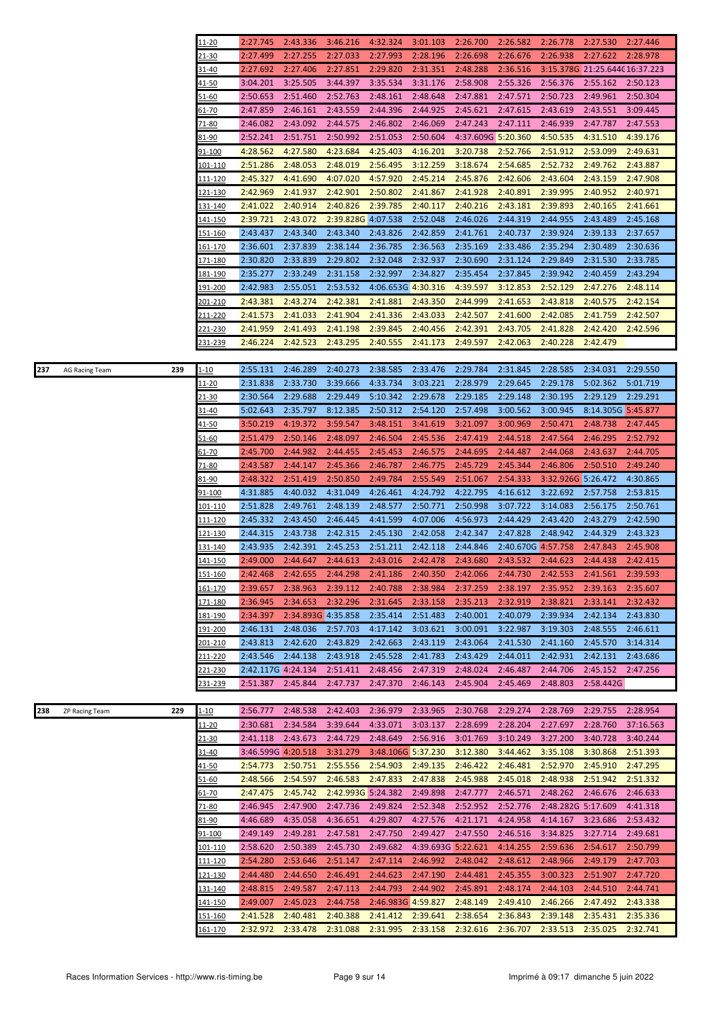|                                     | 11-20                     | 2:27.745             | 2:43.336             | 3:46.216             | 4:32.324             | 3:01.103             | 2:26.700             | 2:26.582             | 2:26.778                   | 2:27.530                      | 2:27.446             |
|-------------------------------------|---------------------------|----------------------|----------------------|----------------------|----------------------|----------------------|----------------------|----------------------|----------------------------|-------------------------------|----------------------|
|                                     |                           | 2:27.499             | 2:27.255             | 2:27.033             | 2:27.993             | 2:28.196             | 2:26.698             | 2:26.676             | 2:26.938                   | 2:27.622                      | 2:28.978             |
|                                     | 21-30                     |                      |                      |                      |                      |                      |                      |                      |                            |                               |                      |
|                                     | 31-40                     | 2:27.692             | 2:27.406             | 2:27.851             | 2:29.820             | 2:31.351             | 2:48.288             | 2:36.516             |                            | 3:15.378G 21:25.644(16:37.223 |                      |
|                                     | 41-50                     | 3:04.201             | 3:25.505             | 3:44.397             | 3:35.534             | 3:31.176             | 2:58.908             | 2:55.326             | 2:56.376                   | 2:55.162                      | 2:50.123             |
|                                     | 51-60                     | 2:50.653             | 2:51.460             | 2:52.763             | 2:48.161             | 2:48.648             | 2:47.881             | 2:47.571             | 2:50.723                   | 2:49.961                      | 2:50.304             |
|                                     | $61 - 70$                 | 2:47.859             | 2:46.161             | 2:43.559             | 2:44.396             | 2:44.925             | 2:45.621             | 2:47.615             | 2:43.619                   | 2:43.551                      | 3:09.445             |
|                                     | 71-80                     | 2:46.082             | 2:43.092             | 2:44.575             | 2:46.802             | 2:46.069             | 2:47.243             | 2:47.111             | 2:46.939                   | 2:47.787                      | 2:47.553             |
|                                     | 81-90                     | 2:52.241             | 2:51.751             | 2:50.992             | 2:51.053             | 2:50.604             |                      | 4:37.609G 5:20.360   | 4:50.535                   | 4:31.510                      | 4:39.176             |
|                                     | 91-100                    | 4:28.562             | 4:27.580             | 4:23.684             | 4:25.403             | 4:16.201             | 3:20.738             | 2:52.766             | 2:51.912                   | 2:53.099                      | 2:49.631             |
|                                     | 101-110                   | 2:51.286             | 2:48.053             | 2:48.019             | 2:56.495             | 3:12.259             | 3:18.674             | 2:54.685             | 2:52.732                   | 2:49.762                      | 2:43.887             |
|                                     | 111-120                   | 2:45.327             | 4:41.690             | 4:07.020             | 4:57.920             | 2:45.214             | 2:45.876             | 2:42.606             | 2:43.604                   | 2:43.159                      | 2:47.908             |
|                                     | 121-130                   | 2:42.969             | 2:41.937             | 2:42.901             | 2:50.802             | 2:41.867             | 2:41.928             | 2:40.891             | 2:39.995                   | 2:40.952                      | 2:40.971             |
|                                     |                           |                      | 2:40.914             | 2:40.826             | 2:39.785             | 2:40.117             | 2:40.216             | 2:43.181             | 2:39.893                   |                               |                      |
|                                     | <u>131-140</u>            | 2:41.022             |                      |                      |                      |                      |                      |                      |                            | 2:40.165                      | 2:41.661             |
|                                     | 141-150                   | 2:39.721             | 2:43.072             | 2:39.828G 4:07.538   |                      | 2:52.048             | 2:46.026             | 2:44.319             | 2:44.955                   | 2:43.489                      | 2:45.168             |
|                                     | 151-160                   | 2:43.437             | 2:43.340             | 2:43.340             | 2:43.826             | 2:42.859             | 2:41.761             | 2:40.737             | 2:39.924                   | 2:39.133                      | 2:37.657             |
|                                     | 161-170                   | 2:36.601             | 2:37.839             | 2:38.144             | 2:36.785             | 2:36.563             | 2:35.169             | 2:33.486             | 2:35.294                   | 2:30.489                      | 2:30.636             |
|                                     | 171-180                   | 2:30.820             | 2:33.839             | 2:29.802             | 2:32.048             | 2:32.937             | 2:30.690             | 2:31.124             | 2:29.849                   | 2:31.530                      | 2:33.785             |
|                                     | <u>181-190</u>            | 2:35.277             | 2:33.249             | 2:31.158             | 2:32.997             | 2:34.827             | 2:35.454             | 2:37.845             | 2:39.942                   | 2:40.459                      | 2:43.294             |
|                                     | 191-200                   | 2:42.983             | 2:55.051             | 2:53.532             | 4:06.653G 4:30.316   |                      | 4:39.597             | 3:12.853             | 2:52.129                   | 2:47.276                      | 2:48.114             |
|                                     | 201-210                   | 2:43.381             | 2:43.274             | 2:42.381             | 2:41.881             | 2:43.350             | 2:44.999             | 2:41.653             | 2:43.818                   | 2:40.575                      | 2:42.154             |
|                                     | 211-220                   | 2:41.573             | 2:41.033             | 2:41.904             | 2:41.336             | 2:43.033             | 2:42.507             | 2:41.600             | 2:42.085                   | 2:41.759                      | 2:42.507             |
|                                     | 221-230                   | 2:41.959             | 2:41.493             | 2:41.198             | 2:39.845             | 2:40.456             | 2:42.391             | 2:43.705             | 2:41.828                   | 2:42.420                      | 2:42.596             |
|                                     | 231-239                   | 2:46.224             | 2:42.523             | 2:43.295             | 2:40.555             | 2:41.173             | 2:49.597             | 2:42.063             | 2:40.228                   | 2:42.479                      |                      |
|                                     |                           |                      |                      |                      |                      |                      |                      |                      |                            |                               |                      |
| 239<br>237<br><b>AG Racing Team</b> | $1 - 10$                  | 2:55.131             | 2:46.289             | 2:40.273             | 2:38.585             | 2:33.476             | 2:29.784             | 2:31.845             | 2:28.585                   | 2:34.031                      | 2:29.550             |
|                                     | 11-20                     | 2:31.838             | 2:33.730             | 3:39.666             | 4:33.734             | 3:03.221             | 2:28.979             | 2:29.645             | 2:29.178                   | 5:02.362                      | 5:01.719             |
|                                     | $21 - 30$                 | 2:30.564             | 2:29.688             | 2:29.449             | 5:10.342             | 2:29.678             | 2:29.185             | 2:29.148             | 2:30.195                   | 2:29.129                      | 2:29.291             |
|                                     |                           |                      |                      |                      |                      |                      |                      |                      |                            |                               |                      |
|                                     | 31-40                     | 5:02.643             | 2:35.797             | 8:12.385             | 2:50.312             | 2:54.120             | 2:57.498             | 3:00.562             | 3:00.945                   | 8:14.305G 5:45.877            |                      |
|                                     | <u>41-50</u>              | 3:50.219             | 4:19.372             | 3:59.547             | 3:48.151             | 3:41.619             | 3:21.097             | 3:00.969             | 2:50.471                   | 2:48.738                      | 2:47.445             |
|                                     | 51-60                     | 2:51.479             | 2:50.146             | 2:48.097             | 2:46.504             | 2:45.536             | 2:47.419             | 2:44.518             | 2:47.564                   | 2:46.295                      | 2:52.792             |
|                                     | $61 - 70$                 | 2:45.700             | 2:44.982             | 2:44.455             | 2:45.453             | 2:46.575             | 2:44.695             | 2:44.487             | 2:44.068                   | 2:43.637                      | 2:44.705             |
|                                     | 71-80                     | 2:43.587             | 2:44.147             | 2:45.366             | 2:46.787             | 2:46.775             | 2:45.729             | 2:45.344             | 2:46.806                   | 2:50.510                      | 2:49.240             |
|                                     | 81-90                     | 2:48.322             | 2:51.419             | 2:50.850             | 2:49.784             | 2:55.549             | 2:51.067             | 2:54.333             | 3:32.926G 5:26.472         |                               | 4:30.865             |
|                                     | 91-100                    | 4:31.885             | 4:40.032             | 4:31.049             | 4:26.461             | 4:24.792             | 4:22.795             | 4:16.612             | 3:22.692                   | 2:57.758                      | 2:53.815             |
|                                     | <u> 101-110</u>           | 2:51.828             | 2:49.761             | 2:48.139             | 2:48.577             | 2:50.771             | 2:50.998             | 3:07.722             | 3:14.083                   | 2:56.175                      | 2:50.761             |
|                                     | <u> 111-120</u>           | 2:45.332             | 2:43.450             | 2:46.445             | 4:41.599             | 4:07.006             | 4:56.973             | 2:44.429             | 2:43.420                   | 2:43.279                      | 2:42.590             |
|                                     | 121-130                   | 2:44.315             | 2:43.738             | 2:42.315             | 2:45.130             | 2:42.058             | 2:42.347             | 2:47.828             | 2:48.942                   | 2:44.329                      | 2:43.323             |
|                                     | 131-140                   | 2:43.935             | 2:42.391             | 2:45.253             | 2:51.211             | 2:42.118             | 2:44.846             | 2:40.670G 4:57.758   |                            | 2:47.843                      | 2:45.908             |
|                                     | 141-150                   | 2:49.000             | 2:44.647             | 2:44.613             | 2:43.016             | 2:42.478             | 2:43.680             | 2:43.532             | 2:44.623                   | 2:44.438                      | 2:42.415             |
|                                     | 151-160                   | 2:42.468             | 2:42.655             | 2:44.298             | 2:41.186             | 2:40.350             | 2:42.066             |                      | 2:44.730 2:42.553 2:41.561 |                               | 2:39.593             |
|                                     | <u>161-170</u>            | 2:39.657             | 2:38.963             | 2:39.112             | 2:40.788             | 2:38.984             | 2:37.259             | 2:38.197             | 2:35.952                   | 2:39.163                      | 2:35.607             |
|                                     | 171-180                   | 2:36.945             | 2:34.653             | 2:32.296             | 2:31.645             | 2:33.158             | 2:35.213             | 2:32.919             | 2:38.821                   | 2:33.141                      | 2:32.432             |
|                                     | <u>181-190</u>            | 2:34.397             | 2:34.893G 4:35.858   |                      | 2:35.414             | 2:51.483             | 2:40.001             | 2:40.079             | 2:39.934                   | 2:42.134                      | 2:43.830             |
|                                     | <u> 191-200</u>           | 2:46.131             | 2:48.036             | 2:57.703             | 4:17.142             | 3:03.621             | 3:00.091             | 3:22.987             | 3:19.303                   | 2:48.555                      | 2:46.611             |
|                                     | 201-210                   | 2:43.813             | 2:42.620             | 2:43.829             | 2:42.663             | 2:43.119             | 2:43.064             | 2:41.530             |                            |                               | 3:14.314             |
|                                     |                           |                      | 2:44.138             | 2:43.918             | 2:45.528             | 2:41.783             | 2:43.429             | 2:44.011             | 2:41.160<br>2:42.931       | 2:45.570<br>2:42.131          |                      |
|                                     | 211-220                   | 2:43.546             |                      |                      |                      |                      |                      |                      |                            |                               | 2:43.686             |
|                                     | 221-230                   | 2:42.117G 4:24.134   |                      | 2:51.411             | 2:48.456             | 2:47.319             | 2:48.024             | 2:46.487             | 2:44.706                   | 2:45.152                      | 2:47.256             |
|                                     | 231-239                   | 2:51.387             | 2:45.844             | 2:47.737             | 2:47.370             | 2:46.143             | 2:45.904             | 2:45.469             | 2:48.803                   | 2:58.442G                     |                      |
|                                     |                           |                      |                      |                      |                      |                      |                      |                      |                            |                               |                      |
| 229<br>238<br>ZP Racing Team        | $1 - 10$                  | 2:56.777             | 2:48.538             | 2:42.403             | 2:36.979             | 2:33.965             | 2:30.768             | 2:29.274             | 2:28.769                   | 2:29.755                      | 2:28.954             |
|                                     | <u>11-20</u>              | 2:30.681             | 2:34.584             | 3:39.644             | 4:33.071             | 3:03.137             | 2:28.699             | 2:28.204             | 2:27.697                   | 2:28.760                      | 37:16.563            |
|                                     | <u>21-30</u>              | 2:41.118             | 2:43.673             | 2:44.729             | 2:48.649             | 2:56.916             | 3:01.769             | 3:10.249             | 3:27.200                   | 3:40.728                      | 3:40.244             |
|                                     | $31 - 40$                 | 3:46.599G 4:20.518   |                      | 3:31.279             | 3:48.106G 5:37.230   |                      | 3:12.380             | 3:44.462             | 3:35.108                   | 3:30.868                      | 2:51.393             |
|                                     | 41-50                     | 2:54.773             | 2:50.751             | 2:55.556             | 2:54.903             | 2:49.135             | 2:46.422             | 2:46.481             | 2:52.970                   | 2:45.910                      | 2:47.295             |
|                                     | 51-60                     | 2:48.566             | 2:54.597             | 2:46.583             | 2:47.833             | 2:47.838             | 2:45.988             | 2:45.018             | 2:48.938                   | 2:51.942                      | 2:51.332             |
|                                     | 51-70                     | 2:47.475             | 2:45.742             | 2:42.993G 5:24.382   |                      | 2:49.898             | 2:47.777             | 2:46.571             | 2:48.262                   | 2:46.676                      | 2:46.633             |
|                                     | 71-80                     | 2:46.945             | 2:47.900             | 2:47.736             | 2:49.824             | 2:52.348             | 2:52.952             | 2:52.776             | 2:48.282G 5:17.609         |                               | 4:41.318             |
|                                     | 81-90                     | 4:46.689             | 4:35.058             | 4:36.651             | 4:29.807             | 4:27.576             | 4:21.171             | 4:24.958             | 4:14.167                   | 3:23.686                      | 2:53.432             |
|                                     | <u>91-100</u>             | 2:49.149             | 2:49.281             | 2:47.581             | 2:47.750             | 2:49.427             | 2:47.550             | 2:46.516             | 3:34.825                   | 3:27.714                      | 2:49.681             |
|                                     | 101-110                   | 2:58.620             | 2:50.389             | 2:45.730             | 2:49.682             |                      | 4:39.693G 5:22.621   | 4:14.255             | 2:59.636                   | 2:54.617                      | 2:50.799             |
|                                     | <u> 111-120</u>           | 2:54.280             | 2:53.646             | 2:51.147             | 2:47.114             | 2:46.992             | 2:48.042             | 2:48.612             | 2:48.966                   | 2:49.179                      | 2:47.703             |
|                                     |                           | 2:44.480             | 2:44.650             | 2:46.491             | 2:44.623             | 2:47.190             | 2:44.481             | 2:45.355             | 3:00.323                   | 2:51.907                      | 2:47.720             |
|                                     | <u>121-130</u>            |                      |                      |                      |                      |                      |                      |                      |                            |                               |                      |
|                                     | 131-140                   | 2:48.815             | 2:49.587             | 2:47.113             | 2:44.793             | 2:44.902             | 2:45.891             | 2:48.174             | 2:44.103                   | 2:44.510                      | 2:44.741             |
|                                     |                           |                      |                      |                      |                      |                      |                      |                      |                            |                               |                      |
|                                     | <u>141-150</u>            | 2:49.007             | 2:45.023             | 2:44.758             | 2:46.983G 4:59.827   |                      | 2:48.149             | 2:49.410             | 2:46.266                   | 2:47.492                      | 2:43.338             |
|                                     | <u>151-160</u><br>161-170 | 2:41.528<br>2:32.972 | 2:40.481<br>2:33.478 | 2:40.388<br>2:31.088 | 2:41.412<br>2:31.995 | 2:39.641<br>2:33.158 | 2:38.654<br>2:32.616 | 2:36.843<br>2:36.707 | 2:39.148<br>2:33.513       | 2:35.431<br>2:35.025          | 2:35.336<br>2:32.741 |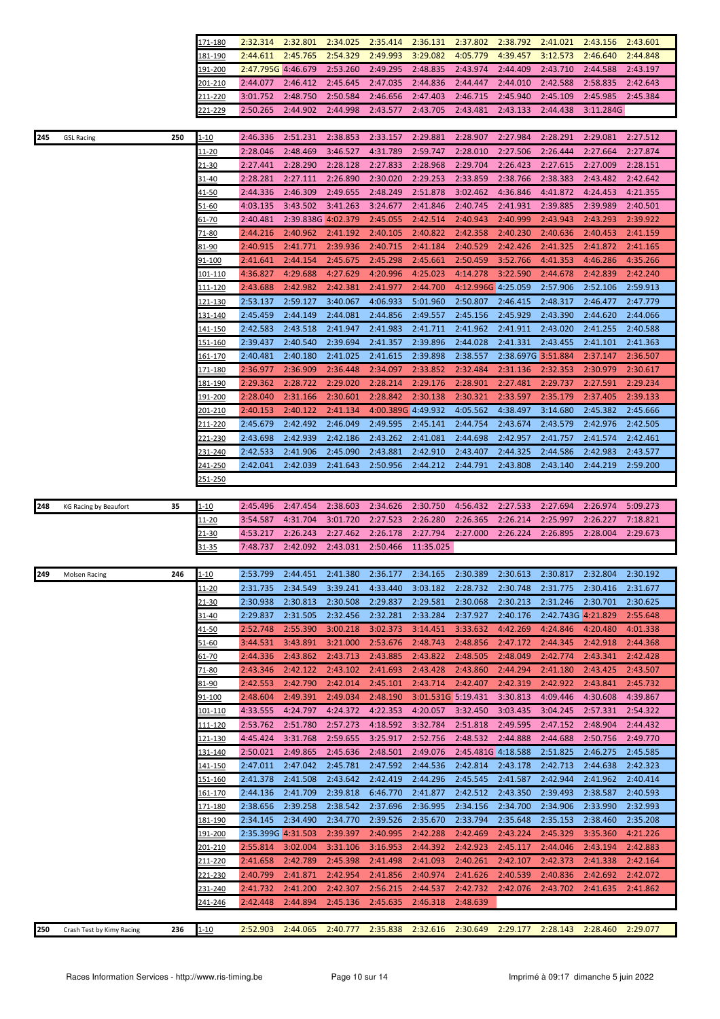|     |                              |     | <u>171-180</u>  | 2:32.314           | 2:32.801           | 2:34.025 | 2:35.414           | 2:36.131           | 2:37.802           | 2:38.792           | 2:41.021           | 2:43.156  | 2:43.601 |
|-----|------------------------------|-----|-----------------|--------------------|--------------------|----------|--------------------|--------------------|--------------------|--------------------|--------------------|-----------|----------|
|     |                              |     | 181-190         | 2:44.611           | 2:45.765           | 2:54.329 | 2:49.993           | 3:29.082           | 4:05.779           | 4:39.457           | 3:12.573           | 2:46.640  | 2:44.848 |
|     |                              |     | 191-200         | 2:47.795G 4:46.679 |                    | 2:53.260 | 2:49.295           | 2:48.835           | 2:43.974           | 2:44.409           | 2:43.710           | 2:44.588  | 2:43.197 |
|     |                              |     | 201-210         | 2:44.077           | 2:46.412           | 2:45.645 | 2:47.035           | 2:44.836           | 2:44.447           | 2:44.010           | 2:42.588           | 2:58.835  | 2:42.643 |
|     |                              |     | 211-220         | 3:01.752           | 2:48.750           | 2:50.584 | 2:46.656           | 2:47.403           | 2:46.715           | 2:45.940           | 2:45.109           | 2:45.985  | 2:45.384 |
|     |                              |     | $21 - 229$      | 2:50.265           | 2:44.902           | 2:44.998 | 2:43.577           | 2:43.705           | 2:43.481           | 2:43.133           | 2:44.438           | 3:11.284G |          |
|     |                              |     |                 |                    |                    |          |                    |                    |                    |                    |                    |           |          |
|     |                              |     |                 |                    |                    |          |                    |                    |                    |                    |                    |           |          |
| 245 | <b>GSL Racing</b>            | 250 | $1 - 10$        | 2:46.336           | 2:51.231           | 2:38.853 | 2:33.157           | 2:29.881           | 2:28.907           | 2:27.984           | 2:28.291           | 2:29.081  | 2:27.512 |
|     |                              |     | 11-20           | 2:28.046           | 2:48.469           | 3:46.527 | 4:31.789           | 2:59.747           | 2:28.010           | 2:27.506           | 2:26.444           | 2:27.664  | 2:27.874 |
|     |                              |     | 21-30           | 2:27.441           | 2:28.290           | 2:28.128 | 2:27.833           | 2:28.968           | 2:29.704           | 2:26.423           | 2:27.615           | 2:27.009  | 2:28.151 |
|     |                              |     | 31-40           | 2:28.281           | 2:27.111           | 2:26.890 | 2:30.020           | 2:29.253           | 2:33.859           | 2:38.766           | 2:38.383           | 2:43.482  | 2:42.642 |
|     |                              |     | 41-50           | 2:44.336           | 2:46.309           | 2:49.655 | 2:48.249           | 2:51.878           | 3:02.462           | 4:36.846           | 4:41.872           | 4:24.453  | 4:21.355 |
|     |                              |     | 51-60           | 4:03.135           | 3:43.502           | 3:41.263 | 3:24.677           | 2:41.846           | 2:40.745           | 2:41.931           | 2:39.885           | 2:39.989  | 2:40.501 |
|     |                              |     | 61-70           | 2:40.481           | 2:39.838G 4:02.379 |          | 2:45.055           | 2:42.514           | 2:40.943           | 2:40.999           | 2:43.943           | 2:43.293  | 2:39.922 |
|     |                              |     | 71-80           | 2:44.216           | 2:40.962           | 2:41.192 | 2:40.105           | 2:40.822           | 2:42.358           | 2:40.230           | 2:40.636           | 2:40.453  | 2:41.159 |
|     |                              |     | 81-90           | 2:40.915           | 2:41.771           | 2:39.936 | 2:40.715           | 2:41.184           | 2:40.529           | 2:42.426           | 2:41.325           | 2:41.872  | 2:41.165 |
|     |                              |     | 91-100          | 2:41.641           | 2:44.154           | 2:45.675 | 2:45.298           | 2:45.661           | 2:50.459           | 3:52.766           | 4:41.353           | 4:46.286  | 4:35.266 |
|     |                              |     | <u> 101-110</u> | 4:36.827           | 4:29.688           | 4:27.629 | 4:20.996           | 4:25.023           | 4:14.278           | 3:22.590           | 2:44.678           | 2:42.839  | 2:42.240 |
|     |                              |     | 111-120         | 2:43.688           | 2:42.982           | 2:42.381 | 2:41.977           | 2:44.700           | 4:12.996G 4:25.059 |                    | 2:57.906           | 2:52.106  | 2:59.913 |
|     |                              |     | 121-130         | 2:53.137           | 2:59.127           | 3:40.067 | 4:06.933           | 5:01.960           | 2:50.807           | 2:46.415           | 2:48.317           | 2:46.477  | 2:47.779 |
|     |                              |     |                 |                    |                    |          |                    |                    |                    |                    |                    |           |          |
|     |                              |     | 131-140         | 2:45.459           | 2:44.149           | 2:44.081 | 2:44.856           | 2:49.557           | 2:45.156           | 2:45.929           | 2:43.390           | 2:44.620  | 2:44.066 |
|     |                              |     | 141-150         | 2:42.583           | 2:43.518           | 2:41.947 | 2:41.983           | 2:41.711           | 2:41.962           | 2:41.911           | 2:43.020           | 2:41.255  | 2:40.588 |
|     |                              |     | 151-160         | 2:39.437           | 2:40.540           | 2:39.694 | 2:41.357           | 2:39.896           | 2:44.028           | 2:41.331           | 2:43.455           | 2:41.101  | 2:41.363 |
|     |                              |     | 161-170         | 2:40.481           | 2:40.180           | 2:41.025 | 2:41.615           | 2:39.898           | 2:38.557           | 2:38.697G 3:51.884 |                    | 2:37.147  | 2:36.507 |
|     |                              |     | l71-180         | 2:36.977           | 2:36.909           | 2:36.448 | 2:34.097           | 2:33.852           | 2:32.484           | 2:31.136           | 2:32.353           | 2:30.979  | 2:30.617 |
|     |                              |     | 181-190         | 2:29.362           | 2:28.722           | 2:29.020 | 2:28.214           | 2:29.176           | 2:28.901           | 2:27.481           | 2:29.737           | 2:27.591  | 2:29.234 |
|     |                              |     | 191-200         | 2:28.040           | 2:31.166           | 2:30.601 | 2:28.842           | 2:30.138           | 2:30.321           | 2:33.597           | 2:35.179           | 2:37.405  | 2:39.133 |
|     |                              |     | 201-210         | 2:40.153           | 2:40.122           | 2:41.134 | 4:00.389G 4:49.932 |                    | 4:05.562           | 4:38.497           | 3:14.680           | 2:45.382  | 2:45.666 |
|     |                              |     | 211-220         | 2:45.679           | 2:42.492           | 2:46.049 | 2:49.595           | 2:45.141           | 2:44.754           | 2:43.674           | 2:43.579           | 2:42.976  | 2:42.505 |
|     |                              |     | 221-230         | 2:43.698           | 2:42.939           | 2:42.186 | 2:43.262           | 2:41.081           | 2:44.698           | 2:42.957           | 2:41.757           | 2:41.574  | 2:42.461 |
|     |                              |     | 231-240         | 2:42.533           | 2:41.906           | 2:45.090 | 2:43.881           | 2:42.910           | 2:43.407           | 2:44.325           | 2:44.586           | 2:42.983  | 2:43.577 |
|     |                              |     | 241-250         | 2:42.041           | 2:42.039           | 2:41.643 | 2:50.956           | 2:44.212           | 2:44.791           | 2:43.808           | 2:43.140           | 2:44.219  | 2:59.200 |
|     |                              |     | 251-250         |                    |                    |          |                    |                    |                    |                    |                    |           |          |
|     |                              |     |                 |                    |                    |          |                    |                    |                    |                    |                    |           |          |
|     |                              |     |                 |                    |                    |          |                    |                    |                    |                    |                    |           |          |
|     |                              |     |                 |                    |                    |          |                    |                    |                    |                    |                    |           |          |
| 248 | <b>KG Racing by Beaufort</b> | 35  | l-10            | 2:45.496           | 2:47.454           | 2:38.603 | 2:34.626           | 2:30.750           | 4:56.432           | 2:27.533           | 2:27.694           | 2:26.974  | 5:09.273 |
|     |                              |     | 11-20           | 3:54.587           | 4:31.704           | 3:01.720 | 2:27.523           | 2:26.280           | 2:26.365           | 2:26.214           | 2:25.997           | 2:26.227  | 7:18.821 |
|     |                              |     | 21-30           | 4:53.217           | 2:26.243           | 2:27.462 | 2:26.178           | 2:27.794           | 2:27.000           | 2:26.224           | 2:26.895           | 2:28.004  | 2:29.673 |
|     |                              |     | $31 - 35$       | 7:48.737           | 2:42.092           | 2:43.031 | 2:50.466           | 11:35.025          |                    |                    |                    |           |          |
|     |                              |     |                 |                    |                    |          |                    |                    |                    |                    |                    |           |          |
| 249 | <b>Molsen Racing</b>         | 246 | $1 - 10$        | 2:53.799           | 2:44.451           | 2:41.380 | 2:36.177           | 2:34.165           | 2:30.389           | 2:30.613           | 2:30.817           | 2:32.804  | 2:30.192 |
|     |                              |     | 11-20           | 2:31.735           | 2:34.549           | 3:39.241 | 4:33.440           | 3:03.182           | 2:28.732           | 2:30.748           | 2:31.775           | 2:30.416  | 2:31.677 |
|     |                              |     | $21 - 30$       | 2:30.938           | 2:30.813           | 2:30.508 | 2:29.837           | 2:29.581           | 2:30.068           | 2:30.213           | 2:31.246           | 2:30.701  | 2:30.625 |
|     |                              |     | 31-40           | 2:29.837           | 2:31.505           | 2:32.456 | 2:32.281           | 2:33.284           | 2:37.927           | 2:40.176           | 2:42.743G 4:21.829 |           | 2:55.648 |
|     |                              |     | 41-50           | 2:52.748           | 2:55.390           | 3:00.218 | 3:02.373           | 3:14.451           | 3:33.632           | 4:42.269           | 4:24.846           | 4:20.480  | 4:01.338 |
|     |                              |     | $51 - 60$       | 3:44.531           | 3:43.891           | 3:21.000 | 2:53.676           | 2:48.743           | 2:48.856           | 2:47.172           | 2:44.345           | 2:42.918  | 2:44.368 |
|     |                              |     | <u>61-70</u>    | 2:44.336           | 2:43.862           | 2:43.713 | 2:43.885           | 2:43.822           | 2:48.505           | 2:48.049           | 2:42.774           | 2:43.341  | 2:42.428 |
|     |                              |     |                 | 2:43.346           |                    |          | 2:41.693           |                    |                    |                    |                    |           |          |
|     |                              |     | 71-80           |                    | 2:42.122           | 2:43.102 |                    | 2:43.428           | 2:43.860           | 2:44.294           | 2:41.180           | 2:43.425  | 2:43.507 |
|     |                              |     | 81-90           | 2:42.553           | 2:42.790           | 2:42.014 | 2:45.101           | 2:43.714           | 2:42.407           | 2:42.319           | 2:42.922           | 2:43.841  | 2:45.732 |
|     |                              |     | 91-100          | 2:48.604           | 2:49.391           | 2:49.034 | 2:48.190           | 3:01.531G 5:19.431 |                    | 3:30.813           | 4:09.446           | 4:30.608  | 4:39.867 |
|     |                              |     | <u> 101-110</u> | 4:33.555           | 4:24.797           | 4:24.372 | 4:22.353           | 4:20.057           | 3:32.450           | 3:03.435           | 3:04.245           | 2:57.331  | 2:54.322 |
|     |                              |     | <u> 111-120</u> | 2:53.762           | 2:51.780           | 2:57.273 | 4:18.592           | 3:32.784           | 2:51.818           | 2:49.595           | 2:47.152           | 2:48.904  | 2:44.432 |
|     |                              |     | <u>121-130</u>  | 4:45.424           | 3:31.768           | 2:59.655 | 3:25.917           | 2:52.756           | 2:48.532           | 2:44.888           | 2:44.688           | 2:50.756  | 2:49.770 |
|     |                              |     | 131-140         | 2:50.021           | 2:49.865           | 2:45.636 | 2:48.501           | 2:49.076           | 2:45.481G 4:18.588 |                    | 2:51.825           | 2:46.275  | 2:45.585 |
|     |                              |     | <u> 141-150</u> | 2:47.011           | 2:47.042           | 2:45.781 | 2:47.592           | 2:44.536           | 2:42.814           | 2:43.178           | 2:42.713           | 2:44.638  | 2:42.323 |
|     |                              |     | 151-160         | 2:41.378           | 2:41.508           | 2:43.642 | 2:42.419           | 2:44.296           | 2:45.545           | 2:41.587           | 2:42.944           | 2:41.962  | 2:40.414 |
|     |                              |     | 161-170         | 2:44.136           | 2:41.709           | 2:39.818 | 6:46.770           | 2:41.877           | 2:42.512           | 2:43.350           | 2:39.493           | 2:38.587  | 2:40.593 |
|     |                              |     | 171-180         | 2:38.656           | 2:39.258           | 2:38.542 | 2:37.696           | 2:36.995           | 2:34.156           | 2:34.700           | 2:34.906           | 2:33.990  | 2:32.993 |
|     |                              |     | 181-190         | 2:34.145           | 2:34.490           | 2:34.770 | 2:39.526           | 2:35.670           | 2:33.794           | 2:35.648           | 2:35.153           | 2:38.460  | 2:35.208 |
|     |                              |     | 191-200         | 2:35.399G 4:31.503 |                    | 2:39.397 | 2:40.995           | 2:42.288           | 2:42.469           | 2:43.224           | 2:45.329           | 3:35.360  | 4:21.226 |
|     |                              |     | 201-210         | 2:55.814           | 3:02.004           | 3:31.106 | 3:16.953           | 2:44.392           | 2:42.923           | 2:45.117           | 2:44.046           | 2:43.194  | 2:42.883 |
|     |                              |     | 211-220         | 2:41.658           | 2:42.789           | 2:45.398 | 2:41.498           | 2:41.093           | 2:40.261           | 2:42.107           | 2:42.373           | 2:41.338  | 2:42.164 |
|     |                              |     | 221-230         | 2:40.799           | 2:41.871           | 2:42.954 | 2:41.856           | 2:40.974           | 2:41.626           | 2:40.539           | 2:40.836           | 2:42.692  | 2:42.072 |
|     |                              |     | 231-240         | 2:41.732           |                    |          |                    |                    |                    |                    |                    |           |          |
|     |                              |     |                 |                    | 2:41.200           | 2:42.307 | 2:56.215           | 2:44.537           | 2:42.732           | 2:42.076           | 2:43.702           | 2:41.635  | 2:41.862 |
|     |                              |     | 241-246         | 2:42.448           | 2:44.894           | 2:45.136 | 2:45.635           | 2:46.318           | 2:48.639           |                    |                    |           |          |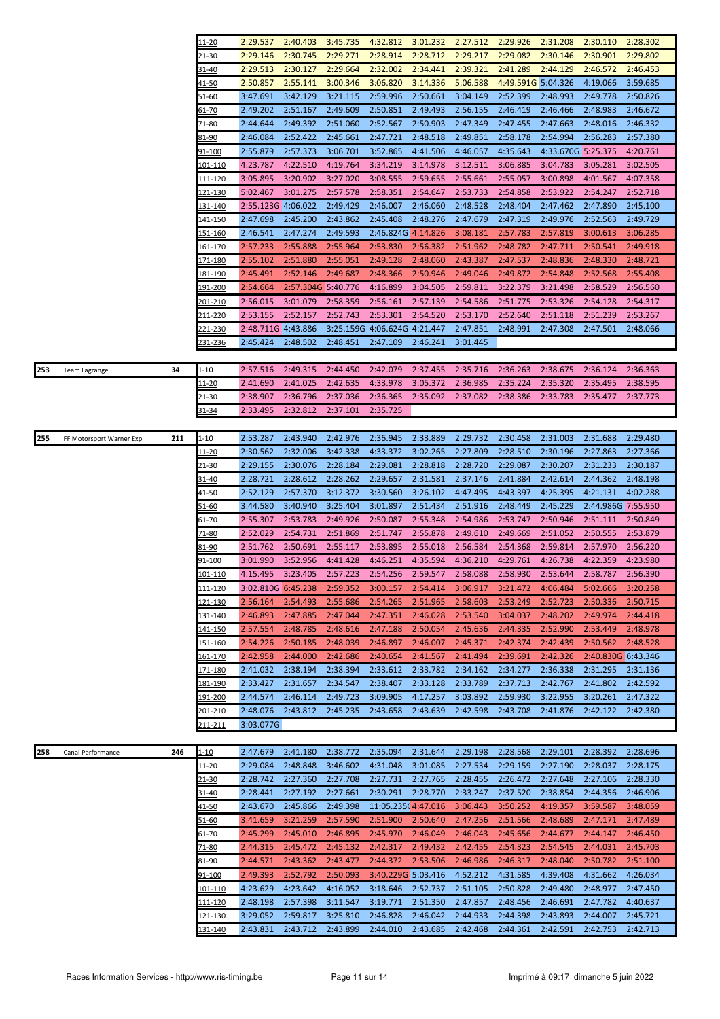|     |                          |     | 11-20                     | 2:29.537             | 2:40.403             | 3:45.735             | 4:32.812                     | 3:01.232             | 2:27.512             | 2:29.926             | 2:31.208                                                                | 2:30.110             | 2:28.302             |
|-----|--------------------------|-----|---------------------------|----------------------|----------------------|----------------------|------------------------------|----------------------|----------------------|----------------------|-------------------------------------------------------------------------|----------------------|----------------------|
|     |                          |     | 21-30                     | 2:29.146             | 2:30.745             | 2:29.271             | 2:28.914                     | 2:28.712             | 2:29.217             | 2:29.082             | 2:30.146                                                                | 2:30.901             | 2:29.802             |
|     |                          |     | 31-40                     | 2:29.513             | 2:30.127             | 2:29.664             | 2:32.002                     | 2:34.441             | 2:39.321             | 2:41.289             | 2:44.129                                                                | 2:46.572             | 2:46.453             |
|     |                          |     | 41-50                     | 2:50.857             | 2:55.141             | 3:00.346             | 3:06.820                     | 3:14.336             | 5:06.588             | 4:49.591G 5:04.326   |                                                                         | 4:19.066             | 3:59.685             |
|     |                          |     | <u>51-60</u>              | 3:47.691             | 3:42.129             | 3:21.115             | 2:59.996                     | 2:50.661             | 3:04.149             | 2:52.399             | 2:48.993                                                                | 2:49.778             | 2:50.826             |
|     |                          |     | <u>61-70</u>              | 2:49.202             | 2:51.167             | 2:49.609             | 2:50.851                     | 2:49.493             | 2:56.155             | 2:46.419             | 2:46.466                                                                | 2:48.983             | 2:46.672             |
|     |                          |     | $71 - 80$                 | 2:44.644             | 2:49.392             | 2:51.060             | 2:52.567                     | 2:50.903             | 2:47.349             | 2:47.455             | 2:47.663                                                                | 2:48.016             | 2:46.332             |
|     |                          |     | 81-90                     | 2:46.084             | 2:52.422             | 2:45.661             | 2:47.721                     | 2:48.518             | 2:49.851             | 2:58.178             | 2:54.994                                                                | 2:56.283             | 2:57.380             |
|     |                          |     | 91-100                    | 2:55.879             | 2:57.373             | 3:06.701             | 3:52.865                     | 4:41.506             | 4:46.057             | 4:35.643             | 4:33.670G 5:25.375                                                      |                      | 4:20.761             |
|     |                          |     |                           | 4:23.787             | 4:22.510             |                      | 3:34.219                     |                      |                      |                      |                                                                         |                      |                      |
|     |                          |     | 101-110                   |                      |                      | 4:19.764             |                              | 3:14.978             | 3:12.511             | 3:06.885             | 3:04.783                                                                | 3:05.281             | 3:02.505             |
|     |                          |     | 111-120                   | 3:05.895             | 3:20.902             | 3:27.020             | 3:08.555                     | 2:59.655             | 2:55.661             | 2:55.057             | 3:00.898                                                                | 4:01.567             | 4:07.358             |
|     |                          |     | 121-130                   | 5:02.467             | 3:01.275             | 2:57.578             | 2:58.351                     | 2:54.647             | 2:53.733             | 2:54.858             | 2:53.922                                                                | 2:54.247             | 2:52.718             |
|     |                          |     | 131-140                   | 2:55.123G 4:06.022   |                      | 2:49.429             | 2:46.007                     | 2:46.060             | 2:48.528             | 2:48.404             | 2:47.462                                                                | 2:47.890             | 2:45.100             |
|     |                          |     | 141-150                   | 2:47.698             | 2:45.200             | 2:43.862             | 2:45.408                     | 2:48.276             | 2:47.679             | 2:47.319             | 2:49.976                                                                | 2:52.563             | 2:49.729             |
|     |                          |     | 151-160                   | 2:46.541             | 2:47.274             | 2:49.593             | 2:46.824G 4:14.826           |                      | 3:08.181             | 2:57.783             | 2:57.819                                                                | 3:00.613             | 3:06.285             |
|     |                          |     | <u> 161-170</u>           | 2:57.233             | 2:55.888             | 2:55.964             | 2:53.830                     | 2:56.382             | 2:51.962             | 2:48.782             | 2:47.711                                                                | 2:50.541             | 2:49.918             |
|     |                          |     | 171-180                   | 2:55.102             | 2:51.880             | 2:55.051             | 2:49.128                     | 2:48.060             | 2:43.387             | 2:47.537             | 2:48.836                                                                | 2:48.330             | 2:48.721             |
|     |                          |     | <u>181-190</u>            | 2:45.491             | 2:52.146             | 2:49.687             | 2:48.366                     | 2:50.946             | 2:49.046             | 2:49.872             | 2:54.848                                                                | 2:52.568             | 2:55.408             |
|     |                          |     | <u> 191-200</u>           | 2:54.664             | 2:57.304G 5:40.776   |                      | 4:16.899                     | 3:04.505             | 2:59.811             | 3:22.379             | 3:21.498                                                                | 2:58.529             | 2:56.560             |
|     |                          |     | 201-210                   | 2:56.015             | 3:01.079             | 2:58.359             | 2:56.161                     | 2:57.139             | 2:54.586             | 2:51.775             | 2:53.326                                                                | 2:54.128             | 2:54.317             |
|     |                          |     | 211-220                   | 2:53.155             | 2:52.157             | 2:52.743             | 2:53.301                     | 2:54.520             | 2:53.170             | 2:52.640             | 2:51.118                                                                | 2:51.239             | 2:53.267             |
|     |                          |     | <u>221-230</u>            | 2:48.711G 4:43.886   |                      |                      | 3:25.159G 4:06.624G 4:21.447 |                      | 2:47.851             | 2:48.991             | 2:47.308                                                                | 2:47.501             | 2:48.066             |
|     |                          |     | 231-236                   | 2:45.424             | 2:48.502             | 2:48.451             | 2:47.109                     | 2:46.241             | 3:01.445             |                      |                                                                         |                      |                      |
|     |                          |     |                           |                      |                      |                      |                              |                      |                      |                      |                                                                         |                      |                      |
| 253 | <b>Team Lagrange</b>     | 34  | 1-10                      | 2:57.516             | 2:49.315             | 2:44.450             | 2:42.079                     | 2:37.455             | 2:35.716             | 2:36.263             | 2:38.675                                                                | 2:36.124             | 2:36.363             |
|     |                          |     | 11-20                     | 2:41.690             | 2:41.025             | 2:42.635             | 4:33.978                     | 3:05.372             | 2:36.985             | 2:35.224             | 2:35.320                                                                | 2:35.495             | 2:38.595             |
|     |                          |     | <u>21-30</u>              | 2:38.907             | 2:36.796             | 2:37.036             | 2:36.365                     | 2:35.092             | 2:37.082             | 2:38.386             | 2:33.783                                                                | 2:35.477             | 2:37.773             |
|     |                          |     | 31-34                     | 2:33.495             | 2:32.812             | 2:37.101             | 2:35.725                     |                      |                      |                      |                                                                         |                      |                      |
|     |                          |     |                           |                      |                      |                      |                              |                      |                      |                      |                                                                         |                      |                      |
| 255 | FF Motorsport Warner Exp | 211 | $1 - 10$                  | 2:53.287             | 2:43.940             | 2:42.976             | 2:36.945                     | 2:33.889             | 2:29.732             | 2:30.458             | 2:31.003                                                                | 2:31.688             | 2:29.480             |
|     |                          |     | <u> 11-20</u>             | 2:30.562             | 2:32.006             | 3:42.338             | 4:33.372                     | 3:02.265             | 2:27.809             | 2:28.510             | 2:30.196                                                                | 2:27.863             | 2:27.366             |
|     |                          |     | 21-30                     | 2:29.155             | 2:30.076             | 2:28.184             | 2:29.081                     | 2:28.818             | 2:28.720             | 2:29.087             | 2:30.207                                                                | 2:31.233             | 2:30.187             |
|     |                          |     | 31-40                     | 2:28.721             | 2:28.612             | 2:28.262             | 2:29.657                     | 2:31.581             | 2:37.146             | 2:41.884             | 2:42.614                                                                | 2:44.362             | 2:48.198             |
|     |                          |     | 41-50                     | 2:52.129             | 2:57.370             | 3:12.372             | 3:30.560                     | 3:26.102             | 4:47.495             | 4:43.397             | 4:25.395                                                                | 4:21.131             | 4:02.288             |
|     |                          |     | <u>51-60</u>              | 3:44.580             | 3:40.940             | 3:25.404             | 3:01.897                     | 2:51.434             | 2:51.916             | 2:48.449             | 2:45.229                                                                | 2:44.986G 7:55.950   |                      |
|     |                          |     | 61-70                     | 2:55.307             | 2:53.783             | 2:49.926             | 2:50.087                     | 2:55.348             | 2:54.986             | 2:53.747             | 2:50.946                                                                | 2:51.111             | 2:50.849             |
|     |                          |     | 71-80                     | 2:52.029             | 2:54.731             | 2:51.869             | 2:51.747                     | 2:55.878             | 2:49.610             | 2:49.669             | 2:51.052                                                                | 2:50.555             | 2:53.879             |
|     |                          |     | 81-90                     | 2:51.762             | 2:50.691             | 2:55.117             | 2:53.895                     | 2:55.018             | 2:56.584             | 2:54.368             | 2:59.814                                                                | 2:57.970             | 2:56.220             |
|     |                          |     | <u>91-100</u>             | 3:01.990             | 3:52.956             | 4:41.428             | 4:46.251                     | 4:35.594             | 4:36.210             | 4:29.761             | 4:26.738                                                                | 4:22.359             | 4:23.980             |
|     |                          |     | 101-110                   | 4:15.495             |                      |                      |                              |                      |                      |                      | 3:23.405 2:57.223 2:54.256 2:59.547 2:58.088 2:58.930 2:53.644 2:58.787 |                      | 2:56.390             |
|     |                          |     | <u> 111-120</u>           | 3:02.810G 6:45.238   |                      | 2:59.352             | 3:00.157                     | 2:54.414             | 3:06.917             | 3:21.472             | 4:06.484                                                                | 5:02.666             | 3:20.258             |
|     |                          |     | 121-130                   | 2:56.164             | 2:54.493             | 2:55.686             | 2:54.265                     | 2:51.965             | 2:58.603             | 2:53.249             | 2:52.723                                                                | 2:50.336             | 2:50.715             |
|     |                          |     | <u>131-140</u>            | 2:46.893             | 2:47.885             | 2:47.044             | 2:47.351                     | 2:46.028             | 2:53.540             | 3:04.037             | 2:48.202                                                                | 2:49.974             | 2:44.418             |
|     |                          |     | 141-150                   | 2:57.554             | 2:48.785             | 2:48.616             | 2:47.188                     | 2:50.054             | 2:45.636             | 2:44.335             | 2:52.990                                                                | 2:53.449             | 2:48.978             |
|     |                          |     | <u>151-160</u>            | 2:54.226             | 2:50.185             | 2:48.039             | 2:46.897                     | 2:46.007             | 2:45.371             | 2:42.374             | 2:42.439                                                                | 2:50.562             | 2:48.528             |
|     |                          |     | 161-170                   | 2:42.958             | 2:44.000             | 2:42.686             | 2:40.654                     | 2:41.567             | 2:41.494             | 2:39.691             | 2:42.326                                                                | 2:40.830G 6:43.346   |                      |
|     |                          |     | 171-180                   | 2:41.032             | 2:38.194             | 2:38.394             | 2:33.612                     | 2:33.782             | 2:34.162             | 2:34.277             | 2:36.338                                                                | 2:31.295             | 2:31.136             |
|     |                          |     | 181-190                   | 2:33.427             | 2:31.657             | 2:34.547             | 2:38.407                     | 2:33.128             | 2:33.789             | 2:37.713             | 2:42.767                                                                | 2:41.802             | 2:42.592             |
|     |                          |     | 191-200                   | 2:44.574             | 2:46.114             | 2:49.723             | 3:09.905                     | 4:17.257             | 3:03.892             | 2:59.930             | 3:22.955                                                                | 3:20.261             | 2:47.322             |
|     |                          |     |                           |                      | 2:43.812             |                      |                              |                      |                      |                      |                                                                         |                      |                      |
|     |                          |     | 201-210                   | 2:48.076             |                      | 2:45.235             | 2:43.658                     | 2:43.639             | 2:42.598             | 2:43.708             | 2:41.876                                                                | 2:42.122             | 2:42.380             |
|     |                          |     |                           |                      |                      |                      |                              |                      |                      |                      |                                                                         |                      |                      |
|     |                          |     | <u>211-211</u>            | 3:03.077G            |                      |                      |                              |                      |                      |                      |                                                                         |                      |                      |
|     |                          |     |                           |                      |                      |                      |                              |                      |                      |                      |                                                                         |                      |                      |
| 258 | Canal Performance        | 246 | $1 - 10$                  | 2:47.679             | 2:41.180             | 2:38.772             | 2:35.094                     | 2:31.644             | 2:29.198             | 2:28.568             | 2:29.101                                                                | 2:28.392             | 2:28.696             |
|     |                          |     | 11-20                     | 2:29.084             | 2:48.848             | 3:46.602             | 4:31.048                     | 3:01.085             | 2:27.534             | 2:29.159             | 2:27.190                                                                | 2:28.037             | 2:28.175             |
|     |                          |     | 21-30                     | 2:28.742             | 2:27.360             | 2:27.708             | 2:27.731                     | 2:27.765             | 2:28.455             | 2:26.472             | 2:27.648                                                                | 2:27.106             | 2:28.330             |
|     |                          |     | 31-40                     | 2:28.441             | 2:27.192             | 2:27.661             | 2:30.291                     | 2:28.770             | 2:33.247             | 2:37.520             | 2:38.854                                                                | 2:44.356             | 2:46.906             |
|     |                          |     | 41-50                     | 2:43.670             | 2:45.866             | 2:49.398             | 11:05.235(4:47.016           |                      | 3:06.443             | 3:50.252             | 4:19.357                                                                | 3:59.587             | 3:48.059             |
|     |                          |     | <u>51-60</u>              | 3:41.659             | 3:21.259             | 2:57.590             | 2:51.900                     | 2:50.640             | 2:47.256             | 2:51.566             | 2:48.689                                                                | 2:47.171             | 2:47.489             |
|     |                          |     | 61-70                     | 2:45.299             | 2:45.010             | 2:46.895             | 2:45.970                     | 2:46.049             | 2:46.043             | 2:45.656             | 2:44.677                                                                | 2:44.147             | 2:46.450             |
|     |                          |     | <u>71-80</u>              | 2:44.315             | 2:45.472             | 2:45.132             | 2:42.317                     | 2:49.432             | 2:42.455             | 2:54.323             | 2:54.545                                                                | 2:44.031             | 2:45.703             |
|     |                          |     | 81-90                     | 2:44.571             | 2:43.362             | 2:43.477             | 2:44.372                     | 2:53.506             | 2:46.986             | 2:46.317             | 2:48.040                                                                | 2:50.782             | 2:51.100             |
|     |                          |     | <u>91-100</u>             | 2:49.393             | 2:52.792             | 2:50.093             | 3:40.229G 5:03.416           |                      | 4:52.212             | 4:31.585             | 4:39.408                                                                | 4:31.662             | 4:26.034             |
|     |                          |     | 101-110                   | 4:23.629             | 4:23.642             | 4:16.052             | 3:18.646                     | 2:52.737             | 2:51.105             | 2:50.828             | 2:49.480                                                                | 2:48.977             | 2:47.450             |
|     |                          |     | 111-120                   | 2:48.198             | 2:57.398             | 3:11.547             | 3:19.771                     | 2:51.350             | 2:47.857             | 2:48.456             | 2:46.691                                                                | 2:47.782             | 4:40.637             |
|     |                          |     | 121-130<br><u>131-140</u> | 3:29.052<br>2:43.831 | 2:59.817<br>2:43.712 | 3:25.810<br>2:43.899 | 2:46.828<br>2:44.010         | 2:46.042<br>2:43.685 | 2:44.933<br>2:42.468 | 2:44.398<br>2:44.361 | 2:43.893<br>2:42.591                                                    | 2:44.007<br>2:42.753 | 2:45.721<br>2:42.713 |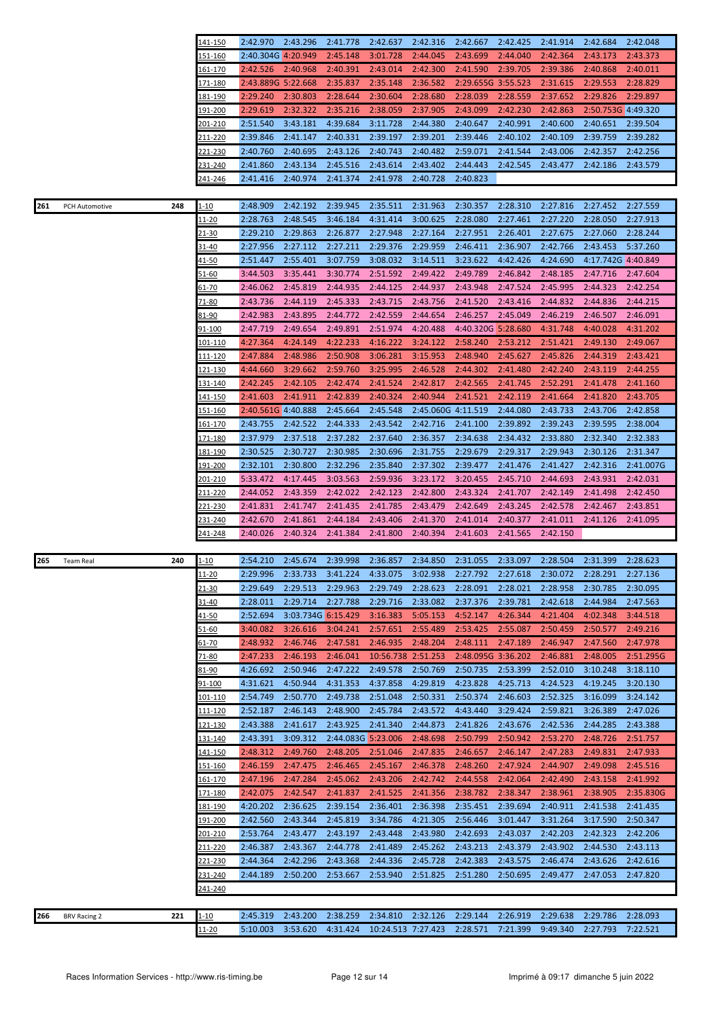| 2:45.148<br>151-160<br>2:40.304G 4:20.949<br>3:01.728<br>2:44.045<br>2:43.699<br>2:44.040<br>2:42.364<br>2:43.173<br>2:43.373<br>2:42.526<br>2:40.968<br>2:40.391<br>2:43.014<br>2:42.300<br>2:41.590<br>2:39.705<br>2:39.386<br>2:40.868<br>2:40.011<br>161-170<br>2:29.655G 3:55.523<br>2:31.615<br>2:29.553<br>2:43.889G 5:22.668<br>2:35.837<br>2:35.148<br>2:36.582<br>2:28.829<br>171-180<br>2:37.652<br>2:29.826<br>2:29.897<br>181-190<br>2:29.240<br>2:30.803<br>2:28.644<br>2:30.604<br>2:28.680<br>2:28.039<br>2:28.559<br>2:29.619<br>2:32.322<br>2:35.216<br>2:38.059<br>2:37.905<br>2:43.099<br>2:42.230<br>2:42.863<br>2:50.753G 4:49.320<br><u> 191-200</u><br>3:43.181<br>4:39.684<br>3:11.728<br>201-210<br>2:51.540<br>2:44.380<br>2:40.647<br>2:40.991<br>2:40.600<br>2:40.651<br>2:39.504<br>2:39.846<br>2:41.147<br>2:40.331<br>2:39.197<br>2:39.201<br>2:39.446<br>2:40.109<br>2:39.759<br>2:39.282<br><u>211-220</u><br>2:40.102<br>2:40.743<br>2:40.760<br>2:40.695<br>2:43.126<br>2:40.482<br>2:59.071<br>2:41.544<br>2:43.006<br>2:42.357<br>2:42.256<br>221-230<br>2:41.860<br>2:43.134<br>2:45.516<br>2:43.614<br>2:43.402<br>2:44.443<br>2:42.545<br>2:43.477<br>2:42.186<br>2:43.579<br><u>231-240</u><br>2:41.416<br>2:40.974<br>2:41.374<br>2:41.978<br>2:40.728<br>2:40.823<br>241-246<br>2:48.909<br>2:42.192<br>2:39.945<br>2:35.511<br>2:31.963<br>2:30.357<br>2:28.310<br>2:27.816<br>2:27.452<br>2:27.559<br>1-10<br>261<br>248<br>PCH Automotive<br>2:28.763<br>2:48.545<br>3:46.184<br>4:31.414<br>3:00.625<br>2:28.080<br>2:27.461<br>2:27.220<br>2:28.050<br>2:27.913<br>11-20<br>2:29.863<br>2:27.948<br>2:27.164<br>2:27.951<br>2:27.675<br>2:29.210<br>2:26.877<br>2:26.401<br>2:27.060<br>2:28.244<br>21-30<br>2:27.956<br>2:27.112<br>2:27.211<br>2:29.376<br>2:29.959<br>2:46.411<br>2:36.907<br>2:42.766<br>2:43.453<br>5:37.260<br>31-40<br>2:55.401<br>2:51.447<br>3:07.759<br>3:08.032<br>3:14.511<br>3:23.622<br>4:42.426<br>4:24.690<br>4:17.742G 4:40.849<br><u>41-50</u><br>3:35.441<br>3:44.503<br>3:30.774<br>2:51.592<br>2:49.422<br>2:49.789<br>2:46.842<br>2:48.185<br>2:47.716<br>2:47.604<br>51-60<br>2:45.819<br>2:46.062<br>2:44.935<br>2:44.125<br>2:44.937<br>2:43.948<br>2:47.524<br>2:45.995<br>2:44.323<br>2:42.254<br><u>61-70</u><br>2:43.736<br>2:44.119<br>2:45.333<br>2:43.715<br>2:43.756<br>2:41.520<br>2:43.416<br>2:44.832<br>2:44.836<br>2:44.215<br>71-80<br>2:42.983<br>2:43.895<br>2:44.772<br>2:42.559<br>2:44.654<br>2:46.257<br>2:45.049<br>2:46.219<br>2:46.507<br>2:46.091<br>81-90<br>2:47.719<br>2:49.654<br>2:49.891<br>2:51.974<br>4:20.488<br>4:40.320G 5:28.680<br>4:31.748<br>4:40.028<br>4:31.202<br>91-100<br>4:27.364<br>4:24.149<br>4:22.233<br>4:16.222<br>3:24.122<br>2:58.240<br>2:53.212<br>2:51.421<br>2:49.130<br>2:49.067<br>101-110<br>2:48.986<br>2:50.908<br>3:06.281<br>3:15.953<br>2:48.940<br>2:45.627<br>2:45.826<br>111-120<br>2:47.884<br>2:44.319<br>2:43.421<br>3:29.662<br>2:59.760<br>4:44.660<br>3:25.995<br>2:46.528<br>2:44.302<br>2:41.480<br>2:42.240<br>2:43.119<br>2:44.255<br>121-130<br>2:42.245<br>2:42.105<br>2:42.474<br>2:42.817<br>2:41.745<br>2:52.291<br>131-140<br>2:41.524<br>2:42.565<br>2:41.478<br>2:41.160<br>2:41.911<br>2:42.839<br>2:40.324<br>2:40.944<br>2:42.119<br>2:41.664<br>2:41.820<br>2:43.705<br><u>141-150</u><br>2:41.603<br>2:41.521<br>2:45.548<br>151-160<br>2:40.561G 4:40.888<br>2:45.664<br>2:45.060G 4:11.519<br>2:44.080<br>2:43.733<br>2:43.706<br>2:42.858<br>2:43.755<br>2:42.522<br>2:44.333<br>2:43.542<br>2:42.716<br>2:41.100<br>2:39.892<br>2:39.243<br>2:39.595<br>2:38.004<br><u> 161-170</u><br>171-180<br>2:37.979<br>2:37.518<br>2:37.282<br>2:37.640<br>2:36.357<br>2:34.638<br>2:34.432<br>2:33.880<br>2:32.340<br>2:32.383<br>2:30.525<br>2:30.727<br>2:30.985<br>2:30.696<br>2:31.755<br>2:29.679<br>2:29.317<br>2:29.943<br>2:30.126<br>2:31.347<br><u> 181-190</u><br>2:32.296<br>2:32.101<br>2:30.800<br>2:35.840<br>2:37.302<br>2:39.477<br>2:41.476<br>2:41.427<br>2:42.316<br>2:41.007G<br><u> 191-200</u><br>5:33.472<br>4:17.445<br>3:03.563<br>2:59.936<br>3:23.172<br>2:45.710<br>2:44.693<br>2:43.931<br>201-210<br>3:20.455<br>2:42.031<br>211-220<br>2:44.052<br>2:43.359<br>2:42.022<br>2:42.123<br>2:42.800<br>2:43.324<br>2:41.707<br>2:42.149<br>2:41.498<br>2:42.450<br>2:41.831<br>2:41.747<br>2:41.435<br>2:41.785<br>2:43.479<br>2:42.649<br>2:43.245<br>2:42.578<br>2:42.467<br>2:43.851<br>221-230<br>231-240<br>2:42.670<br>2:41.861<br>2:44.184<br>2:43.406<br>2:41.370<br>2:41.014<br>2:40.377<br>2:41.011<br>2:41.126<br>2:41.095<br>2:40.026<br>2:40.324<br>2:41.384<br>2:41.800<br>2:40.394<br>2:41.603<br>2:41.565<br>2:42.150<br>241-248<br>2:54.210<br>2:45.674<br>2:39.998<br>2:36.857<br>2:34.850<br>2:31.055<br>2:33.097<br>2:28.504<br>2:31.399<br>2:28.623<br>240<br>$1 - 10$<br>265<br><b>Team Real</b><br>$11 - 20$<br>3:02.938<br>2:29.996<br>2:33.733<br>3:41.224<br>4:33.075<br>2:27.792<br>2:27.618<br>2:30.072<br>2:28.291<br>2:27.136<br>$21 - 30$<br>2:29.649<br>2:29.513<br>2:29.963<br>2:29.749<br>2:28.623<br>2:28.091<br>2:28.021<br>2:28.958<br>2:30.785<br>2:30.095<br>2:28.011<br>2:29.714<br>2:27.788<br>2:29.716<br>2:42.618<br>2:44.984<br>31-40<br>2:33.082<br>2:37.376<br>2:39.781<br>2:47.563<br>2:52.694<br>3:03.734G 6:15.429<br>3:16.383<br>5:05.153<br>4:52.147<br>4:26.344<br>4:21.404<br>4:02.348<br>3:44.518<br><u>41-50</u><br>3:26.616<br>3:04.241<br>2:57.651<br>2:55.489<br>2:53.425<br>2:55.087<br>2:50.459<br>2:50.577<br>2:49.216<br>51-60<br>3:40.082<br>2:48.932<br>2:46.746<br>2:47.581<br>2:46.935<br>2:48.204<br>2:48.111<br>2:47.189<br>2:46.947<br>2:47.560<br>2:47.978<br><u>61-70</u><br>2:46.193<br>2:51.295G<br>2:47.233<br>2:46.041<br>10:56.738 2:51.253<br>2:48.095G 3:36.202<br>2:46.881<br>2:48.005<br>71-80<br>2:50.735<br>4:26.692<br>2:50.946<br>2:47.222<br>2:49.578<br>2:50.769<br>2:53.399<br>2:52.010<br>3:10.248<br>3:18.110<br>81-90<br>4:50.944<br>4:23.828<br>4:31.621<br>4:31.353<br>4:37.858<br>4:29.819<br>4:25.713<br>4:24.523<br>4:19.245<br>3:20.130<br>91-100<br>2:54.749<br>2:52.325<br>2:50.770<br>2:49.738<br>2:51.048<br>2:50.331<br>2:50.374<br>2:46.603<br>3:16.099<br>3:24.142<br>101-110<br>2:59.821<br>2:52.187<br>2:46.143<br>2:48.900<br>2:45.784<br>2:43.572<br>4:43.440<br>3:29.424<br>3:26.389<br>2:47.026<br><u> 111-120</u><br>2:41.617<br>2:41.340<br>2:42.536<br>2:43.388<br>2:43.925<br>2:44.873<br>2:41.826<br>2:43.676<br>2:44.285<br>2:43.388<br><u> 121-130</u><br>3:09.312<br>2:43.391<br>2:44.083G 5:23.006<br>2:48.698<br>2:50.799<br>2:50.942<br>2:53.270<br>2:48.726<br>2:51.757<br><u>131-140</u><br>141-150<br>2:48.312<br>2:49.760<br>2:48.205<br>2:51.046<br>2:47.835<br>2:46.657<br>2:46.147<br>2:47.283<br>2:49.831<br>2:47.933<br>2:46.159<br>2:47.475<br>2:46.465<br>2:45.167<br>2:46.378<br>2:48.260<br>2:47.924<br>2:44.907<br>2:49.098<br>2:45.516<br><u>151-160</u><br>161-170<br>2:47.196<br>2:47.284<br>2:45.062<br>2:43.206<br>2:42.742<br>2:44.558<br>2:42.064<br>2:42.490<br>2:43.158<br>2:41.992<br>2:42.075<br>2:42.547<br>2:41.837<br>2:41.525<br>2:41.356<br>2:38.782<br>2:38.347<br>2:38.961<br>2:38.905<br>2:35.830G<br><u> 171-180</u><br>2:36.625<br>2:39.154<br>2:36.401<br>2:36.398<br>2:35.451<br>4:20.202<br>2:39.694<br>2:40.911<br>2:41.538<br>2:41.435<br><u> 181-190</u><br>2:42.560<br>2:43.344<br>2:45.819<br>3:34.786<br>4:21.305<br>2:56.446<br>3:31.264<br>3:17.590<br>2:50.347<br><u> 191-200</u><br>3:01.447<br>2:43.477<br>2:43.448<br>2:42.323<br>2:53.764<br>2:43.197<br>2:43.980<br>2:42.693<br>2:43.037<br>2:42.203<br>2:42.206<br>201-210<br>2:46.387<br>2:43.367<br>2:44.778<br>2:41.489<br>2:45.262<br>2:43.213<br>2:43.379<br>2:43.902<br>2:44.530<br>2:43.113<br>211-220<br>2:42.296<br>2:43.368<br>2:42.383<br>221-230<br>2:44.364<br>2:44.336<br>2:45.728<br>2:43.575<br>2:46.474<br>2:43.626<br>2:42.616<br>231-240<br>2:44.189<br>2:50.200<br>2:53.667<br>2:53.940<br>2:51.825<br>2:51.280<br>2:50.695<br>2:49.477<br>2:47.053<br>2:47.820<br><u>241-240</u><br>2:38.259<br>2:29.638<br><u>1-10</u><br>2:45.319<br>2:43.200<br>2:34.810<br>2:32.126<br>2:29.144<br>2:26.919<br>2:29.786<br>2:28.093<br>266<br>221<br><b>BRV Racing 2</b><br>10:24.513 7:27.423<br>7:22.521 | 141-150   | 2:42.970 | 2:43.296 | 2:41.778 | 2:42.637 | 2:42.316 | 2:42.667 | 2:42.425 | 2:41.914 | 2:42.684 | 2:42.048 |
|---------------------------------------------------------------------------------------------------------------------------------------------------------------------------------------------------------------------------------------------------------------------------------------------------------------------------------------------------------------------------------------------------------------------------------------------------------------------------------------------------------------------------------------------------------------------------------------------------------------------------------------------------------------------------------------------------------------------------------------------------------------------------------------------------------------------------------------------------------------------------------------------------------------------------------------------------------------------------------------------------------------------------------------------------------------------------------------------------------------------------------------------------------------------------------------------------------------------------------------------------------------------------------------------------------------------------------------------------------------------------------------------------------------------------------------------------------------------------------------------------------------------------------------------------------------------------------------------------------------------------------------------------------------------------------------------------------------------------------------------------------------------------------------------------------------------------------------------------------------------------------------------------------------------------------------------------------------------------------------------------------------------------------------------------------------------------------------------------------------------------------------------------------------------------------------------------------------------------------------------------------------------------------------------------------------------------------------------------------------------------------------------------------------------------------------------------------------------------------------------------------------------------------------------------------------------------------------------------------------------------------------------------------------------------------------------------------------------------------------------------------------------------------------------------------------------------------------------------------------------------------------------------------------------------------------------------------------------------------------------------------------------------------------------------------------------------------------------------------------------------------------------------------------------------------------------------------------------------------------------------------------------------------------------------------------------------------------------------------------------------------------------------------------------------------------------------------------------------------------------------------------------------------------------------------------------------------------------------------------------------------------------------------------------------------------------------------------------------------------------------------------------------------------------------------------------------------------------------------------------------------------------------------------------------------------------------------------------------------------------------------------------------------------------------------------------------------------------------------------------------------------------------------------------------------------------------------------------------------------------------------------------------------------------------------------------------------------------------------------------------------------------------------------------------------------------------------------------------------------------------------------------------------------------------------------------------------------------------------------------------------------------------------------------------------------------------------------------------------------------------------------------------------------------------------------------------------------------------------------------------------------------------------------------------------------------------------------------------------------------------------------------------------------------------------------------------------------------------------------------------------------------------------------------------------------------------------------------------------------------------------------------------------------------------------------------------------------------------------------------------------------------------------------------------------------------------------------------------------------------------------------------------------------------------------------------------------------------------------------------------------------------------------------------------------------------------------------------------------------------------------------------------------------------------------------------------------------------------------------------------------------------------------------------------------------------------------------------------------------------------------------------------------------------------------------------------------------------------------------------------------------------------------------------------------------------------------------------------------------------------------------------------------------------------------------------------------------------------------------------------------------------------------------------------------------------------------------------------------------------------------------------------------------------------------------------------------------------------------------------------------------------------------------------------------------------------------------------------------------------------------------------------------------------------------------------------------------------------------------------------------------------------------------------------------------------------------------------------------------------------------------------------------------------------------------------------------------------------------------------------------------------------------------------------------------------------------------------------------------------------------------------------------------------------------------------------------------------------------------------------------------------------------------------------------------------------------------------------------------------------------------------------------------------------------------------------------------------------------------------------------------------------------------------------------------------------------------------------------------------------------------------------------------------------------------------------------------------------------------------------------------------------------------------------------------------------------------------------------------------------------------------------------------------------------------------------------------------------------------------------------------------------------------------------------------------------------------------------------------------------------------------------------------------------------------------------------------------------------------|-----------|----------|----------|----------|----------|----------|----------|----------|----------|----------|----------|
|                                                                                                                                                                                                                                                                                                                                                                                                                                                                                                                                                                                                                                                                                                                                                                                                                                                                                                                                                                                                                                                                                                                                                                                                                                                                                                                                                                                                                                                                                                                                                                                                                                                                                                                                                                                                                                                                                                                                                                                                                                                                                                                                                                                                                                                                                                                                                                                                                                                                                                                                                                                                                                                                                                                                                                                                                                                                                                                                                                                                                                                                                                                                                                                                                                                                                                                                                                                                                                                                                                                                                                                                                                                                                                                                                                                                                                                                                                                                                                                                                                                                                                                                                                                                                                                                                                                                                                                                                                                                                                                                                                                                                                                                                                                                                                                                                                                                                                                                                                                                                                                                                                                                                                                                                                                                                                                                                                                                                                                                                                                                                                                                                                                                                                                                                                                                                                                                                                                                                                                                                                                                                                                                                                                                                                                                                                                                                                                                                                                                                                                                                                                                                                                                                                                                                                                                                                                                                                                                                                                                                                                                                                                                                                                                                                                                                                                                                                                                                                                                                                                                                                                                                                                                                                                                                                                                                                                                                                                                                                                                                                                                                                                                                                                                                                                                                                                                                               |           |          |          |          |          |          |          |          |          |          |          |
|                                                                                                                                                                                                                                                                                                                                                                                                                                                                                                                                                                                                                                                                                                                                                                                                                                                                                                                                                                                                                                                                                                                                                                                                                                                                                                                                                                                                                                                                                                                                                                                                                                                                                                                                                                                                                                                                                                                                                                                                                                                                                                                                                                                                                                                                                                                                                                                                                                                                                                                                                                                                                                                                                                                                                                                                                                                                                                                                                                                                                                                                                                                                                                                                                                                                                                                                                                                                                                                                                                                                                                                                                                                                                                                                                                                                                                                                                                                                                                                                                                                                                                                                                                                                                                                                                                                                                                                                                                                                                                                                                                                                                                                                                                                                                                                                                                                                                                                                                                                                                                                                                                                                                                                                                                                                                                                                                                                                                                                                                                                                                                                                                                                                                                                                                                                                                                                                                                                                                                                                                                                                                                                                                                                                                                                                                                                                                                                                                                                                                                                                                                                                                                                                                                                                                                                                                                                                                                                                                                                                                                                                                                                                                                                                                                                                                                                                                                                                                                                                                                                                                                                                                                                                                                                                                                                                                                                                                                                                                                                                                                                                                                                                                                                                                                                                                                                                                               |           |          |          |          |          |          |          |          |          |          |          |
|                                                                                                                                                                                                                                                                                                                                                                                                                                                                                                                                                                                                                                                                                                                                                                                                                                                                                                                                                                                                                                                                                                                                                                                                                                                                                                                                                                                                                                                                                                                                                                                                                                                                                                                                                                                                                                                                                                                                                                                                                                                                                                                                                                                                                                                                                                                                                                                                                                                                                                                                                                                                                                                                                                                                                                                                                                                                                                                                                                                                                                                                                                                                                                                                                                                                                                                                                                                                                                                                                                                                                                                                                                                                                                                                                                                                                                                                                                                                                                                                                                                                                                                                                                                                                                                                                                                                                                                                                                                                                                                                                                                                                                                                                                                                                                                                                                                                                                                                                                                                                                                                                                                                                                                                                                                                                                                                                                                                                                                                                                                                                                                                                                                                                                                                                                                                                                                                                                                                                                                                                                                                                                                                                                                                                                                                                                                                                                                                                                                                                                                                                                                                                                                                                                                                                                                                                                                                                                                                                                                                                                                                                                                                                                                                                                                                                                                                                                                                                                                                                                                                                                                                                                                                                                                                                                                                                                                                                                                                                                                                                                                                                                                                                                                                                                                                                                                                                               |           |          |          |          |          |          |          |          |          |          |          |
|                                                                                                                                                                                                                                                                                                                                                                                                                                                                                                                                                                                                                                                                                                                                                                                                                                                                                                                                                                                                                                                                                                                                                                                                                                                                                                                                                                                                                                                                                                                                                                                                                                                                                                                                                                                                                                                                                                                                                                                                                                                                                                                                                                                                                                                                                                                                                                                                                                                                                                                                                                                                                                                                                                                                                                                                                                                                                                                                                                                                                                                                                                                                                                                                                                                                                                                                                                                                                                                                                                                                                                                                                                                                                                                                                                                                                                                                                                                                                                                                                                                                                                                                                                                                                                                                                                                                                                                                                                                                                                                                                                                                                                                                                                                                                                                                                                                                                                                                                                                                                                                                                                                                                                                                                                                                                                                                                                                                                                                                                                                                                                                                                                                                                                                                                                                                                                                                                                                                                                                                                                                                                                                                                                                                                                                                                                                                                                                                                                                                                                                                                                                                                                                                                                                                                                                                                                                                                                                                                                                                                                                                                                                                                                                                                                                                                                                                                                                                                                                                                                                                                                                                                                                                                                                                                                                                                                                                                                                                                                                                                                                                                                                                                                                                                                                                                                                                                               |           |          |          |          |          |          |          |          |          |          |          |
|                                                                                                                                                                                                                                                                                                                                                                                                                                                                                                                                                                                                                                                                                                                                                                                                                                                                                                                                                                                                                                                                                                                                                                                                                                                                                                                                                                                                                                                                                                                                                                                                                                                                                                                                                                                                                                                                                                                                                                                                                                                                                                                                                                                                                                                                                                                                                                                                                                                                                                                                                                                                                                                                                                                                                                                                                                                                                                                                                                                                                                                                                                                                                                                                                                                                                                                                                                                                                                                                                                                                                                                                                                                                                                                                                                                                                                                                                                                                                                                                                                                                                                                                                                                                                                                                                                                                                                                                                                                                                                                                                                                                                                                                                                                                                                                                                                                                                                                                                                                                                                                                                                                                                                                                                                                                                                                                                                                                                                                                                                                                                                                                                                                                                                                                                                                                                                                                                                                                                                                                                                                                                                                                                                                                                                                                                                                                                                                                                                                                                                                                                                                                                                                                                                                                                                                                                                                                                                                                                                                                                                                                                                                                                                                                                                                                                                                                                                                                                                                                                                                                                                                                                                                                                                                                                                                                                                                                                                                                                                                                                                                                                                                                                                                                                                                                                                                                                               |           |          |          |          |          |          |          |          |          |          |          |
|                                                                                                                                                                                                                                                                                                                                                                                                                                                                                                                                                                                                                                                                                                                                                                                                                                                                                                                                                                                                                                                                                                                                                                                                                                                                                                                                                                                                                                                                                                                                                                                                                                                                                                                                                                                                                                                                                                                                                                                                                                                                                                                                                                                                                                                                                                                                                                                                                                                                                                                                                                                                                                                                                                                                                                                                                                                                                                                                                                                                                                                                                                                                                                                                                                                                                                                                                                                                                                                                                                                                                                                                                                                                                                                                                                                                                                                                                                                                                                                                                                                                                                                                                                                                                                                                                                                                                                                                                                                                                                                                                                                                                                                                                                                                                                                                                                                                                                                                                                                                                                                                                                                                                                                                                                                                                                                                                                                                                                                                                                                                                                                                                                                                                                                                                                                                                                                                                                                                                                                                                                                                                                                                                                                                                                                                                                                                                                                                                                                                                                                                                                                                                                                                                                                                                                                                                                                                                                                                                                                                                                                                                                                                                                                                                                                                                                                                                                                                                                                                                                                                                                                                                                                                                                                                                                                                                                                                                                                                                                                                                                                                                                                                                                                                                                                                                                                                                               |           |          |          |          |          |          |          |          |          |          |          |
|                                                                                                                                                                                                                                                                                                                                                                                                                                                                                                                                                                                                                                                                                                                                                                                                                                                                                                                                                                                                                                                                                                                                                                                                                                                                                                                                                                                                                                                                                                                                                                                                                                                                                                                                                                                                                                                                                                                                                                                                                                                                                                                                                                                                                                                                                                                                                                                                                                                                                                                                                                                                                                                                                                                                                                                                                                                                                                                                                                                                                                                                                                                                                                                                                                                                                                                                                                                                                                                                                                                                                                                                                                                                                                                                                                                                                                                                                                                                                                                                                                                                                                                                                                                                                                                                                                                                                                                                                                                                                                                                                                                                                                                                                                                                                                                                                                                                                                                                                                                                                                                                                                                                                                                                                                                                                                                                                                                                                                                                                                                                                                                                                                                                                                                                                                                                                                                                                                                                                                                                                                                                                                                                                                                                                                                                                                                                                                                                                                                                                                                                                                                                                                                                                                                                                                                                                                                                                                                                                                                                                                                                                                                                                                                                                                                                                                                                                                                                                                                                                                                                                                                                                                                                                                                                                                                                                                                                                                                                                                                                                                                                                                                                                                                                                                                                                                                                                               |           |          |          |          |          |          |          |          |          |          |          |
|                                                                                                                                                                                                                                                                                                                                                                                                                                                                                                                                                                                                                                                                                                                                                                                                                                                                                                                                                                                                                                                                                                                                                                                                                                                                                                                                                                                                                                                                                                                                                                                                                                                                                                                                                                                                                                                                                                                                                                                                                                                                                                                                                                                                                                                                                                                                                                                                                                                                                                                                                                                                                                                                                                                                                                                                                                                                                                                                                                                                                                                                                                                                                                                                                                                                                                                                                                                                                                                                                                                                                                                                                                                                                                                                                                                                                                                                                                                                                                                                                                                                                                                                                                                                                                                                                                                                                                                                                                                                                                                                                                                                                                                                                                                                                                                                                                                                                                                                                                                                                                                                                                                                                                                                                                                                                                                                                                                                                                                                                                                                                                                                                                                                                                                                                                                                                                                                                                                                                                                                                                                                                                                                                                                                                                                                                                                                                                                                                                                                                                                                                                                                                                                                                                                                                                                                                                                                                                                                                                                                                                                                                                                                                                                                                                                                                                                                                                                                                                                                                                                                                                                                                                                                                                                                                                                                                                                                                                                                                                                                                                                                                                                                                                                                                                                                                                                                                               |           |          |          |          |          |          |          |          |          |          |          |
|                                                                                                                                                                                                                                                                                                                                                                                                                                                                                                                                                                                                                                                                                                                                                                                                                                                                                                                                                                                                                                                                                                                                                                                                                                                                                                                                                                                                                                                                                                                                                                                                                                                                                                                                                                                                                                                                                                                                                                                                                                                                                                                                                                                                                                                                                                                                                                                                                                                                                                                                                                                                                                                                                                                                                                                                                                                                                                                                                                                                                                                                                                                                                                                                                                                                                                                                                                                                                                                                                                                                                                                                                                                                                                                                                                                                                                                                                                                                                                                                                                                                                                                                                                                                                                                                                                                                                                                                                                                                                                                                                                                                                                                                                                                                                                                                                                                                                                                                                                                                                                                                                                                                                                                                                                                                                                                                                                                                                                                                                                                                                                                                                                                                                                                                                                                                                                                                                                                                                                                                                                                                                                                                                                                                                                                                                                                                                                                                                                                                                                                                                                                                                                                                                                                                                                                                                                                                                                                                                                                                                                                                                                                                                                                                                                                                                                                                                                                                                                                                                                                                                                                                                                                                                                                                                                                                                                                                                                                                                                                                                                                                                                                                                                                                                                                                                                                                                               |           |          |          |          |          |          |          |          |          |          |          |
|                                                                                                                                                                                                                                                                                                                                                                                                                                                                                                                                                                                                                                                                                                                                                                                                                                                                                                                                                                                                                                                                                                                                                                                                                                                                                                                                                                                                                                                                                                                                                                                                                                                                                                                                                                                                                                                                                                                                                                                                                                                                                                                                                                                                                                                                                                                                                                                                                                                                                                                                                                                                                                                                                                                                                                                                                                                                                                                                                                                                                                                                                                                                                                                                                                                                                                                                                                                                                                                                                                                                                                                                                                                                                                                                                                                                                                                                                                                                                                                                                                                                                                                                                                                                                                                                                                                                                                                                                                                                                                                                                                                                                                                                                                                                                                                                                                                                                                                                                                                                                                                                                                                                                                                                                                                                                                                                                                                                                                                                                                                                                                                                                                                                                                                                                                                                                                                                                                                                                                                                                                                                                                                                                                                                                                                                                                                                                                                                                                                                                                                                                                                                                                                                                                                                                                                                                                                                                                                                                                                                                                                                                                                                                                                                                                                                                                                                                                                                                                                                                                                                                                                                                                                                                                                                                                                                                                                                                                                                                                                                                                                                                                                                                                                                                                                                                                                                                               |           |          |          |          |          |          |          |          |          |          |          |
|                                                                                                                                                                                                                                                                                                                                                                                                                                                                                                                                                                                                                                                                                                                                                                                                                                                                                                                                                                                                                                                                                                                                                                                                                                                                                                                                                                                                                                                                                                                                                                                                                                                                                                                                                                                                                                                                                                                                                                                                                                                                                                                                                                                                                                                                                                                                                                                                                                                                                                                                                                                                                                                                                                                                                                                                                                                                                                                                                                                                                                                                                                                                                                                                                                                                                                                                                                                                                                                                                                                                                                                                                                                                                                                                                                                                                                                                                                                                                                                                                                                                                                                                                                                                                                                                                                                                                                                                                                                                                                                                                                                                                                                                                                                                                                                                                                                                                                                                                                                                                                                                                                                                                                                                                                                                                                                                                                                                                                                                                                                                                                                                                                                                                                                                                                                                                                                                                                                                                                                                                                                                                                                                                                                                                                                                                                                                                                                                                                                                                                                                                                                                                                                                                                                                                                                                                                                                                                                                                                                                                                                                                                                                                                                                                                                                                                                                                                                                                                                                                                                                                                                                                                                                                                                                                                                                                                                                                                                                                                                                                                                                                                                                                                                                                                                                                                                                                               |           |          |          |          |          |          |          |          |          |          |          |
|                                                                                                                                                                                                                                                                                                                                                                                                                                                                                                                                                                                                                                                                                                                                                                                                                                                                                                                                                                                                                                                                                                                                                                                                                                                                                                                                                                                                                                                                                                                                                                                                                                                                                                                                                                                                                                                                                                                                                                                                                                                                                                                                                                                                                                                                                                                                                                                                                                                                                                                                                                                                                                                                                                                                                                                                                                                                                                                                                                                                                                                                                                                                                                                                                                                                                                                                                                                                                                                                                                                                                                                                                                                                                                                                                                                                                                                                                                                                                                                                                                                                                                                                                                                                                                                                                                                                                                                                                                                                                                                                                                                                                                                                                                                                                                                                                                                                                                                                                                                                                                                                                                                                                                                                                                                                                                                                                                                                                                                                                                                                                                                                                                                                                                                                                                                                                                                                                                                                                                                                                                                                                                                                                                                                                                                                                                                                                                                                                                                                                                                                                                                                                                                                                                                                                                                                                                                                                                                                                                                                                                                                                                                                                                                                                                                                                                                                                                                                                                                                                                                                                                                                                                                                                                                                                                                                                                                                                                                                                                                                                                                                                                                                                                                                                                                                                                                                                               |           |          |          |          |          |          |          |          |          |          |          |
|                                                                                                                                                                                                                                                                                                                                                                                                                                                                                                                                                                                                                                                                                                                                                                                                                                                                                                                                                                                                                                                                                                                                                                                                                                                                                                                                                                                                                                                                                                                                                                                                                                                                                                                                                                                                                                                                                                                                                                                                                                                                                                                                                                                                                                                                                                                                                                                                                                                                                                                                                                                                                                                                                                                                                                                                                                                                                                                                                                                                                                                                                                                                                                                                                                                                                                                                                                                                                                                                                                                                                                                                                                                                                                                                                                                                                                                                                                                                                                                                                                                                                                                                                                                                                                                                                                                                                                                                                                                                                                                                                                                                                                                                                                                                                                                                                                                                                                                                                                                                                                                                                                                                                                                                                                                                                                                                                                                                                                                                                                                                                                                                                                                                                                                                                                                                                                                                                                                                                                                                                                                                                                                                                                                                                                                                                                                                                                                                                                                                                                                                                                                                                                                                                                                                                                                                                                                                                                                                                                                                                                                                                                                                                                                                                                                                                                                                                                                                                                                                                                                                                                                                                                                                                                                                                                                                                                                                                                                                                                                                                                                                                                                                                                                                                                                                                                                                                               |           |          |          |          |          |          |          |          |          |          |          |
|                                                                                                                                                                                                                                                                                                                                                                                                                                                                                                                                                                                                                                                                                                                                                                                                                                                                                                                                                                                                                                                                                                                                                                                                                                                                                                                                                                                                                                                                                                                                                                                                                                                                                                                                                                                                                                                                                                                                                                                                                                                                                                                                                                                                                                                                                                                                                                                                                                                                                                                                                                                                                                                                                                                                                                                                                                                                                                                                                                                                                                                                                                                                                                                                                                                                                                                                                                                                                                                                                                                                                                                                                                                                                                                                                                                                                                                                                                                                                                                                                                                                                                                                                                                                                                                                                                                                                                                                                                                                                                                                                                                                                                                                                                                                                                                                                                                                                                                                                                                                                                                                                                                                                                                                                                                                                                                                                                                                                                                                                                                                                                                                                                                                                                                                                                                                                                                                                                                                                                                                                                                                                                                                                                                                                                                                                                                                                                                                                                                                                                                                                                                                                                                                                                                                                                                                                                                                                                                                                                                                                                                                                                                                                                                                                                                                                                                                                                                                                                                                                                                                                                                                                                                                                                                                                                                                                                                                                                                                                                                                                                                                                                                                                                                                                                                                                                                                                               |           |          |          |          |          |          |          |          |          |          |          |
|                                                                                                                                                                                                                                                                                                                                                                                                                                                                                                                                                                                                                                                                                                                                                                                                                                                                                                                                                                                                                                                                                                                                                                                                                                                                                                                                                                                                                                                                                                                                                                                                                                                                                                                                                                                                                                                                                                                                                                                                                                                                                                                                                                                                                                                                                                                                                                                                                                                                                                                                                                                                                                                                                                                                                                                                                                                                                                                                                                                                                                                                                                                                                                                                                                                                                                                                                                                                                                                                                                                                                                                                                                                                                                                                                                                                                                                                                                                                                                                                                                                                                                                                                                                                                                                                                                                                                                                                                                                                                                                                                                                                                                                                                                                                                                                                                                                                                                                                                                                                                                                                                                                                                                                                                                                                                                                                                                                                                                                                                                                                                                                                                                                                                                                                                                                                                                                                                                                                                                                                                                                                                                                                                                                                                                                                                                                                                                                                                                                                                                                                                                                                                                                                                                                                                                                                                                                                                                                                                                                                                                                                                                                                                                                                                                                                                                                                                                                                                                                                                                                                                                                                                                                                                                                                                                                                                                                                                                                                                                                                                                                                                                                                                                                                                                                                                                                                                               |           |          |          |          |          |          |          |          |          |          |          |
|                                                                                                                                                                                                                                                                                                                                                                                                                                                                                                                                                                                                                                                                                                                                                                                                                                                                                                                                                                                                                                                                                                                                                                                                                                                                                                                                                                                                                                                                                                                                                                                                                                                                                                                                                                                                                                                                                                                                                                                                                                                                                                                                                                                                                                                                                                                                                                                                                                                                                                                                                                                                                                                                                                                                                                                                                                                                                                                                                                                                                                                                                                                                                                                                                                                                                                                                                                                                                                                                                                                                                                                                                                                                                                                                                                                                                                                                                                                                                                                                                                                                                                                                                                                                                                                                                                                                                                                                                                                                                                                                                                                                                                                                                                                                                                                                                                                                                                                                                                                                                                                                                                                                                                                                                                                                                                                                                                                                                                                                                                                                                                                                                                                                                                                                                                                                                                                                                                                                                                                                                                                                                                                                                                                                                                                                                                                                                                                                                                                                                                                                                                                                                                                                                                                                                                                                                                                                                                                                                                                                                                                                                                                                                                                                                                                                                                                                                                                                                                                                                                                                                                                                                                                                                                                                                                                                                                                                                                                                                                                                                                                                                                                                                                                                                                                                                                                                                               |           |          |          |          |          |          |          |          |          |          |          |
|                                                                                                                                                                                                                                                                                                                                                                                                                                                                                                                                                                                                                                                                                                                                                                                                                                                                                                                                                                                                                                                                                                                                                                                                                                                                                                                                                                                                                                                                                                                                                                                                                                                                                                                                                                                                                                                                                                                                                                                                                                                                                                                                                                                                                                                                                                                                                                                                                                                                                                                                                                                                                                                                                                                                                                                                                                                                                                                                                                                                                                                                                                                                                                                                                                                                                                                                                                                                                                                                                                                                                                                                                                                                                                                                                                                                                                                                                                                                                                                                                                                                                                                                                                                                                                                                                                                                                                                                                                                                                                                                                                                                                                                                                                                                                                                                                                                                                                                                                                                                                                                                                                                                                                                                                                                                                                                                                                                                                                                                                                                                                                                                                                                                                                                                                                                                                                                                                                                                                                                                                                                                                                                                                                                                                                                                                                                                                                                                                                                                                                                                                                                                                                                                                                                                                                                                                                                                                                                                                                                                                                                                                                                                                                                                                                                                                                                                                                                                                                                                                                                                                                                                                                                                                                                                                                                                                                                                                                                                                                                                                                                                                                                                                                                                                                                                                                                                                               |           |          |          |          |          |          |          |          |          |          |          |
|                                                                                                                                                                                                                                                                                                                                                                                                                                                                                                                                                                                                                                                                                                                                                                                                                                                                                                                                                                                                                                                                                                                                                                                                                                                                                                                                                                                                                                                                                                                                                                                                                                                                                                                                                                                                                                                                                                                                                                                                                                                                                                                                                                                                                                                                                                                                                                                                                                                                                                                                                                                                                                                                                                                                                                                                                                                                                                                                                                                                                                                                                                                                                                                                                                                                                                                                                                                                                                                                                                                                                                                                                                                                                                                                                                                                                                                                                                                                                                                                                                                                                                                                                                                                                                                                                                                                                                                                                                                                                                                                                                                                                                                                                                                                                                                                                                                                                                                                                                                                                                                                                                                                                                                                                                                                                                                                                                                                                                                                                                                                                                                                                                                                                                                                                                                                                                                                                                                                                                                                                                                                                                                                                                                                                                                                                                                                                                                                                                                                                                                                                                                                                                                                                                                                                                                                                                                                                                                                                                                                                                                                                                                                                                                                                                                                                                                                                                                                                                                                                                                                                                                                                                                                                                                                                                                                                                                                                                                                                                                                                                                                                                                                                                                                                                                                                                                                                               |           |          |          |          |          |          |          |          |          |          |          |
|                                                                                                                                                                                                                                                                                                                                                                                                                                                                                                                                                                                                                                                                                                                                                                                                                                                                                                                                                                                                                                                                                                                                                                                                                                                                                                                                                                                                                                                                                                                                                                                                                                                                                                                                                                                                                                                                                                                                                                                                                                                                                                                                                                                                                                                                                                                                                                                                                                                                                                                                                                                                                                                                                                                                                                                                                                                                                                                                                                                                                                                                                                                                                                                                                                                                                                                                                                                                                                                                                                                                                                                                                                                                                                                                                                                                                                                                                                                                                                                                                                                                                                                                                                                                                                                                                                                                                                                                                                                                                                                                                                                                                                                                                                                                                                                                                                                                                                                                                                                                                                                                                                                                                                                                                                                                                                                                                                                                                                                                                                                                                                                                                                                                                                                                                                                                                                                                                                                                                                                                                                                                                                                                                                                                                                                                                                                                                                                                                                                                                                                                                                                                                                                                                                                                                                                                                                                                                                                                                                                                                                                                                                                                                                                                                                                                                                                                                                                                                                                                                                                                                                                                                                                                                                                                                                                                                                                                                                                                                                                                                                                                                                                                                                                                                                                                                                                                                               |           |          |          |          |          |          |          |          |          |          |          |
|                                                                                                                                                                                                                                                                                                                                                                                                                                                                                                                                                                                                                                                                                                                                                                                                                                                                                                                                                                                                                                                                                                                                                                                                                                                                                                                                                                                                                                                                                                                                                                                                                                                                                                                                                                                                                                                                                                                                                                                                                                                                                                                                                                                                                                                                                                                                                                                                                                                                                                                                                                                                                                                                                                                                                                                                                                                                                                                                                                                                                                                                                                                                                                                                                                                                                                                                                                                                                                                                                                                                                                                                                                                                                                                                                                                                                                                                                                                                                                                                                                                                                                                                                                                                                                                                                                                                                                                                                                                                                                                                                                                                                                                                                                                                                                                                                                                                                                                                                                                                                                                                                                                                                                                                                                                                                                                                                                                                                                                                                                                                                                                                                                                                                                                                                                                                                                                                                                                                                                                                                                                                                                                                                                                                                                                                                                                                                                                                                                                                                                                                                                                                                                                                                                                                                                                                                                                                                                                                                                                                                                                                                                                                                                                                                                                                                                                                                                                                                                                                                                                                                                                                                                                                                                                                                                                                                                                                                                                                                                                                                                                                                                                                                                                                                                                                                                                                                               |           |          |          |          |          |          |          |          |          |          |          |
|                                                                                                                                                                                                                                                                                                                                                                                                                                                                                                                                                                                                                                                                                                                                                                                                                                                                                                                                                                                                                                                                                                                                                                                                                                                                                                                                                                                                                                                                                                                                                                                                                                                                                                                                                                                                                                                                                                                                                                                                                                                                                                                                                                                                                                                                                                                                                                                                                                                                                                                                                                                                                                                                                                                                                                                                                                                                                                                                                                                                                                                                                                                                                                                                                                                                                                                                                                                                                                                                                                                                                                                                                                                                                                                                                                                                                                                                                                                                                                                                                                                                                                                                                                                                                                                                                                                                                                                                                                                                                                                                                                                                                                                                                                                                                                                                                                                                                                                                                                                                                                                                                                                                                                                                                                                                                                                                                                                                                                                                                                                                                                                                                                                                                                                                                                                                                                                                                                                                                                                                                                                                                                                                                                                                                                                                                                                                                                                                                                                                                                                                                                                                                                                                                                                                                                                                                                                                                                                                                                                                                                                                                                                                                                                                                                                                                                                                                                                                                                                                                                                                                                                                                                                                                                                                                                                                                                                                                                                                                                                                                                                                                                                                                                                                                                                                                                                                                               |           |          |          |          |          |          |          |          |          |          |          |
|                                                                                                                                                                                                                                                                                                                                                                                                                                                                                                                                                                                                                                                                                                                                                                                                                                                                                                                                                                                                                                                                                                                                                                                                                                                                                                                                                                                                                                                                                                                                                                                                                                                                                                                                                                                                                                                                                                                                                                                                                                                                                                                                                                                                                                                                                                                                                                                                                                                                                                                                                                                                                                                                                                                                                                                                                                                                                                                                                                                                                                                                                                                                                                                                                                                                                                                                                                                                                                                                                                                                                                                                                                                                                                                                                                                                                                                                                                                                                                                                                                                                                                                                                                                                                                                                                                                                                                                                                                                                                                                                                                                                                                                                                                                                                                                                                                                                                                                                                                                                                                                                                                                                                                                                                                                                                                                                                                                                                                                                                                                                                                                                                                                                                                                                                                                                                                                                                                                                                                                                                                                                                                                                                                                                                                                                                                                                                                                                                                                                                                                                                                                                                                                                                                                                                                                                                                                                                                                                                                                                                                                                                                                                                                                                                                                                                                                                                                                                                                                                                                                                                                                                                                                                                                                                                                                                                                                                                                                                                                                                                                                                                                                                                                                                                                                                                                                                                               |           |          |          |          |          |          |          |          |          |          |          |
|                                                                                                                                                                                                                                                                                                                                                                                                                                                                                                                                                                                                                                                                                                                                                                                                                                                                                                                                                                                                                                                                                                                                                                                                                                                                                                                                                                                                                                                                                                                                                                                                                                                                                                                                                                                                                                                                                                                                                                                                                                                                                                                                                                                                                                                                                                                                                                                                                                                                                                                                                                                                                                                                                                                                                                                                                                                                                                                                                                                                                                                                                                                                                                                                                                                                                                                                                                                                                                                                                                                                                                                                                                                                                                                                                                                                                                                                                                                                                                                                                                                                                                                                                                                                                                                                                                                                                                                                                                                                                                                                                                                                                                                                                                                                                                                                                                                                                                                                                                                                                                                                                                                                                                                                                                                                                                                                                                                                                                                                                                                                                                                                                                                                                                                                                                                                                                                                                                                                                                                                                                                                                                                                                                                                                                                                                                                                                                                                                                                                                                                                                                                                                                                                                                                                                                                                                                                                                                                                                                                                                                                                                                                                                                                                                                                                                                                                                                                                                                                                                                                                                                                                                                                                                                                                                                                                                                                                                                                                                                                                                                                                                                                                                                                                                                                                                                                                                               |           |          |          |          |          |          |          |          |          |          |          |
|                                                                                                                                                                                                                                                                                                                                                                                                                                                                                                                                                                                                                                                                                                                                                                                                                                                                                                                                                                                                                                                                                                                                                                                                                                                                                                                                                                                                                                                                                                                                                                                                                                                                                                                                                                                                                                                                                                                                                                                                                                                                                                                                                                                                                                                                                                                                                                                                                                                                                                                                                                                                                                                                                                                                                                                                                                                                                                                                                                                                                                                                                                                                                                                                                                                                                                                                                                                                                                                                                                                                                                                                                                                                                                                                                                                                                                                                                                                                                                                                                                                                                                                                                                                                                                                                                                                                                                                                                                                                                                                                                                                                                                                                                                                                                                                                                                                                                                                                                                                                                                                                                                                                                                                                                                                                                                                                                                                                                                                                                                                                                                                                                                                                                                                                                                                                                                                                                                                                                                                                                                                                                                                                                                                                                                                                                                                                                                                                                                                                                                                                                                                                                                                                                                                                                                                                                                                                                                                                                                                                                                                                                                                                                                                                                                                                                                                                                                                                                                                                                                                                                                                                                                                                                                                                                                                                                                                                                                                                                                                                                                                                                                                                                                                                                                                                                                                                                               |           |          |          |          |          |          |          |          |          |          |          |
|                                                                                                                                                                                                                                                                                                                                                                                                                                                                                                                                                                                                                                                                                                                                                                                                                                                                                                                                                                                                                                                                                                                                                                                                                                                                                                                                                                                                                                                                                                                                                                                                                                                                                                                                                                                                                                                                                                                                                                                                                                                                                                                                                                                                                                                                                                                                                                                                                                                                                                                                                                                                                                                                                                                                                                                                                                                                                                                                                                                                                                                                                                                                                                                                                                                                                                                                                                                                                                                                                                                                                                                                                                                                                                                                                                                                                                                                                                                                                                                                                                                                                                                                                                                                                                                                                                                                                                                                                                                                                                                                                                                                                                                                                                                                                                                                                                                                                                                                                                                                                                                                                                                                                                                                                                                                                                                                                                                                                                                                                                                                                                                                                                                                                                                                                                                                                                                                                                                                                                                                                                                                                                                                                                                                                                                                                                                                                                                                                                                                                                                                                                                                                                                                                                                                                                                                                                                                                                                                                                                                                                                                                                                                                                                                                                                                                                                                                                                                                                                                                                                                                                                                                                                                                                                                                                                                                                                                                                                                                                                                                                                                                                                                                                                                                                                                                                                                                               |           |          |          |          |          |          |          |          |          |          |          |
|                                                                                                                                                                                                                                                                                                                                                                                                                                                                                                                                                                                                                                                                                                                                                                                                                                                                                                                                                                                                                                                                                                                                                                                                                                                                                                                                                                                                                                                                                                                                                                                                                                                                                                                                                                                                                                                                                                                                                                                                                                                                                                                                                                                                                                                                                                                                                                                                                                                                                                                                                                                                                                                                                                                                                                                                                                                                                                                                                                                                                                                                                                                                                                                                                                                                                                                                                                                                                                                                                                                                                                                                                                                                                                                                                                                                                                                                                                                                                                                                                                                                                                                                                                                                                                                                                                                                                                                                                                                                                                                                                                                                                                                                                                                                                                                                                                                                                                                                                                                                                                                                                                                                                                                                                                                                                                                                                                                                                                                                                                                                                                                                                                                                                                                                                                                                                                                                                                                                                                                                                                                                                                                                                                                                                                                                                                                                                                                                                                                                                                                                                                                                                                                                                                                                                                                                                                                                                                                                                                                                                                                                                                                                                                                                                                                                                                                                                                                                                                                                                                                                                                                                                                                                                                                                                                                                                                                                                                                                                                                                                                                                                                                                                                                                                                                                                                                                                               |           |          |          |          |          |          |          |          |          |          |          |
|                                                                                                                                                                                                                                                                                                                                                                                                                                                                                                                                                                                                                                                                                                                                                                                                                                                                                                                                                                                                                                                                                                                                                                                                                                                                                                                                                                                                                                                                                                                                                                                                                                                                                                                                                                                                                                                                                                                                                                                                                                                                                                                                                                                                                                                                                                                                                                                                                                                                                                                                                                                                                                                                                                                                                                                                                                                                                                                                                                                                                                                                                                                                                                                                                                                                                                                                                                                                                                                                                                                                                                                                                                                                                                                                                                                                                                                                                                                                                                                                                                                                                                                                                                                                                                                                                                                                                                                                                                                                                                                                                                                                                                                                                                                                                                                                                                                                                                                                                                                                                                                                                                                                                                                                                                                                                                                                                                                                                                                                                                                                                                                                                                                                                                                                                                                                                                                                                                                                                                                                                                                                                                                                                                                                                                                                                                                                                                                                                                                                                                                                                                                                                                                                                                                                                                                                                                                                                                                                                                                                                                                                                                                                                                                                                                                                                                                                                                                                                                                                                                                                                                                                                                                                                                                                                                                                                                                                                                                                                                                                                                                                                                                                                                                                                                                                                                                                                               |           |          |          |          |          |          |          |          |          |          |          |
|                                                                                                                                                                                                                                                                                                                                                                                                                                                                                                                                                                                                                                                                                                                                                                                                                                                                                                                                                                                                                                                                                                                                                                                                                                                                                                                                                                                                                                                                                                                                                                                                                                                                                                                                                                                                                                                                                                                                                                                                                                                                                                                                                                                                                                                                                                                                                                                                                                                                                                                                                                                                                                                                                                                                                                                                                                                                                                                                                                                                                                                                                                                                                                                                                                                                                                                                                                                                                                                                                                                                                                                                                                                                                                                                                                                                                                                                                                                                                                                                                                                                                                                                                                                                                                                                                                                                                                                                                                                                                                                                                                                                                                                                                                                                                                                                                                                                                                                                                                                                                                                                                                                                                                                                                                                                                                                                                                                                                                                                                                                                                                                                                                                                                                                                                                                                                                                                                                                                                                                                                                                                                                                                                                                                                                                                                                                                                                                                                                                                                                                                                                                                                                                                                                                                                                                                                                                                                                                                                                                                                                                                                                                                                                                                                                                                                                                                                                                                                                                                                                                                                                                                                                                                                                                                                                                                                                                                                                                                                                                                                                                                                                                                                                                                                                                                                                                                                               |           |          |          |          |          |          |          |          |          |          |          |
|                                                                                                                                                                                                                                                                                                                                                                                                                                                                                                                                                                                                                                                                                                                                                                                                                                                                                                                                                                                                                                                                                                                                                                                                                                                                                                                                                                                                                                                                                                                                                                                                                                                                                                                                                                                                                                                                                                                                                                                                                                                                                                                                                                                                                                                                                                                                                                                                                                                                                                                                                                                                                                                                                                                                                                                                                                                                                                                                                                                                                                                                                                                                                                                                                                                                                                                                                                                                                                                                                                                                                                                                                                                                                                                                                                                                                                                                                                                                                                                                                                                                                                                                                                                                                                                                                                                                                                                                                                                                                                                                                                                                                                                                                                                                                                                                                                                                                                                                                                                                                                                                                                                                                                                                                                                                                                                                                                                                                                                                                                                                                                                                                                                                                                                                                                                                                                                                                                                                                                                                                                                                                                                                                                                                                                                                                                                                                                                                                                                                                                                                                                                                                                                                                                                                                                                                                                                                                                                                                                                                                                                                                                                                                                                                                                                                                                                                                                                                                                                                                                                                                                                                                                                                                                                                                                                                                                                                                                                                                                                                                                                                                                                                                                                                                                                                                                                                                               |           |          |          |          |          |          |          |          |          |          |          |
|                                                                                                                                                                                                                                                                                                                                                                                                                                                                                                                                                                                                                                                                                                                                                                                                                                                                                                                                                                                                                                                                                                                                                                                                                                                                                                                                                                                                                                                                                                                                                                                                                                                                                                                                                                                                                                                                                                                                                                                                                                                                                                                                                                                                                                                                                                                                                                                                                                                                                                                                                                                                                                                                                                                                                                                                                                                                                                                                                                                                                                                                                                                                                                                                                                                                                                                                                                                                                                                                                                                                                                                                                                                                                                                                                                                                                                                                                                                                                                                                                                                                                                                                                                                                                                                                                                                                                                                                                                                                                                                                                                                                                                                                                                                                                                                                                                                                                                                                                                                                                                                                                                                                                                                                                                                                                                                                                                                                                                                                                                                                                                                                                                                                                                                                                                                                                                                                                                                                                                                                                                                                                                                                                                                                                                                                                                                                                                                                                                                                                                                                                                                                                                                                                                                                                                                                                                                                                                                                                                                                                                                                                                                                                                                                                                                                                                                                                                                                                                                                                                                                                                                                                                                                                                                                                                                                                                                                                                                                                                                                                                                                                                                                                                                                                                                                                                                                                               |           |          |          |          |          |          |          |          |          |          |          |
|                                                                                                                                                                                                                                                                                                                                                                                                                                                                                                                                                                                                                                                                                                                                                                                                                                                                                                                                                                                                                                                                                                                                                                                                                                                                                                                                                                                                                                                                                                                                                                                                                                                                                                                                                                                                                                                                                                                                                                                                                                                                                                                                                                                                                                                                                                                                                                                                                                                                                                                                                                                                                                                                                                                                                                                                                                                                                                                                                                                                                                                                                                                                                                                                                                                                                                                                                                                                                                                                                                                                                                                                                                                                                                                                                                                                                                                                                                                                                                                                                                                                                                                                                                                                                                                                                                                                                                                                                                                                                                                                                                                                                                                                                                                                                                                                                                                                                                                                                                                                                                                                                                                                                                                                                                                                                                                                                                                                                                                                                                                                                                                                                                                                                                                                                                                                                                                                                                                                                                                                                                                                                                                                                                                                                                                                                                                                                                                                                                                                                                                                                                                                                                                                                                                                                                                                                                                                                                                                                                                                                                                                                                                                                                                                                                                                                                                                                                                                                                                                                                                                                                                                                                                                                                                                                                                                                                                                                                                                                                                                                                                                                                                                                                                                                                                                                                                                                               |           |          |          |          |          |          |          |          |          |          |          |
|                                                                                                                                                                                                                                                                                                                                                                                                                                                                                                                                                                                                                                                                                                                                                                                                                                                                                                                                                                                                                                                                                                                                                                                                                                                                                                                                                                                                                                                                                                                                                                                                                                                                                                                                                                                                                                                                                                                                                                                                                                                                                                                                                                                                                                                                                                                                                                                                                                                                                                                                                                                                                                                                                                                                                                                                                                                                                                                                                                                                                                                                                                                                                                                                                                                                                                                                                                                                                                                                                                                                                                                                                                                                                                                                                                                                                                                                                                                                                                                                                                                                                                                                                                                                                                                                                                                                                                                                                                                                                                                                                                                                                                                                                                                                                                                                                                                                                                                                                                                                                                                                                                                                                                                                                                                                                                                                                                                                                                                                                                                                                                                                                                                                                                                                                                                                                                                                                                                                                                                                                                                                                                                                                                                                                                                                                                                                                                                                                                                                                                                                                                                                                                                                                                                                                                                                                                                                                                                                                                                                                                                                                                                                                                                                                                                                                                                                                                                                                                                                                                                                                                                                                                                                                                                                                                                                                                                                                                                                                                                                                                                                                                                                                                                                                                                                                                                                                               |           |          |          |          |          |          |          |          |          |          |          |
|                                                                                                                                                                                                                                                                                                                                                                                                                                                                                                                                                                                                                                                                                                                                                                                                                                                                                                                                                                                                                                                                                                                                                                                                                                                                                                                                                                                                                                                                                                                                                                                                                                                                                                                                                                                                                                                                                                                                                                                                                                                                                                                                                                                                                                                                                                                                                                                                                                                                                                                                                                                                                                                                                                                                                                                                                                                                                                                                                                                                                                                                                                                                                                                                                                                                                                                                                                                                                                                                                                                                                                                                                                                                                                                                                                                                                                                                                                                                                                                                                                                                                                                                                                                                                                                                                                                                                                                                                                                                                                                                                                                                                                                                                                                                                                                                                                                                                                                                                                                                                                                                                                                                                                                                                                                                                                                                                                                                                                                                                                                                                                                                                                                                                                                                                                                                                                                                                                                                                                                                                                                                                                                                                                                                                                                                                                                                                                                                                                                                                                                                                                                                                                                                                                                                                                                                                                                                                                                                                                                                                                                                                                                                                                                                                                                                                                                                                                                                                                                                                                                                                                                                                                                                                                                                                                                                                                                                                                                                                                                                                                                                                                                                                                                                                                                                                                                                                               |           |          |          |          |          |          |          |          |          |          |          |
|                                                                                                                                                                                                                                                                                                                                                                                                                                                                                                                                                                                                                                                                                                                                                                                                                                                                                                                                                                                                                                                                                                                                                                                                                                                                                                                                                                                                                                                                                                                                                                                                                                                                                                                                                                                                                                                                                                                                                                                                                                                                                                                                                                                                                                                                                                                                                                                                                                                                                                                                                                                                                                                                                                                                                                                                                                                                                                                                                                                                                                                                                                                                                                                                                                                                                                                                                                                                                                                                                                                                                                                                                                                                                                                                                                                                                                                                                                                                                                                                                                                                                                                                                                                                                                                                                                                                                                                                                                                                                                                                                                                                                                                                                                                                                                                                                                                                                                                                                                                                                                                                                                                                                                                                                                                                                                                                                                                                                                                                                                                                                                                                                                                                                                                                                                                                                                                                                                                                                                                                                                                                                                                                                                                                                                                                                                                                                                                                                                                                                                                                                                                                                                                                                                                                                                                                                                                                                                                                                                                                                                                                                                                                                                                                                                                                                                                                                                                                                                                                                                                                                                                                                                                                                                                                                                                                                                                                                                                                                                                                                                                                                                                                                                                                                                                                                                                                                               |           |          |          |          |          |          |          |          |          |          |          |
|                                                                                                                                                                                                                                                                                                                                                                                                                                                                                                                                                                                                                                                                                                                                                                                                                                                                                                                                                                                                                                                                                                                                                                                                                                                                                                                                                                                                                                                                                                                                                                                                                                                                                                                                                                                                                                                                                                                                                                                                                                                                                                                                                                                                                                                                                                                                                                                                                                                                                                                                                                                                                                                                                                                                                                                                                                                                                                                                                                                                                                                                                                                                                                                                                                                                                                                                                                                                                                                                                                                                                                                                                                                                                                                                                                                                                                                                                                                                                                                                                                                                                                                                                                                                                                                                                                                                                                                                                                                                                                                                                                                                                                                                                                                                                                                                                                                                                                                                                                                                                                                                                                                                                                                                                                                                                                                                                                                                                                                                                                                                                                                                                                                                                                                                                                                                                                                                                                                                                                                                                                                                                                                                                                                                                                                                                                                                                                                                                                                                                                                                                                                                                                                                                                                                                                                                                                                                                                                                                                                                                                                                                                                                                                                                                                                                                                                                                                                                                                                                                                                                                                                                                                                                                                                                                                                                                                                                                                                                                                                                                                                                                                                                                                                                                                                                                                                                                               |           |          |          |          |          |          |          |          |          |          |          |
|                                                                                                                                                                                                                                                                                                                                                                                                                                                                                                                                                                                                                                                                                                                                                                                                                                                                                                                                                                                                                                                                                                                                                                                                                                                                                                                                                                                                                                                                                                                                                                                                                                                                                                                                                                                                                                                                                                                                                                                                                                                                                                                                                                                                                                                                                                                                                                                                                                                                                                                                                                                                                                                                                                                                                                                                                                                                                                                                                                                                                                                                                                                                                                                                                                                                                                                                                                                                                                                                                                                                                                                                                                                                                                                                                                                                                                                                                                                                                                                                                                                                                                                                                                                                                                                                                                                                                                                                                                                                                                                                                                                                                                                                                                                                                                                                                                                                                                                                                                                                                                                                                                                                                                                                                                                                                                                                                                                                                                                                                                                                                                                                                                                                                                                                                                                                                                                                                                                                                                                                                                                                                                                                                                                                                                                                                                                                                                                                                                                                                                                                                                                                                                                                                                                                                                                                                                                                                                                                                                                                                                                                                                                                                                                                                                                                                                                                                                                                                                                                                                                                                                                                                                                                                                                                                                                                                                                                                                                                                                                                                                                                                                                                                                                                                                                                                                                                                               |           |          |          |          |          |          |          |          |          |          |          |
|                                                                                                                                                                                                                                                                                                                                                                                                                                                                                                                                                                                                                                                                                                                                                                                                                                                                                                                                                                                                                                                                                                                                                                                                                                                                                                                                                                                                                                                                                                                                                                                                                                                                                                                                                                                                                                                                                                                                                                                                                                                                                                                                                                                                                                                                                                                                                                                                                                                                                                                                                                                                                                                                                                                                                                                                                                                                                                                                                                                                                                                                                                                                                                                                                                                                                                                                                                                                                                                                                                                                                                                                                                                                                                                                                                                                                                                                                                                                                                                                                                                                                                                                                                                                                                                                                                                                                                                                                                                                                                                                                                                                                                                                                                                                                                                                                                                                                                                                                                                                                                                                                                                                                                                                                                                                                                                                                                                                                                                                                                                                                                                                                                                                                                                                                                                                                                                                                                                                                                                                                                                                                                                                                                                                                                                                                                                                                                                                                                                                                                                                                                                                                                                                                                                                                                                                                                                                                                                                                                                                                                                                                                                                                                                                                                                                                                                                                                                                                                                                                                                                                                                                                                                                                                                                                                                                                                                                                                                                                                                                                                                                                                                                                                                                                                                                                                                                                               |           |          |          |          |          |          |          |          |          |          |          |
|                                                                                                                                                                                                                                                                                                                                                                                                                                                                                                                                                                                                                                                                                                                                                                                                                                                                                                                                                                                                                                                                                                                                                                                                                                                                                                                                                                                                                                                                                                                                                                                                                                                                                                                                                                                                                                                                                                                                                                                                                                                                                                                                                                                                                                                                                                                                                                                                                                                                                                                                                                                                                                                                                                                                                                                                                                                                                                                                                                                                                                                                                                                                                                                                                                                                                                                                                                                                                                                                                                                                                                                                                                                                                                                                                                                                                                                                                                                                                                                                                                                                                                                                                                                                                                                                                                                                                                                                                                                                                                                                                                                                                                                                                                                                                                                                                                                                                                                                                                                                                                                                                                                                                                                                                                                                                                                                                                                                                                                                                                                                                                                                                                                                                                                                                                                                                                                                                                                                                                                                                                                                                                                                                                                                                                                                                                                                                                                                                                                                                                                                                                                                                                                                                                                                                                                                                                                                                                                                                                                                                                                                                                                                                                                                                                                                                                                                                                                                                                                                                                                                                                                                                                                                                                                                                                                                                                                                                                                                                                                                                                                                                                                                                                                                                                                                                                                                                               |           |          |          |          |          |          |          |          |          |          |          |
|                                                                                                                                                                                                                                                                                                                                                                                                                                                                                                                                                                                                                                                                                                                                                                                                                                                                                                                                                                                                                                                                                                                                                                                                                                                                                                                                                                                                                                                                                                                                                                                                                                                                                                                                                                                                                                                                                                                                                                                                                                                                                                                                                                                                                                                                                                                                                                                                                                                                                                                                                                                                                                                                                                                                                                                                                                                                                                                                                                                                                                                                                                                                                                                                                                                                                                                                                                                                                                                                                                                                                                                                                                                                                                                                                                                                                                                                                                                                                                                                                                                                                                                                                                                                                                                                                                                                                                                                                                                                                                                                                                                                                                                                                                                                                                                                                                                                                                                                                                                                                                                                                                                                                                                                                                                                                                                                                                                                                                                                                                                                                                                                                                                                                                                                                                                                                                                                                                                                                                                                                                                                                                                                                                                                                                                                                                                                                                                                                                                                                                                                                                                                                                                                                                                                                                                                                                                                                                                                                                                                                                                                                                                                                                                                                                                                                                                                                                                                                                                                                                                                                                                                                                                                                                                                                                                                                                                                                                                                                                                                                                                                                                                                                                                                                                                                                                                                                               |           |          |          |          |          |          |          |          |          |          |          |
|                                                                                                                                                                                                                                                                                                                                                                                                                                                                                                                                                                                                                                                                                                                                                                                                                                                                                                                                                                                                                                                                                                                                                                                                                                                                                                                                                                                                                                                                                                                                                                                                                                                                                                                                                                                                                                                                                                                                                                                                                                                                                                                                                                                                                                                                                                                                                                                                                                                                                                                                                                                                                                                                                                                                                                                                                                                                                                                                                                                                                                                                                                                                                                                                                                                                                                                                                                                                                                                                                                                                                                                                                                                                                                                                                                                                                                                                                                                                                                                                                                                                                                                                                                                                                                                                                                                                                                                                                                                                                                                                                                                                                                                                                                                                                                                                                                                                                                                                                                                                                                                                                                                                                                                                                                                                                                                                                                                                                                                                                                                                                                                                                                                                                                                                                                                                                                                                                                                                                                                                                                                                                                                                                                                                                                                                                                                                                                                                                                                                                                                                                                                                                                                                                                                                                                                                                                                                                                                                                                                                                                                                                                                                                                                                                                                                                                                                                                                                                                                                                                                                                                                                                                                                                                                                                                                                                                                                                                                                                                                                                                                                                                                                                                                                                                                                                                                                                               |           |          |          |          |          |          |          |          |          |          |          |
|                                                                                                                                                                                                                                                                                                                                                                                                                                                                                                                                                                                                                                                                                                                                                                                                                                                                                                                                                                                                                                                                                                                                                                                                                                                                                                                                                                                                                                                                                                                                                                                                                                                                                                                                                                                                                                                                                                                                                                                                                                                                                                                                                                                                                                                                                                                                                                                                                                                                                                                                                                                                                                                                                                                                                                                                                                                                                                                                                                                                                                                                                                                                                                                                                                                                                                                                                                                                                                                                                                                                                                                                                                                                                                                                                                                                                                                                                                                                                                                                                                                                                                                                                                                                                                                                                                                                                                                                                                                                                                                                                                                                                                                                                                                                                                                                                                                                                                                                                                                                                                                                                                                                                                                                                                                                                                                                                                                                                                                                                                                                                                                                                                                                                                                                                                                                                                                                                                                                                                                                                                                                                                                                                                                                                                                                                                                                                                                                                                                                                                                                                                                                                                                                                                                                                                                                                                                                                                                                                                                                                                                                                                                                                                                                                                                                                                                                                                                                                                                                                                                                                                                                                                                                                                                                                                                                                                                                                                                                                                                                                                                                                                                                                                                                                                                                                                                                                               |           |          |          |          |          |          |          |          |          |          |          |
|                                                                                                                                                                                                                                                                                                                                                                                                                                                                                                                                                                                                                                                                                                                                                                                                                                                                                                                                                                                                                                                                                                                                                                                                                                                                                                                                                                                                                                                                                                                                                                                                                                                                                                                                                                                                                                                                                                                                                                                                                                                                                                                                                                                                                                                                                                                                                                                                                                                                                                                                                                                                                                                                                                                                                                                                                                                                                                                                                                                                                                                                                                                                                                                                                                                                                                                                                                                                                                                                                                                                                                                                                                                                                                                                                                                                                                                                                                                                                                                                                                                                                                                                                                                                                                                                                                                                                                                                                                                                                                                                                                                                                                                                                                                                                                                                                                                                                                                                                                                                                                                                                                                                                                                                                                                                                                                                                                                                                                                                                                                                                                                                                                                                                                                                                                                                                                                                                                                                                                                                                                                                                                                                                                                                                                                                                                                                                                                                                                                                                                                                                                                                                                                                                                                                                                                                                                                                                                                                                                                                                                                                                                                                                                                                                                                                                                                                                                                                                                                                                                                                                                                                                                                                                                                                                                                                                                                                                                                                                                                                                                                                                                                                                                                                                                                                                                                                                               |           |          |          |          |          |          |          |          |          |          |          |
|                                                                                                                                                                                                                                                                                                                                                                                                                                                                                                                                                                                                                                                                                                                                                                                                                                                                                                                                                                                                                                                                                                                                                                                                                                                                                                                                                                                                                                                                                                                                                                                                                                                                                                                                                                                                                                                                                                                                                                                                                                                                                                                                                                                                                                                                                                                                                                                                                                                                                                                                                                                                                                                                                                                                                                                                                                                                                                                                                                                                                                                                                                                                                                                                                                                                                                                                                                                                                                                                                                                                                                                                                                                                                                                                                                                                                                                                                                                                                                                                                                                                                                                                                                                                                                                                                                                                                                                                                                                                                                                                                                                                                                                                                                                                                                                                                                                                                                                                                                                                                                                                                                                                                                                                                                                                                                                                                                                                                                                                                                                                                                                                                                                                                                                                                                                                                                                                                                                                                                                                                                                                                                                                                                                                                                                                                                                                                                                                                                                                                                                                                                                                                                                                                                                                                                                                                                                                                                                                                                                                                                                                                                                                                                                                                                                                                                                                                                                                                                                                                                                                                                                                                                                                                                                                                                                                                                                                                                                                                                                                                                                                                                                                                                                                                                                                                                                                                               |           |          |          |          |          |          |          |          |          |          |          |
|                                                                                                                                                                                                                                                                                                                                                                                                                                                                                                                                                                                                                                                                                                                                                                                                                                                                                                                                                                                                                                                                                                                                                                                                                                                                                                                                                                                                                                                                                                                                                                                                                                                                                                                                                                                                                                                                                                                                                                                                                                                                                                                                                                                                                                                                                                                                                                                                                                                                                                                                                                                                                                                                                                                                                                                                                                                                                                                                                                                                                                                                                                                                                                                                                                                                                                                                                                                                                                                                                                                                                                                                                                                                                                                                                                                                                                                                                                                                                                                                                                                                                                                                                                                                                                                                                                                                                                                                                                                                                                                                                                                                                                                                                                                                                                                                                                                                                                                                                                                                                                                                                                                                                                                                                                                                                                                                                                                                                                                                                                                                                                                                                                                                                                                                                                                                                                                                                                                                                                                                                                                                                                                                                                                                                                                                                                                                                                                                                                                                                                                                                                                                                                                                                                                                                                                                                                                                                                                                                                                                                                                                                                                                                                                                                                                                                                                                                                                                                                                                                                                                                                                                                                                                                                                                                                                                                                                                                                                                                                                                                                                                                                                                                                                                                                                                                                                                                               |           |          |          |          |          |          |          |          |          |          |          |
|                                                                                                                                                                                                                                                                                                                                                                                                                                                                                                                                                                                                                                                                                                                                                                                                                                                                                                                                                                                                                                                                                                                                                                                                                                                                                                                                                                                                                                                                                                                                                                                                                                                                                                                                                                                                                                                                                                                                                                                                                                                                                                                                                                                                                                                                                                                                                                                                                                                                                                                                                                                                                                                                                                                                                                                                                                                                                                                                                                                                                                                                                                                                                                                                                                                                                                                                                                                                                                                                                                                                                                                                                                                                                                                                                                                                                                                                                                                                                                                                                                                                                                                                                                                                                                                                                                                                                                                                                                                                                                                                                                                                                                                                                                                                                                                                                                                                                                                                                                                                                                                                                                                                                                                                                                                                                                                                                                                                                                                                                                                                                                                                                                                                                                                                                                                                                                                                                                                                                                                                                                                                                                                                                                                                                                                                                                                                                                                                                                                                                                                                                                                                                                                                                                                                                                                                                                                                                                                                                                                                                                                                                                                                                                                                                                                                                                                                                                                                                                                                                                                                                                                                                                                                                                                                                                                                                                                                                                                                                                                                                                                                                                                                                                                                                                                                                                                                                               |           |          |          |          |          |          |          |          |          |          |          |
|                                                                                                                                                                                                                                                                                                                                                                                                                                                                                                                                                                                                                                                                                                                                                                                                                                                                                                                                                                                                                                                                                                                                                                                                                                                                                                                                                                                                                                                                                                                                                                                                                                                                                                                                                                                                                                                                                                                                                                                                                                                                                                                                                                                                                                                                                                                                                                                                                                                                                                                                                                                                                                                                                                                                                                                                                                                                                                                                                                                                                                                                                                                                                                                                                                                                                                                                                                                                                                                                                                                                                                                                                                                                                                                                                                                                                                                                                                                                                                                                                                                                                                                                                                                                                                                                                                                                                                                                                                                                                                                                                                                                                                                                                                                                                                                                                                                                                                                                                                                                                                                                                                                                                                                                                                                                                                                                                                                                                                                                                                                                                                                                                                                                                                                                                                                                                                                                                                                                                                                                                                                                                                                                                                                                                                                                                                                                                                                                                                                                                                                                                                                                                                                                                                                                                                                                                                                                                                                                                                                                                                                                                                                                                                                                                                                                                                                                                                                                                                                                                                                                                                                                                                                                                                                                                                                                                                                                                                                                                                                                                                                                                                                                                                                                                                                                                                                                                               |           |          |          |          |          |          |          |          |          |          |          |
|                                                                                                                                                                                                                                                                                                                                                                                                                                                                                                                                                                                                                                                                                                                                                                                                                                                                                                                                                                                                                                                                                                                                                                                                                                                                                                                                                                                                                                                                                                                                                                                                                                                                                                                                                                                                                                                                                                                                                                                                                                                                                                                                                                                                                                                                                                                                                                                                                                                                                                                                                                                                                                                                                                                                                                                                                                                                                                                                                                                                                                                                                                                                                                                                                                                                                                                                                                                                                                                                                                                                                                                                                                                                                                                                                                                                                                                                                                                                                                                                                                                                                                                                                                                                                                                                                                                                                                                                                                                                                                                                                                                                                                                                                                                                                                                                                                                                                                                                                                                                                                                                                                                                                                                                                                                                                                                                                                                                                                                                                                                                                                                                                                                                                                                                                                                                                                                                                                                                                                                                                                                                                                                                                                                                                                                                                                                                                                                                                                                                                                                                                                                                                                                                                                                                                                                                                                                                                                                                                                                                                                                                                                                                                                                                                                                                                                                                                                                                                                                                                                                                                                                                                                                                                                                                                                                                                                                                                                                                                                                                                                                                                                                                                                                                                                                                                                                                                               |           |          |          |          |          |          |          |          |          |          |          |
|                                                                                                                                                                                                                                                                                                                                                                                                                                                                                                                                                                                                                                                                                                                                                                                                                                                                                                                                                                                                                                                                                                                                                                                                                                                                                                                                                                                                                                                                                                                                                                                                                                                                                                                                                                                                                                                                                                                                                                                                                                                                                                                                                                                                                                                                                                                                                                                                                                                                                                                                                                                                                                                                                                                                                                                                                                                                                                                                                                                                                                                                                                                                                                                                                                                                                                                                                                                                                                                                                                                                                                                                                                                                                                                                                                                                                                                                                                                                                                                                                                                                                                                                                                                                                                                                                                                                                                                                                                                                                                                                                                                                                                                                                                                                                                                                                                                                                                                                                                                                                                                                                                                                                                                                                                                                                                                                                                                                                                                                                                                                                                                                                                                                                                                                                                                                                                                                                                                                                                                                                                                                                                                                                                                                                                                                                                                                                                                                                                                                                                                                                                                                                                                                                                                                                                                                                                                                                                                                                                                                                                                                                                                                                                                                                                                                                                                                                                                                                                                                                                                                                                                                                                                                                                                                                                                                                                                                                                                                                                                                                                                                                                                                                                                                                                                                                                                                                               |           |          |          |          |          |          |          |          |          |          |          |
|                                                                                                                                                                                                                                                                                                                                                                                                                                                                                                                                                                                                                                                                                                                                                                                                                                                                                                                                                                                                                                                                                                                                                                                                                                                                                                                                                                                                                                                                                                                                                                                                                                                                                                                                                                                                                                                                                                                                                                                                                                                                                                                                                                                                                                                                                                                                                                                                                                                                                                                                                                                                                                                                                                                                                                                                                                                                                                                                                                                                                                                                                                                                                                                                                                                                                                                                                                                                                                                                                                                                                                                                                                                                                                                                                                                                                                                                                                                                                                                                                                                                                                                                                                                                                                                                                                                                                                                                                                                                                                                                                                                                                                                                                                                                                                                                                                                                                                                                                                                                                                                                                                                                                                                                                                                                                                                                                                                                                                                                                                                                                                                                                                                                                                                                                                                                                                                                                                                                                                                                                                                                                                                                                                                                                                                                                                                                                                                                                                                                                                                                                                                                                                                                                                                                                                                                                                                                                                                                                                                                                                                                                                                                                                                                                                                                                                                                                                                                                                                                                                                                                                                                                                                                                                                                                                                                                                                                                                                                                                                                                                                                                                                                                                                                                                                                                                                                                               |           |          |          |          |          |          |          |          |          |          |          |
|                                                                                                                                                                                                                                                                                                                                                                                                                                                                                                                                                                                                                                                                                                                                                                                                                                                                                                                                                                                                                                                                                                                                                                                                                                                                                                                                                                                                                                                                                                                                                                                                                                                                                                                                                                                                                                                                                                                                                                                                                                                                                                                                                                                                                                                                                                                                                                                                                                                                                                                                                                                                                                                                                                                                                                                                                                                                                                                                                                                                                                                                                                                                                                                                                                                                                                                                                                                                                                                                                                                                                                                                                                                                                                                                                                                                                                                                                                                                                                                                                                                                                                                                                                                                                                                                                                                                                                                                                                                                                                                                                                                                                                                                                                                                                                                                                                                                                                                                                                                                                                                                                                                                                                                                                                                                                                                                                                                                                                                                                                                                                                                                                                                                                                                                                                                                                                                                                                                                                                                                                                                                                                                                                                                                                                                                                                                                                                                                                                                                                                                                                                                                                                                                                                                                                                                                                                                                                                                                                                                                                                                                                                                                                                                                                                                                                                                                                                                                                                                                                                                                                                                                                                                                                                                                                                                                                                                                                                                                                                                                                                                                                                                                                                                                                                                                                                                                                               |           |          |          |          |          |          |          |          |          |          |          |
|                                                                                                                                                                                                                                                                                                                                                                                                                                                                                                                                                                                                                                                                                                                                                                                                                                                                                                                                                                                                                                                                                                                                                                                                                                                                                                                                                                                                                                                                                                                                                                                                                                                                                                                                                                                                                                                                                                                                                                                                                                                                                                                                                                                                                                                                                                                                                                                                                                                                                                                                                                                                                                                                                                                                                                                                                                                                                                                                                                                                                                                                                                                                                                                                                                                                                                                                                                                                                                                                                                                                                                                                                                                                                                                                                                                                                                                                                                                                                                                                                                                                                                                                                                                                                                                                                                                                                                                                                                                                                                                                                                                                                                                                                                                                                                                                                                                                                                                                                                                                                                                                                                                                                                                                                                                                                                                                                                                                                                                                                                                                                                                                                                                                                                                                                                                                                                                                                                                                                                                                                                                                                                                                                                                                                                                                                                                                                                                                                                                                                                                                                                                                                                                                                                                                                                                                                                                                                                                                                                                                                                                                                                                                                                                                                                                                                                                                                                                                                                                                                                                                                                                                                                                                                                                                                                                                                                                                                                                                                                                                                                                                                                                                                                                                                                                                                                                                                               |           |          |          |          |          |          |          |          |          |          |          |
|                                                                                                                                                                                                                                                                                                                                                                                                                                                                                                                                                                                                                                                                                                                                                                                                                                                                                                                                                                                                                                                                                                                                                                                                                                                                                                                                                                                                                                                                                                                                                                                                                                                                                                                                                                                                                                                                                                                                                                                                                                                                                                                                                                                                                                                                                                                                                                                                                                                                                                                                                                                                                                                                                                                                                                                                                                                                                                                                                                                                                                                                                                                                                                                                                                                                                                                                                                                                                                                                                                                                                                                                                                                                                                                                                                                                                                                                                                                                                                                                                                                                                                                                                                                                                                                                                                                                                                                                                                                                                                                                                                                                                                                                                                                                                                                                                                                                                                                                                                                                                                                                                                                                                                                                                                                                                                                                                                                                                                                                                                                                                                                                                                                                                                                                                                                                                                                                                                                                                                                                                                                                                                                                                                                                                                                                                                                                                                                                                                                                                                                                                                                                                                                                                                                                                                                                                                                                                                                                                                                                                                                                                                                                                                                                                                                                                                                                                                                                                                                                                                                                                                                                                                                                                                                                                                                                                                                                                                                                                                                                                                                                                                                                                                                                                                                                                                                                                               |           |          |          |          |          |          |          |          |          |          |          |
|                                                                                                                                                                                                                                                                                                                                                                                                                                                                                                                                                                                                                                                                                                                                                                                                                                                                                                                                                                                                                                                                                                                                                                                                                                                                                                                                                                                                                                                                                                                                                                                                                                                                                                                                                                                                                                                                                                                                                                                                                                                                                                                                                                                                                                                                                                                                                                                                                                                                                                                                                                                                                                                                                                                                                                                                                                                                                                                                                                                                                                                                                                                                                                                                                                                                                                                                                                                                                                                                                                                                                                                                                                                                                                                                                                                                                                                                                                                                                                                                                                                                                                                                                                                                                                                                                                                                                                                                                                                                                                                                                                                                                                                                                                                                                                                                                                                                                                                                                                                                                                                                                                                                                                                                                                                                                                                                                                                                                                                                                                                                                                                                                                                                                                                                                                                                                                                                                                                                                                                                                                                                                                                                                                                                                                                                                                                                                                                                                                                                                                                                                                                                                                                                                                                                                                                                                                                                                                                                                                                                                                                                                                                                                                                                                                                                                                                                                                                                                                                                                                                                                                                                                                                                                                                                                                                                                                                                                                                                                                                                                                                                                                                                                                                                                                                                                                                                                               |           |          |          |          |          |          |          |          |          |          |          |
|                                                                                                                                                                                                                                                                                                                                                                                                                                                                                                                                                                                                                                                                                                                                                                                                                                                                                                                                                                                                                                                                                                                                                                                                                                                                                                                                                                                                                                                                                                                                                                                                                                                                                                                                                                                                                                                                                                                                                                                                                                                                                                                                                                                                                                                                                                                                                                                                                                                                                                                                                                                                                                                                                                                                                                                                                                                                                                                                                                                                                                                                                                                                                                                                                                                                                                                                                                                                                                                                                                                                                                                                                                                                                                                                                                                                                                                                                                                                                                                                                                                                                                                                                                                                                                                                                                                                                                                                                                                                                                                                                                                                                                                                                                                                                                                                                                                                                                                                                                                                                                                                                                                                                                                                                                                                                                                                                                                                                                                                                                                                                                                                                                                                                                                                                                                                                                                                                                                                                                                                                                                                                                                                                                                                                                                                                                                                                                                                                                                                                                                                                                                                                                                                                                                                                                                                                                                                                                                                                                                                                                                                                                                                                                                                                                                                                                                                                                                                                                                                                                                                                                                                                                                                                                                                                                                                                                                                                                                                                                                                                                                                                                                                                                                                                                                                                                                                                               |           |          |          |          |          |          |          |          |          |          |          |
|                                                                                                                                                                                                                                                                                                                                                                                                                                                                                                                                                                                                                                                                                                                                                                                                                                                                                                                                                                                                                                                                                                                                                                                                                                                                                                                                                                                                                                                                                                                                                                                                                                                                                                                                                                                                                                                                                                                                                                                                                                                                                                                                                                                                                                                                                                                                                                                                                                                                                                                                                                                                                                                                                                                                                                                                                                                                                                                                                                                                                                                                                                                                                                                                                                                                                                                                                                                                                                                                                                                                                                                                                                                                                                                                                                                                                                                                                                                                                                                                                                                                                                                                                                                                                                                                                                                                                                                                                                                                                                                                                                                                                                                                                                                                                                                                                                                                                                                                                                                                                                                                                                                                                                                                                                                                                                                                                                                                                                                                                                                                                                                                                                                                                                                                                                                                                                                                                                                                                                                                                                                                                                                                                                                                                                                                                                                                                                                                                                                                                                                                                                                                                                                                                                                                                                                                                                                                                                                                                                                                                                                                                                                                                                                                                                                                                                                                                                                                                                                                                                                                                                                                                                                                                                                                                                                                                                                                                                                                                                                                                                                                                                                                                                                                                                                                                                                                                               |           |          |          |          |          |          |          |          |          |          |          |
|                                                                                                                                                                                                                                                                                                                                                                                                                                                                                                                                                                                                                                                                                                                                                                                                                                                                                                                                                                                                                                                                                                                                                                                                                                                                                                                                                                                                                                                                                                                                                                                                                                                                                                                                                                                                                                                                                                                                                                                                                                                                                                                                                                                                                                                                                                                                                                                                                                                                                                                                                                                                                                                                                                                                                                                                                                                                                                                                                                                                                                                                                                                                                                                                                                                                                                                                                                                                                                                                                                                                                                                                                                                                                                                                                                                                                                                                                                                                                                                                                                                                                                                                                                                                                                                                                                                                                                                                                                                                                                                                                                                                                                                                                                                                                                                                                                                                                                                                                                                                                                                                                                                                                                                                                                                                                                                                                                                                                                                                                                                                                                                                                                                                                                                                                                                                                                                                                                                                                                                                                                                                                                                                                                                                                                                                                                                                                                                                                                                                                                                                                                                                                                                                                                                                                                                                                                                                                                                                                                                                                                                                                                                                                                                                                                                                                                                                                                                                                                                                                                                                                                                                                                                                                                                                                                                                                                                                                                                                                                                                                                                                                                                                                                                                                                                                                                                                                               |           |          |          |          |          |          |          |          |          |          |          |
|                                                                                                                                                                                                                                                                                                                                                                                                                                                                                                                                                                                                                                                                                                                                                                                                                                                                                                                                                                                                                                                                                                                                                                                                                                                                                                                                                                                                                                                                                                                                                                                                                                                                                                                                                                                                                                                                                                                                                                                                                                                                                                                                                                                                                                                                                                                                                                                                                                                                                                                                                                                                                                                                                                                                                                                                                                                                                                                                                                                                                                                                                                                                                                                                                                                                                                                                                                                                                                                                                                                                                                                                                                                                                                                                                                                                                                                                                                                                                                                                                                                                                                                                                                                                                                                                                                                                                                                                                                                                                                                                                                                                                                                                                                                                                                                                                                                                                                                                                                                                                                                                                                                                                                                                                                                                                                                                                                                                                                                                                                                                                                                                                                                                                                                                                                                                                                                                                                                                                                                                                                                                                                                                                                                                                                                                                                                                                                                                                                                                                                                                                                                                                                                                                                                                                                                                                                                                                                                                                                                                                                                                                                                                                                                                                                                                                                                                                                                                                                                                                                                                                                                                                                                                                                                                                                                                                                                                                                                                                                                                                                                                                                                                                                                                                                                                                                                                                               |           |          |          |          |          |          |          |          |          |          |          |
|                                                                                                                                                                                                                                                                                                                                                                                                                                                                                                                                                                                                                                                                                                                                                                                                                                                                                                                                                                                                                                                                                                                                                                                                                                                                                                                                                                                                                                                                                                                                                                                                                                                                                                                                                                                                                                                                                                                                                                                                                                                                                                                                                                                                                                                                                                                                                                                                                                                                                                                                                                                                                                                                                                                                                                                                                                                                                                                                                                                                                                                                                                                                                                                                                                                                                                                                                                                                                                                                                                                                                                                                                                                                                                                                                                                                                                                                                                                                                                                                                                                                                                                                                                                                                                                                                                                                                                                                                                                                                                                                                                                                                                                                                                                                                                                                                                                                                                                                                                                                                                                                                                                                                                                                                                                                                                                                                                                                                                                                                                                                                                                                                                                                                                                                                                                                                                                                                                                                                                                                                                                                                                                                                                                                                                                                                                                                                                                                                                                                                                                                                                                                                                                                                                                                                                                                                                                                                                                                                                                                                                                                                                                                                                                                                                                                                                                                                                                                                                                                                                                                                                                                                                                                                                                                                                                                                                                                                                                                                                                                                                                                                                                                                                                                                                                                                                                                                               |           |          |          |          |          |          |          |          |          |          |          |
|                                                                                                                                                                                                                                                                                                                                                                                                                                                                                                                                                                                                                                                                                                                                                                                                                                                                                                                                                                                                                                                                                                                                                                                                                                                                                                                                                                                                                                                                                                                                                                                                                                                                                                                                                                                                                                                                                                                                                                                                                                                                                                                                                                                                                                                                                                                                                                                                                                                                                                                                                                                                                                                                                                                                                                                                                                                                                                                                                                                                                                                                                                                                                                                                                                                                                                                                                                                                                                                                                                                                                                                                                                                                                                                                                                                                                                                                                                                                                                                                                                                                                                                                                                                                                                                                                                                                                                                                                                                                                                                                                                                                                                                                                                                                                                                                                                                                                                                                                                                                                                                                                                                                                                                                                                                                                                                                                                                                                                                                                                                                                                                                                                                                                                                                                                                                                                                                                                                                                                                                                                                                                                                                                                                                                                                                                                                                                                                                                                                                                                                                                                                                                                                                                                                                                                                                                                                                                                                                                                                                                                                                                                                                                                                                                                                                                                                                                                                                                                                                                                                                                                                                                                                                                                                                                                                                                                                                                                                                                                                                                                                                                                                                                                                                                                                                                                                                                               |           |          |          |          |          |          |          |          |          |          |          |
|                                                                                                                                                                                                                                                                                                                                                                                                                                                                                                                                                                                                                                                                                                                                                                                                                                                                                                                                                                                                                                                                                                                                                                                                                                                                                                                                                                                                                                                                                                                                                                                                                                                                                                                                                                                                                                                                                                                                                                                                                                                                                                                                                                                                                                                                                                                                                                                                                                                                                                                                                                                                                                                                                                                                                                                                                                                                                                                                                                                                                                                                                                                                                                                                                                                                                                                                                                                                                                                                                                                                                                                                                                                                                                                                                                                                                                                                                                                                                                                                                                                                                                                                                                                                                                                                                                                                                                                                                                                                                                                                                                                                                                                                                                                                                                                                                                                                                                                                                                                                                                                                                                                                                                                                                                                                                                                                                                                                                                                                                                                                                                                                                                                                                                                                                                                                                                                                                                                                                                                                                                                                                                                                                                                                                                                                                                                                                                                                                                                                                                                                                                                                                                                                                                                                                                                                                                                                                                                                                                                                                                                                                                                                                                                                                                                                                                                                                                                                                                                                                                                                                                                                                                                                                                                                                                                                                                                                                                                                                                                                                                                                                                                                                                                                                                                                                                                                                               |           |          |          |          |          |          |          |          |          |          |          |
|                                                                                                                                                                                                                                                                                                                                                                                                                                                                                                                                                                                                                                                                                                                                                                                                                                                                                                                                                                                                                                                                                                                                                                                                                                                                                                                                                                                                                                                                                                                                                                                                                                                                                                                                                                                                                                                                                                                                                                                                                                                                                                                                                                                                                                                                                                                                                                                                                                                                                                                                                                                                                                                                                                                                                                                                                                                                                                                                                                                                                                                                                                                                                                                                                                                                                                                                                                                                                                                                                                                                                                                                                                                                                                                                                                                                                                                                                                                                                                                                                                                                                                                                                                                                                                                                                                                                                                                                                                                                                                                                                                                                                                                                                                                                                                                                                                                                                                                                                                                                                                                                                                                                                                                                                                                                                                                                                                                                                                                                                                                                                                                                                                                                                                                                                                                                                                                                                                                                                                                                                                                                                                                                                                                                                                                                                                                                                                                                                                                                                                                                                                                                                                                                                                                                                                                                                                                                                                                                                                                                                                                                                                                                                                                                                                                                                                                                                                                                                                                                                                                                                                                                                                                                                                                                                                                                                                                                                                                                                                                                                                                                                                                                                                                                                                                                                                                                                               |           |          |          |          |          |          |          |          |          |          |          |
|                                                                                                                                                                                                                                                                                                                                                                                                                                                                                                                                                                                                                                                                                                                                                                                                                                                                                                                                                                                                                                                                                                                                                                                                                                                                                                                                                                                                                                                                                                                                                                                                                                                                                                                                                                                                                                                                                                                                                                                                                                                                                                                                                                                                                                                                                                                                                                                                                                                                                                                                                                                                                                                                                                                                                                                                                                                                                                                                                                                                                                                                                                                                                                                                                                                                                                                                                                                                                                                                                                                                                                                                                                                                                                                                                                                                                                                                                                                                                                                                                                                                                                                                                                                                                                                                                                                                                                                                                                                                                                                                                                                                                                                                                                                                                                                                                                                                                                                                                                                                                                                                                                                                                                                                                                                                                                                                                                                                                                                                                                                                                                                                                                                                                                                                                                                                                                                                                                                                                                                                                                                                                                                                                                                                                                                                                                                                                                                                                                                                                                                                                                                                                                                                                                                                                                                                                                                                                                                                                                                                                                                                                                                                                                                                                                                                                                                                                                                                                                                                                                                                                                                                                                                                                                                                                                                                                                                                                                                                                                                                                                                                                                                                                                                                                                                                                                                                                               |           |          |          |          |          |          |          |          |          |          |          |
|                                                                                                                                                                                                                                                                                                                                                                                                                                                                                                                                                                                                                                                                                                                                                                                                                                                                                                                                                                                                                                                                                                                                                                                                                                                                                                                                                                                                                                                                                                                                                                                                                                                                                                                                                                                                                                                                                                                                                                                                                                                                                                                                                                                                                                                                                                                                                                                                                                                                                                                                                                                                                                                                                                                                                                                                                                                                                                                                                                                                                                                                                                                                                                                                                                                                                                                                                                                                                                                                                                                                                                                                                                                                                                                                                                                                                                                                                                                                                                                                                                                                                                                                                                                                                                                                                                                                                                                                                                                                                                                                                                                                                                                                                                                                                                                                                                                                                                                                                                                                                                                                                                                                                                                                                                                                                                                                                                                                                                                                                                                                                                                                                                                                                                                                                                                                                                                                                                                                                                                                                                                                                                                                                                                                                                                                                                                                                                                                                                                                                                                                                                                                                                                                                                                                                                                                                                                                                                                                                                                                                                                                                                                                                                                                                                                                                                                                                                                                                                                                                                                                                                                                                                                                                                                                                                                                                                                                                                                                                                                                                                                                                                                                                                                                                                                                                                                                                               | $11 - 20$ | 5:10.003 | 3:53.620 | 4:31.424 |          |          | 2:28.571 | 7:21.399 | 9:49.340 | 2:27.793 |          |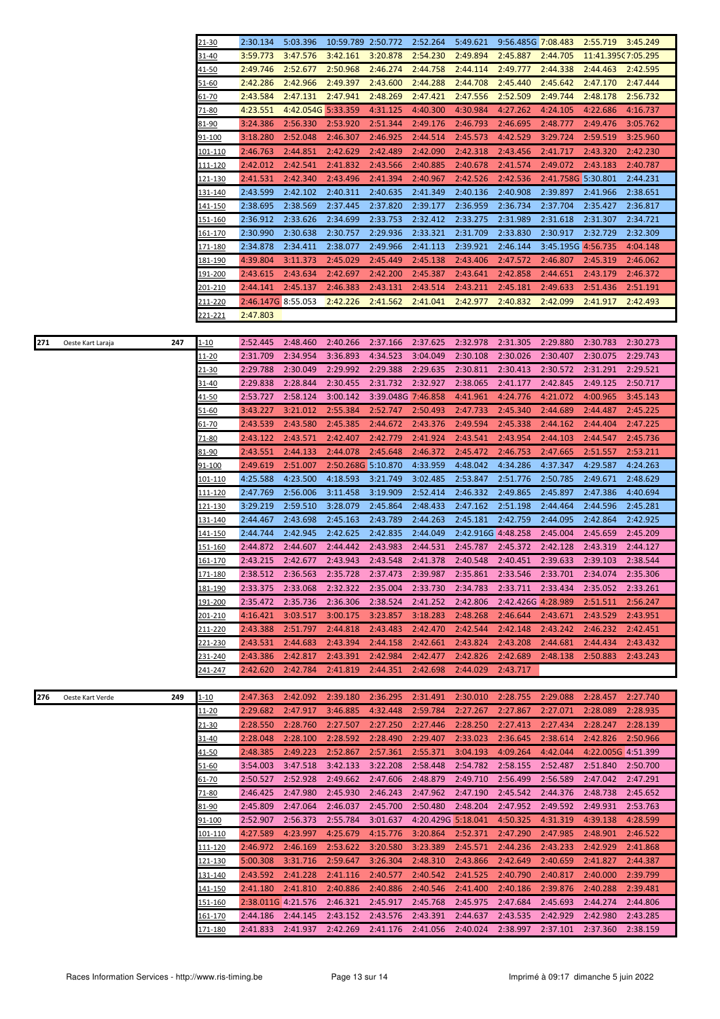|     |                   |     | 21-30           | 2:30.134           | 5:03.396           | 10:59.789 2:50.772 |                    | 2:52.264           | 5:49.621           | 9:56.485G 7:08.483 |                    | 2:55.719           | 3:45.249           |
|-----|-------------------|-----|-----------------|--------------------|--------------------|--------------------|--------------------|--------------------|--------------------|--------------------|--------------------|--------------------|--------------------|
|     |                   |     | 31-40           | 3:59.773           | 3:47.576           | 3:42.161           | 3:20.878           | 2:54.230           | 2:49.894           | 2:45.887           | 2:44.705           | 11:41.395(7:05.295 |                    |
|     |                   |     | 41-50           | 2:49.746           | 2:52.677           | 2:50.968           | 2:46.274           | 2:44.758           | 2:44.114           | 2:49.777           | 2:44.338           | 2:44.463           | 2:42.595           |
|     |                   |     | 51-60           | 2:42.286           | 2:42.966           | 2:49.397           | 2:43.600           | 2:44.288           | 2:44.708           | 2:45.440           | 2:45.642           | 2:47.170           | 2:47.444           |
|     |                   |     | 61-70           | 2:43.584           | 2:47.131           | 2:47.941           | 2:48.269           | 2:47.421           | 2:47.556           | 2:52.509           | 2:49.744           | 2:48.178           | 2:56.732           |
|     |                   |     | 71-80           | 4:23.551           | 4:42.054G 5:33.359 |                    | 4:31.125           | 4:40.300           | 4:30.984           | 4:27.262           | 4:24.105           | 4:22.686           | 4:16.737           |
|     |                   |     |                 |                    |                    |                    | 2:51.344           |                    |                    |                    |                    |                    |                    |
|     |                   |     | <u>81-90</u>    | 3:24.386           | 2:56.330           | 2:53.920           |                    | 2:49.176           | 2:46.793           | 2:46.695           | 2:48.777           | 2:49.476           | 3:05.762           |
|     |                   |     | <u>91-100</u>   | 3:18.280           | 2:52.048           | 2:46.307           | 2:46.925           | 2:44.514           | 2:45.573           | 4:42.529           | 3:29.724           | 2:59.519           | 3:25.960           |
|     |                   |     | <u> 101-110</u> | 2:46.763           | 2:44.851           | 2:42.629           | 2:42.489           | 2:42.090           | 2:42.318           | 2:43.456           | 2:41.717           | 2:43.320           | 2:42.230           |
|     |                   |     | 111-120         | 2:42.012           | 2:42.541           | 2:41.832           | 2:43.566           | 2:40.885           | 2:40.678           | 2:41.574           | 2:49.072           | 2:43.183           | 2:40.787           |
|     |                   |     | 121-130         | 2:41.531           | 2:42.340           | 2:43.496           | 2:41.394           | 2:40.967           | 2:42.526           | 2:42.536           | 2:41.758G 5:30.801 |                    | 2:44.231           |
|     |                   |     | 131-140         | 2:43.599           | 2:42.102           | 2:40.311           | 2:40.635           | 2:41.349           | 2:40.136           | 2:40.908           | 2:39.897           | 2:41.966           | 2:38.651           |
|     |                   |     | <u> 141-150</u> | 2:38.695           | 2:38.569           | 2:37.445           | 2:37.820           | 2:39.177           | 2:36.959           | 2:36.734           | 2:37.704           | 2:35.427           | 2:36.817           |
|     |                   |     | 151-160         | 2:36.912           | 2:33.626           | 2:34.699           | 2:33.753           | 2:32.412           | 2:33.275           | 2:31.989           | 2:31.618           | 2:31.307           | 2:34.721           |
|     |                   |     | 161-170         | 2:30.990           | 2:30.638           | 2:30.757           | 2:29.936           | 2:33.321           | 2:31.709           | 2:33.830           | 2:30.917           | 2:32.729           | 2:32.309           |
|     |                   |     |                 |                    |                    |                    |                    |                    |                    |                    |                    |                    |                    |
|     |                   |     | <u> 171-180</u> | 2:34.878           | 2:34.411           | 2:38.077           | 2:49.966           | 2:41.113           | 2:39.921           | 2:46.144           | 3:45.195G 4:56.735 |                    | 4:04.148           |
|     |                   |     | <u> 181-190</u> | 4:39.804           | 3:11.373           | 2:45.029           | 2:45.449           | 2:45.138           | 2:43.406           | 2:47.572           | 2:46.807           | 2:45.319           | 2:46.062           |
|     |                   |     | 191-200         | 2:43.615           | 2:43.634           | 2:42.697           | 2:42.200           | 2:45.387           | 2:43.641           | 2:42.858           | 2:44.651           | 2:43.179           | 2:46.372           |
|     |                   |     | 201-210         | 2:44.141           | 2:45.137           | 2:46.383           | 2:43.131           | 2:43.514           | 2:43.211           | 2:45.181           | 2:49.633           | 2:51.436           | 2:51.191           |
|     |                   |     | 211-220         | 2:46.147G 8:55.053 |                    | 2:42.226           | 2:41.562           | 2:41.041           | 2:42.977           | 2:40.832           | 2:42.099           | 2:41.917           | 2:42.493           |
|     |                   |     | <u>221-221</u>  | 2:47.803           |                    |                    |                    |                    |                    |                    |                    |                    |                    |
|     |                   |     |                 |                    |                    |                    |                    |                    |                    |                    |                    |                    |                    |
| 271 | Oeste Kart Laraja | 247 | $1 - 10$        | 2:52.445           | 2:48.460           | 2:40.266           | 2:37.166           | 2:37.625           | 2:32.978           | 2:31.305           | 2:29.880           | 2:30.783           | 2:30.273           |
|     |                   |     |                 |                    |                    |                    | 4:34.523           | 3:04.049           |                    |                    |                    |                    | 2:29.743           |
|     |                   |     | 11-20           | 2:31.709           | 2:34.954           | 3:36.893           |                    |                    | 2:30.108           | 2:30.026           | 2:30.407           | 2:30.075           |                    |
|     |                   |     | 21-30           | 2:29.788           | 2:30.049           | 2:29.992           | 2:29.388           | 2:29.635           | 2:30.811           | 2:30.413           | 2:30.572           | 2:31.291           | 2:29.521           |
|     |                   |     | 31-40           | 2:29.838           | 2:28.844           | 2:30.455           | 2:31.732           | 2:32.927           | 2:38.065           | 2:41.177           | 2:42.845           | 2:49.125           | 2:50.717           |
|     |                   |     | <u>41-50</u>    | 2:53.727           | 2:58.124           | 3:00.142           | 3:39.048G 7:46.858 |                    | 4:41.961           | 4:24.776           | 4:21.072           | 4:00.965           | 3:45.143           |
|     |                   |     | 51-60           | 3:43.227           | 3:21.012           | 2:55.384           | 2:52.747           | 2:50.493           | 2:47.733           | 2:45.340           | 2:44.689           | 2:44.487           | 2:45.225           |
|     |                   |     | <u>61-70</u>    | 2:43.539           | 2:43.580           | 2:45.385           | 2:44.672           | 2:43.376           | 2:49.594           | 2:45.338           | 2:44.162           | 2:44.404           | 2:47.225           |
|     |                   |     | 71-80           | 2:43.122           | 2:43.571           | 2:42.407           | 2:42.779           | 2:41.924           | 2:43.541           | 2:43.954           | 2:44.103           | 2:44.547           | 2:45.736           |
|     |                   |     | 81-90           | 2:43.551           | 2:44.133           | 2:44.078           | 2:45.648           | 2:46.372           | 2:45.472           | 2:46.753           | 2:47.665           | 2:51.557           | 2:53.211           |
|     |                   |     |                 |                    |                    |                    |                    |                    |                    |                    |                    |                    |                    |
|     |                   |     | <u>91-100</u>   | 2:49.619           | 2:51.007           | 2:50.268G 5:10.870 |                    | 4:33.959           | 4:48.042           | 4:34.286           | 4:37.347           | 4:29.587           | 4:24.263           |
|     |                   |     | 101-110         | 4:25.588           | 4:23.500           | 4:18.593           | 3:21.749           | 3:02.485           | 2:53.847           | 2:51.776           | 2:50.785           | 2:49.671           | 2:48.629           |
|     |                   |     | <u> 111-120</u> | 2:47.769           | 2:56.006           | 3:11.458           | 3:19.909           | 2:52.414           | 2:46.332           | 2:49.865           | 2:45.897           | 2:47.386           | 4:40.694           |
|     |                   |     | 121-130         | 3:29.219           | 2:59.510           | 3:28.079           | 2:45.864           | 2:48.433           | 2:47.162           | 2:51.198           | 2:44.464           | 2:44.596           | 2:45.281           |
|     |                   |     | <u>131-140</u>  | 2:44.467           | 2:43.698           | 2:45.163           | 2:43.789           | 2:44.263           | 2:45.181           | 2:42.759           | 2:44.095           | 2:42.864           | 2:42.925           |
|     |                   |     | <u> 141-150</u> | 2:44.744           | 2:42.945           | 2:42.625           | 2:42.835           | 2:44.049           | 2:42.916G 4:48.258 |                    | 2:45.004           | 2:45.659           | 2:45.209           |
|     |                   |     | <u>151-160</u>  | 2:44.872           | 2:44.607           | 2:44.442           | 2:43.983           | 2:44.531           | 2:45.787           | 2:45.372           | 2:42.128           | 2:43.319           | 2:44.127           |
|     |                   |     | <u> 161-170</u> | 2:43.215           | 2:42.677           | 2:43.943           | 2:43.548           | 2:41.378           | 2:40.548           | 2:40.451           | 2:39.633           | 2:39.103           | 2:38.544           |
|     |                   |     | 171-180         | 2:38.512           | 2:36.563           | 2:35.728           | 2:37.473           | 2:39.987           | 2:35.861           | 2:33.546           | 2:33.701           | 2:34.074           | 2:35.306           |
|     |                   |     |                 |                    |                    |                    |                    |                    |                    |                    |                    |                    |                    |
|     |                   |     | <u>181-190</u>  | 2:33.375           | 2:33.068           | 2:32.322           | 2:35.004           | 2:33.730           | 2:34.783           | 2:33.711           | 2:33.434           | 2:35.052           | 2:33.261           |
|     |                   |     | <u> 191-200</u> | 2:35.472           | 2:35.736           | 2:36.306           | 2:38.524           | 2:41.252           | 2:42.806           | 2:42.426G 4:28.989 |                    | 2:51.511           | 2:56.247           |
|     |                   |     | 201-210         | 4:16.421           | 3:03.517           | 3:00.175           | 3:23.857           | 3:18.283           | 2:48.268           | 2:46.644           | 2:43.671           | 2:43.529           | 2:43.951           |
|     |                   |     | 211-220         | 2:43.388           | 2:51.797           | 2:44.818           | 2:43.483           | 2:42.470           | 2:42.544           | 2:42.148           | 2:43.242           | 2:46.232           | 2:42.451           |
|     |                   |     | 221-230         | 2:43.531           | 2:44.683           | 2:43.394           | 2:44.158           | 2:42.661           | 2:43.824           | 2:43.208           | 2:44.681           | 2:44.434           | 2:43.432           |
|     |                   |     | 231-240         | 2:43.386           | 2:42.817           | 2:43.391           | 2:42.984           | 2:42.477           | 2:42.826           | 2:42.689           | 2:48.138           | 2:50.883           | 2:43.243           |
|     |                   |     | 241-247         | 2:42.620           | 2:42.784           | 2:41.819           | 2:44.351           | 2:42.698           | 2:44.029           | 2:43.717           |                    |                    |                    |
|     |                   |     |                 |                    |                    |                    |                    |                    |                    |                    |                    |                    |                    |
| 276 | Oeste Kart Verde  | 249 | $1 - 10$        | 2:47.363           | 2:42.092           | 2:39.180           | 2:36.295           | 2:31.491           | 2:30.010           | 2:28.755           | 2:29.088           | 2:28.457           | 2:27.740           |
|     |                   |     | $11 - 20$       | 2:29.682           | 2:47.917           | 3:46.885           | 4:32.448           | 2:59.784           | 2:27.267           | 2:27.867           | 2:27.071           | 2:28.089           | 2:28.935           |
|     |                   |     | <u>21-30</u>    | 2:28.550           | 2:28.760           | 2:27.507           | 2:27.250           | 2:27.446           | 2:28.250           | 2:27.413           | 2:27.434           | 2:28.247           | 2:28.139           |
|     |                   |     |                 | 2:28.048           | 2:28.100           | 2:28.592           | 2:28.490           | 2:29.407           | 2:33.023           | 2:36.645           | 2:38.614           | 2:42.826           | 2:50.966           |
|     |                   |     | 31-40           |                    |                    |                    |                    |                    |                    |                    |                    |                    |                    |
|     |                   |     | <u>41-50</u>    | 2:48.385           | 2:49.223           | 2:52.867           | 2:57.361           | 2:55.371           | 3:04.193           | 4:09.264           | 4:42.044           |                    | 4:22.005G 4:51.399 |
|     |                   |     |                 |                    |                    |                    |                    |                    |                    |                    |                    |                    |                    |
|     |                   |     | <u>51-60</u>    | 3:54.003           | 3:47.518           | 3:42.133           | 3:22.208           | 2:58.448           | 2:54.782           | 2:58.155           | 2:52.487           | 2:51.840           | 2:50.700           |
|     |                   |     | 61-70           | 2:50.527           | 2:52.928           | 2:49.662           | 2:47.606           | 2:48.879           | 2:49.710           | 2:56.499           | 2:56.589           | 2:47.042           | 2:47.291           |
|     |                   |     | 71-80           | 2:46.425           | 2:47.980           | 2:45.930           | 2:46.243           | 2:47.962           | 2:47.190           | 2:45.542           | 2:44.376           | 2:48.738           | 2:45.652           |
|     |                   |     | 81-90           | 2:45.809           | 2:47.064           | 2:46.037           | 2:45.700           | 2:50.480           | 2:48.204           | 2:47.952           | 2:49.592           | 2:49.931           | 2:53.763           |
|     |                   |     | 91-100          | 2:52.907           | 2:56.373           | 2:55.784           | 3:01.637           | 4:20.429G 5:18.041 |                    | 4:50.325           | 4:31.319           | 4:39.138           | 4:28.599           |
|     |                   |     |                 | 4:27.589           | 4:23.997           | 4:25.679           | 4:15.776           | 3:20.864           | 2:52.371           | 2:47.290           | 2:47.985           | 2:48.901           | 2:46.522           |
|     |                   |     | <u> 101-110</u> |                    |                    |                    |                    |                    |                    |                    |                    |                    |                    |
|     |                   |     | 111-120         | 2:46.972           | 2:46.169           | 2:53.622           | 3:20.580           | 3:23.389           | 2:45.571           | 2:44.236           | 2:43.233           | 2:42.929           | 2:41.868           |
|     |                   |     | 121-130         | 5:00.308           | 3:31.716           | 2:59.647           | 3:26.304           | 2:48.310           | 2:43.866           | 2:42.649           | 2:40.659           | 2:41.827           | 2:44.387           |
|     |                   |     | 131-140         | 2:43.592           | 2:41.228           | 2:41.116           | 2:40.577           | 2:40.542           | 2:41.525           | 2:40.790           | 2:40.817           | 2:40.000           | 2:39.799           |
|     |                   |     | <u> 141-150</u> | 2:41.180           | 2:41.810           | 2:40.886           | 2:40.886           | 2:40.546           | 2:41.400           | 2:40.186           | 2:39.876           | 2:40.288           | 2:39.481           |
|     |                   |     | <u>151-160</u>  | 2:38.011G 4:21.576 |                    | 2:46.321           | 2:45.917           | 2:45.768           | 2:45.975           | 2:47.684           | 2:45.693           | 2:44.274           | 2:44.806           |
|     |                   |     | <u> 161-170</u> | 2:44.186           | 2:44.145           | 2:43.152           | 2:43.576           | 2:43.391           | 2:44.637           | 2:43.535           | 2:42.929           | 2:42.980           | 2:43.285           |